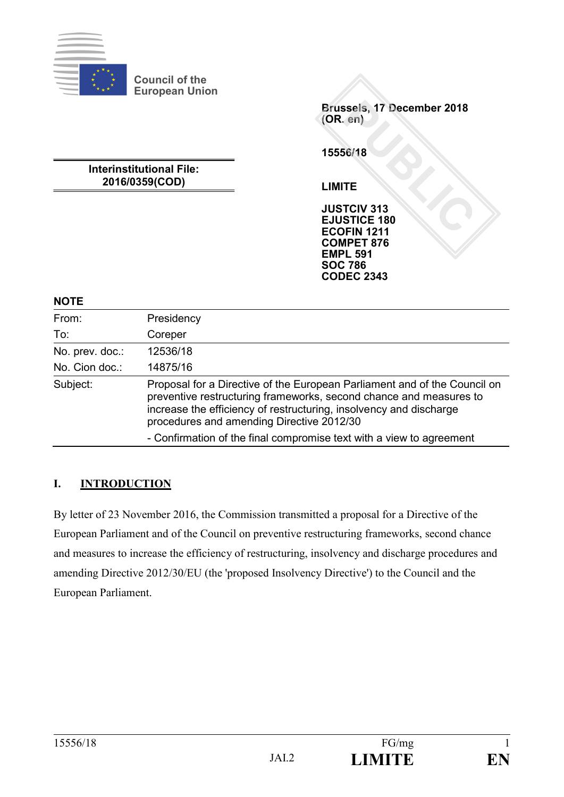

**Council of the European Union**

> **Brussels, 17 December 2018 (OR. en)**

**15556/18**

**LIMITE**

**JUSTCIV 313 EJUSTICE 180 ECOFIN 1211 COMPET 876 EMPL 591 SOC 786 CODEC 2343**

# **2016/0359(COD)**

**Interinstitutional File:**

**NOTE**

| From:           | Presidency                                                                                                                                                                                                                                                         |
|-----------------|--------------------------------------------------------------------------------------------------------------------------------------------------------------------------------------------------------------------------------------------------------------------|
| To:             | Coreper                                                                                                                                                                                                                                                            |
| No. prev. doc.: | 12536/18                                                                                                                                                                                                                                                           |
| No. Cion doc.:  | 14875/16                                                                                                                                                                                                                                                           |
| Subject:        | Proposal for a Directive of the European Parliament and of the Council on<br>preventive restructuring frameworks, second chance and measures to<br>increase the efficiency of restructuring, insolvency and discharge<br>procedures and amending Directive 2012/30 |
|                 | - Confirmation of the final compromise text with a view to agreement                                                                                                                                                                                               |

# **I. INTRODUCTION**

By letter of 23 November 2016, the Commission transmitted a proposal for a Directive of the European Parliament and of the Council on preventive restructuring frameworks, second chance and measures to increase the efficiency of restructuring, insolvency and discharge procedures and amending Directive 2012/30/EU (the 'proposed Insolvency Directive') to the Council and the European Parliament.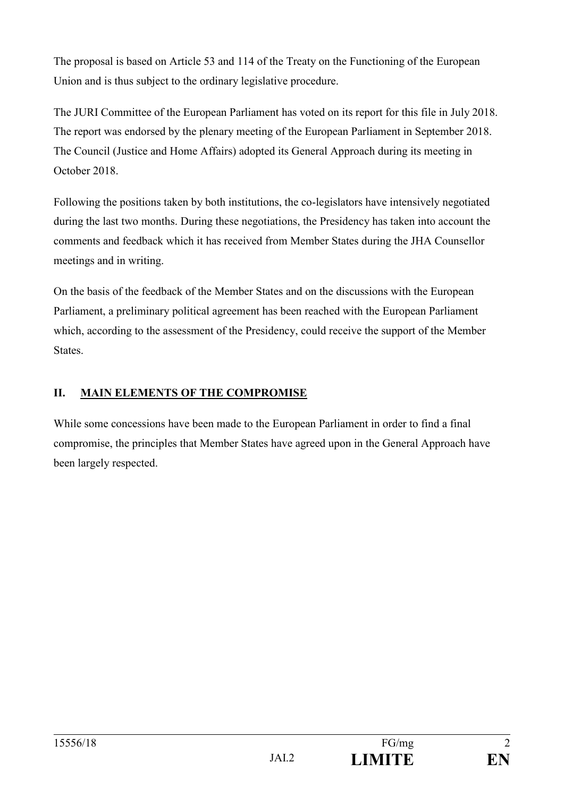The proposal is based on Article 53 and 114 of the Treaty on the Functioning of the European Union and is thus subject to the ordinary legislative procedure.

The JURI Committee of the European Parliament has voted on its report for this file in July 2018. The report was endorsed by the plenary meeting of the European Parliament in September 2018. The Council (Justice and Home Affairs) adopted its General Approach during its meeting in October 2018.

Following the positions taken by both institutions, the co-legislators have intensively negotiated during the last two months. During these negotiations, the Presidency has taken into account the comments and feedback which it has received from Member States during the JHA Counsellor meetings and in writing.

On the basis of the feedback of the Member States and on the discussions with the European Parliament, a preliminary political agreement has been reached with the European Parliament which, according to the assessment of the Presidency, could receive the support of the Member States.

## **II. MAIN ELEMENTS OF THE COMPROMISE**

While some concessions have been made to the European Parliament in order to find a final compromise, the principles that Member States have agreed upon in the General Approach have been largely respected.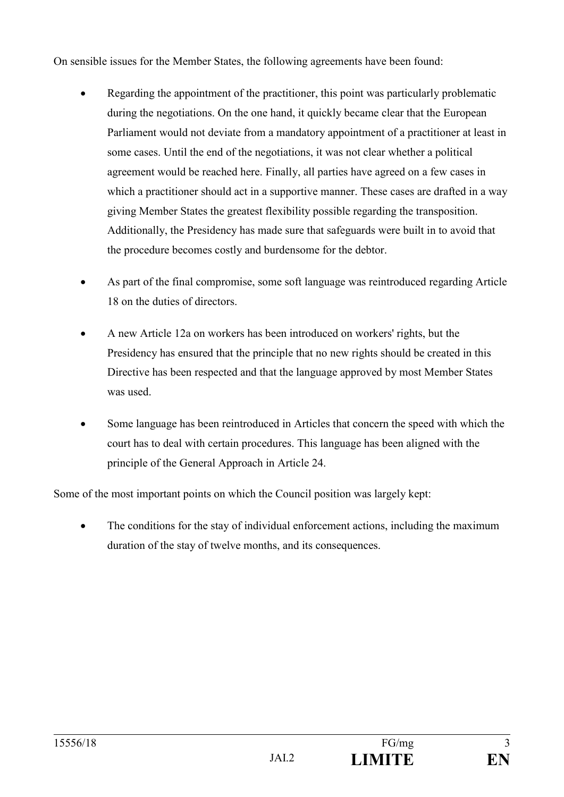On sensible issues for the Member States, the following agreements have been found:

- Regarding the appointment of the practitioner, this point was particularly problematic during the negotiations. On the one hand, it quickly became clear that the European Parliament would not deviate from a mandatory appointment of a practitioner at least in some cases. Until the end of the negotiations, it was not clear whether a political agreement would be reached here. Finally, all parties have agreed on a few cases in which a practitioner should act in a supportive manner. These cases are drafted in a way giving Member States the greatest flexibility possible regarding the transposition. Additionally, the Presidency has made sure that safeguards were built in to avoid that the procedure becomes costly and burdensome for the debtor.
- As part of the final compromise, some soft language was reintroduced regarding Article 18 on the duties of directors.
- A new Article 12a on workers has been introduced on workers' rights, but the Presidency has ensured that the principle that no new rights should be created in this Directive has been respected and that the language approved by most Member States was used.
- Some language has been reintroduced in Articles that concern the speed with which the court has to deal with certain procedures. This language has been aligned with the principle of the General Approach in Article 24.

Some of the most important points on which the Council position was largely kept:

 The conditions for the stay of individual enforcement actions, including the maximum duration of the stay of twelve months, and its consequences.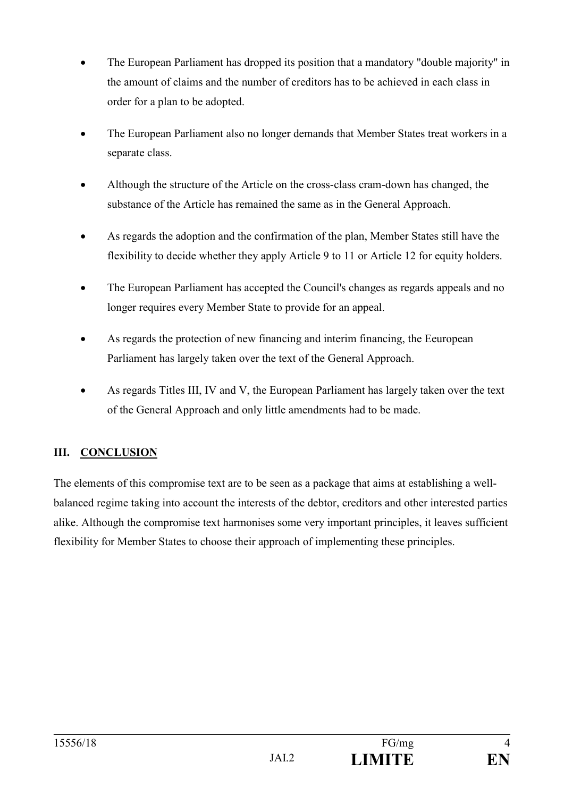- The European Parliament has dropped its position that a mandatory "double majority" in the amount of claims and the number of creditors has to be achieved in each class in order for a plan to be adopted.
- The European Parliament also no longer demands that Member States treat workers in a separate class.
- Although the structure of the Article on the cross-class cram-down has changed, the substance of the Article has remained the same as in the General Approach.
- As regards the adoption and the confirmation of the plan, Member States still have the flexibility to decide whether they apply Article 9 to 11 or Article 12 for equity holders.
- The European Parliament has accepted the Council's changes as regards appeals and no longer requires every Member State to provide for an appeal.
- As regards the protection of new financing and interim financing, the Eeuropean Parliament has largely taken over the text of the General Approach.
- As regards Titles III, IV and V, the European Parliament has largely taken over the text of the General Approach and only little amendments had to be made.

# **III. CONCLUSION**

The elements of this compromise text are to be seen as a package that aims at establishing a wellbalanced regime taking into account the interests of the debtor, creditors and other interested parties alike. Although the compromise text harmonises some very important principles, it leaves sufficient flexibility for Member States to choose their approach of implementing these principles.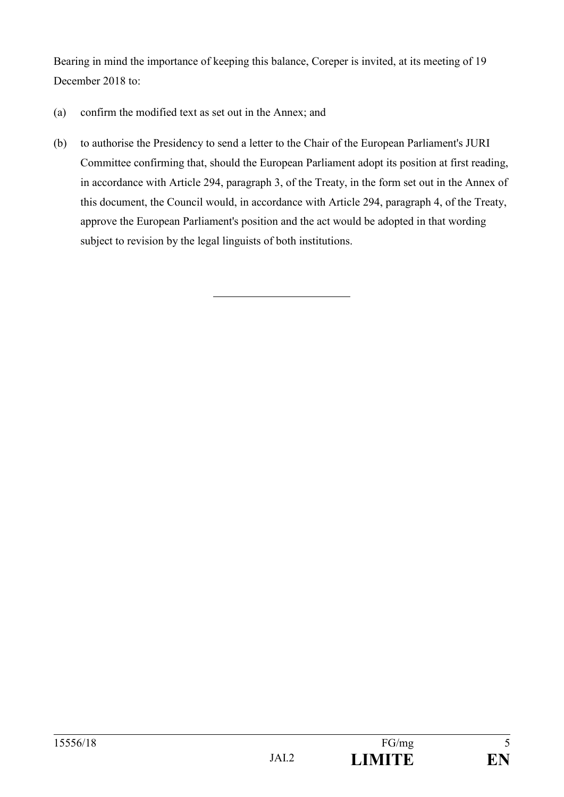Bearing in mind the importance of keeping this balance, Coreper is invited, at its meeting of 19 December 2018 to:

- (a) confirm the modified text as set out in the Annex; and
- (b) to authorise the Presidency to send a letter to the Chair of the European Parliament's JURI Committee confirming that, should the European Parliament adopt its position at first reading, in accordance with Article 294, paragraph 3, of the Treaty, in the form set out in the Annex of this document, the Council would, in accordance with Article 294, paragraph 4, of the Treaty, approve the European Parliament's position and the act would be adopted in that wording subject to revision by the legal linguists of both institutions.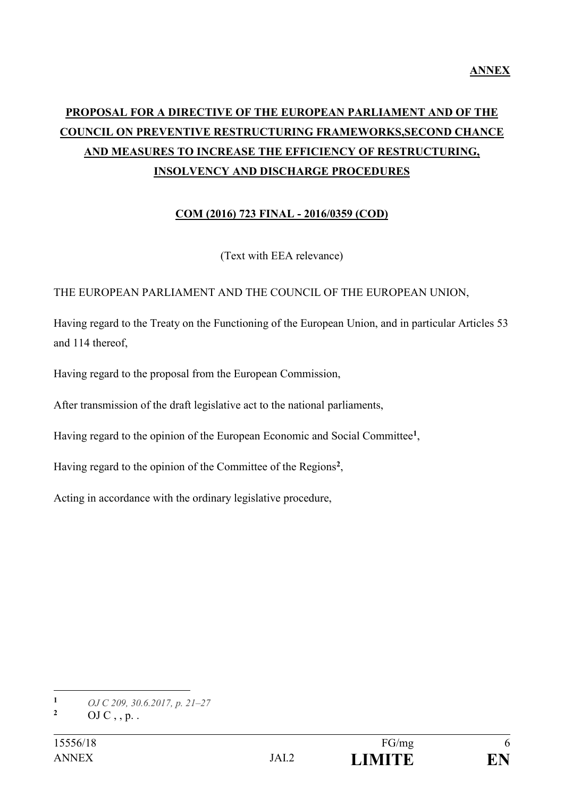# **PROPOSAL FOR A DIRECTIVE OF THE EUROPEAN PARLIAMENT AND OF THE COUNCIL ON PREVENTIVE RESTRUCTURING FRAMEWORKS,SECOND CHANCE AND MEASURES TO INCREASE THE EFFICIENCY OF RESTRUCTURING, INSOLVENCY AND DISCHARGE PROCEDURES**

## **COM (2016) 723 FINAL - 2016/0359 (COD)**

(Text with EEA relevance)

### THE EUROPEAN PARLIAMENT AND THE COUNCIL OF THE EUROPEAN UNION,

Having regard to the Treaty on the Functioning of the European Union, and in particular Articles 53 and 114 thereof,

Having regard to the proposal from the European Commission,

After transmission of the draft legislative act to the national parliaments,

Having regard to the opinion of the European Economic and Social Committee**<sup>1</sup>** ,

Having regard to the opinion of the Committee of the Regions**<sup>2</sup>** ,

Acting in accordance with the ordinary legislative procedure,

1

**<sup>1</sup>** *OJ C 209, 30.6.2017, p. 21–27*

**<sup>2</sup>** OJ C , , p. .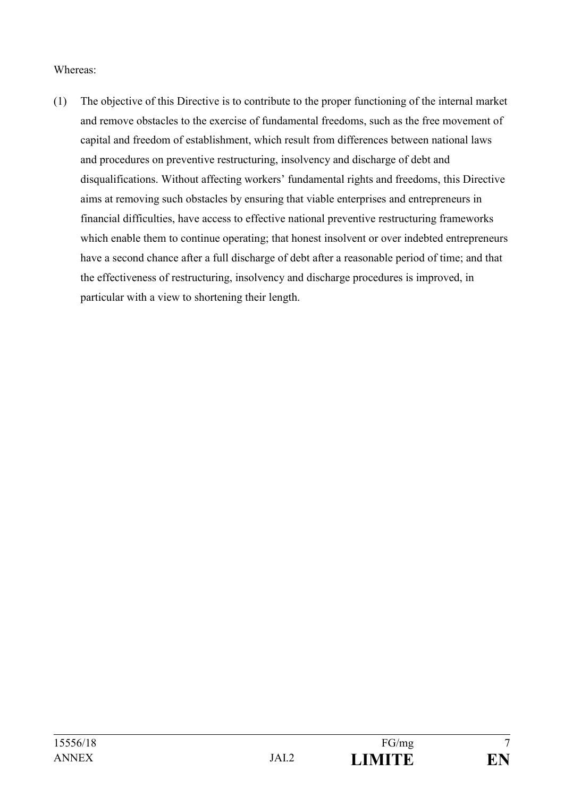#### Whereas:

(1) The objective of this Directive is to contribute to the proper functioning of the internal market and remove obstacles to the exercise of fundamental freedoms, such as the free movement of capital and freedom of establishment, which result from differences between national laws and procedures on preventive restructuring, insolvency and discharge of debt and disqualifications. Without affecting workers' fundamental rights and freedoms, this Directive aims at removing such obstacles by ensuring that viable enterprises and entrepreneurs in financial difficulties, have access to effective national preventive restructuring frameworks which enable them to continue operating; that honest insolvent or over indebted entrepreneurs have a second chance after a full discharge of debt after a reasonable period of time; and that the effectiveness of restructuring, insolvency and discharge procedures is improved, in particular with a view to shortening their length.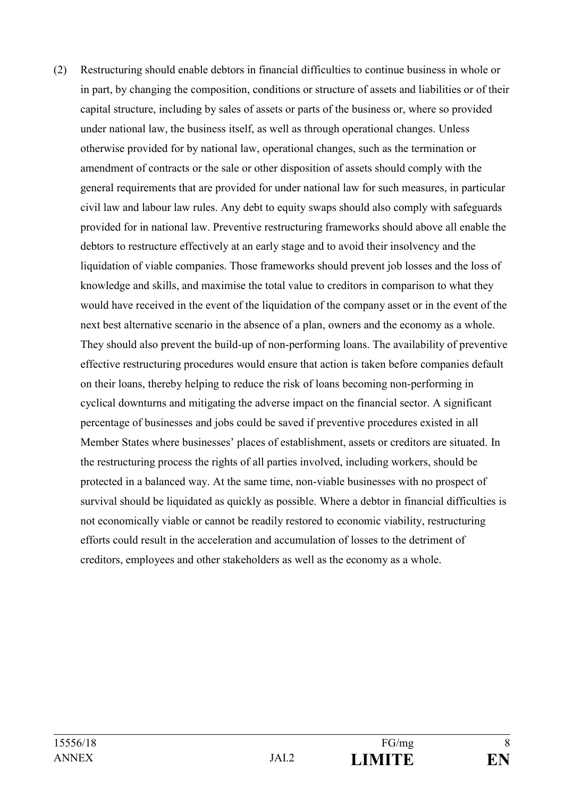(2) Restructuring should enable debtors in financial difficulties to continue business in whole or in part, by changing the composition, conditions or structure of assets and liabilities or of their capital structure, including by sales of assets or parts of the business or, where so provided under national law, the business itself, as well as through operational changes. Unless otherwise provided for by national law, operational changes, such as the termination or amendment of contracts or the sale or other disposition of assets should comply with the general requirements that are provided for under national law for such measures, in particular civil law and labour law rules. Any debt to equity swaps should also comply with safeguards provided for in national law. Preventive restructuring frameworks should above all enable the debtors to restructure effectively at an early stage and to avoid their insolvency and the liquidation of viable companies. Those frameworks should prevent job losses and the loss of knowledge and skills, and maximise the total value to creditors in comparison to what they would have received in the event of the liquidation of the company asset or in the event of the next best alternative scenario in the absence of a plan, owners and the economy as a whole. They should also prevent the build-up of non-performing loans. The availability of preventive effective restructuring procedures would ensure that action is taken before companies default on their loans, thereby helping to reduce the risk of loans becoming non-performing in cyclical downturns and mitigating the adverse impact on the financial sector. A significant percentage of businesses and jobs could be saved if preventive procedures existed in all Member States where businesses' places of establishment, assets or creditors are situated. In the restructuring process the rights of all parties involved, including workers, should be protected in a balanced way. At the same time, non-viable businesses with no prospect of survival should be liquidated as quickly as possible. Where a debtor in financial difficulties is not economically viable or cannot be readily restored to economic viability, restructuring efforts could result in the acceleration and accumulation of losses to the detriment of creditors, employees and other stakeholders as well as the economy as a whole.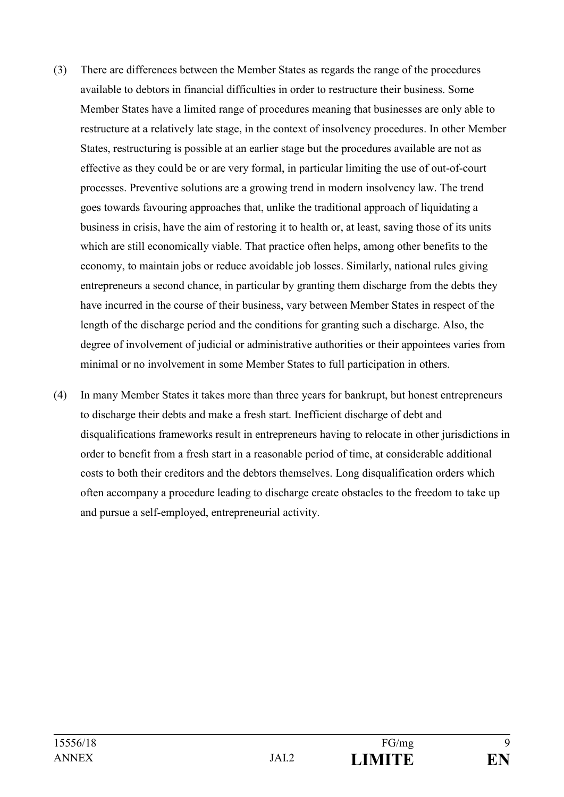- (3) There are differences between the Member States as regards the range of the procedures available to debtors in financial difficulties in order to restructure their business. Some Member States have a limited range of procedures meaning that businesses are only able to restructure at a relatively late stage, in the context of insolvency procedures. In other Member States, restructuring is possible at an earlier stage but the procedures available are not as effective as they could be or are very formal, in particular limiting the use of out-of-court processes. Preventive solutions are a growing trend in modern insolvency law. The trend goes towards favouring approaches that, unlike the traditional approach of liquidating a business in crisis, have the aim of restoring it to health or, at least, saving those of its units which are still economically viable. That practice often helps, among other benefits to the economy, to maintain jobs or reduce avoidable job losses. Similarly, national rules giving entrepreneurs a second chance, in particular by granting them discharge from the debts they have incurred in the course of their business, vary between Member States in respect of the length of the discharge period and the conditions for granting such a discharge. Also, the degree of involvement of judicial or administrative authorities or their appointees varies from minimal or no involvement in some Member States to full participation in others.
- (4) In many Member States it takes more than three years for bankrupt, but honest entrepreneurs to discharge their debts and make a fresh start. Inefficient discharge of debt and disqualifications frameworks result in entrepreneurs having to relocate in other jurisdictions in order to benefit from a fresh start in a reasonable period of time, at considerable additional costs to both their creditors and the debtors themselves. Long disqualification orders which often accompany a procedure leading to discharge create obstacles to the freedom to take up and pursue a self-employed, entrepreneurial activity.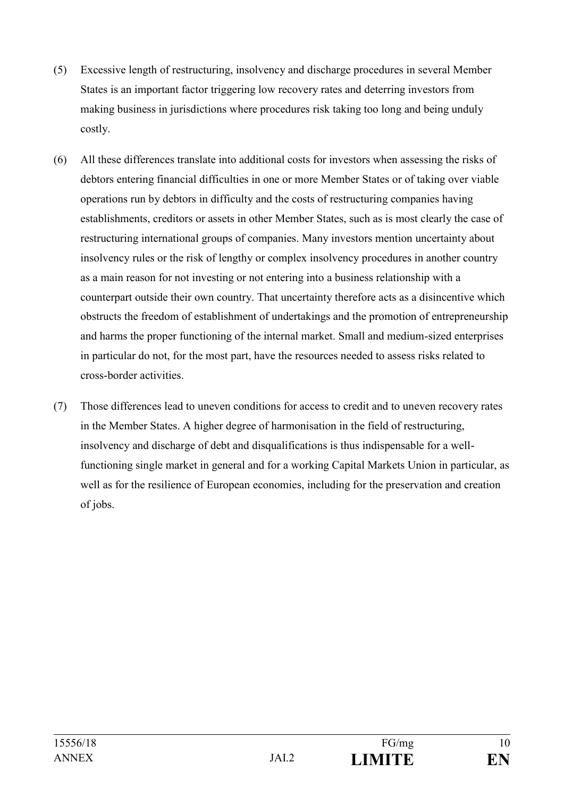- (5) Excessive length of restructuring, insolvency and discharge procedures in several Member States is an important factor triggering low recovery rates and deterring investors from making business in jurisdictions where procedures risk taking too long and being unduly costly.
- (6) All these differences translate into additional costs for investors when assessing the risks of debtors entering financial difficulties in one or more Member States or of taking over viable operations run by debtors in difficulty and the costs of restructuring companies having establishments, creditors or assets in other Member States, such as is most clearly the case of restructuring international groups of companies. Many investors mention uncertainty about insolvency rules or the risk of lengthy or complex insolvency procedures in another country as a main reason for not investing or not entering into a business relationship with a counterpart outside their own country. That uncertainty therefore acts as a disincentive which obstructs the freedom of establishment of undertakings and the promotion of entrepreneurship and harms the proper functioning of the internal market. Small and medium-sized enterprises in particular do not, for the most part, have the resources needed to assess risks related to cross-border activities.
- (7) Those differences lead to uneven conditions for access to credit and to uneven recovery rates in the Member States. A higher degree of harmonisation in the field of restructuring, insolvency and discharge of debt and disqualifications is thus indispensable for a wellfunctioning single market in general and for a working Capital Markets Union in particular, as well as for the resilience of European economies, including for the preservation and creation of jobs.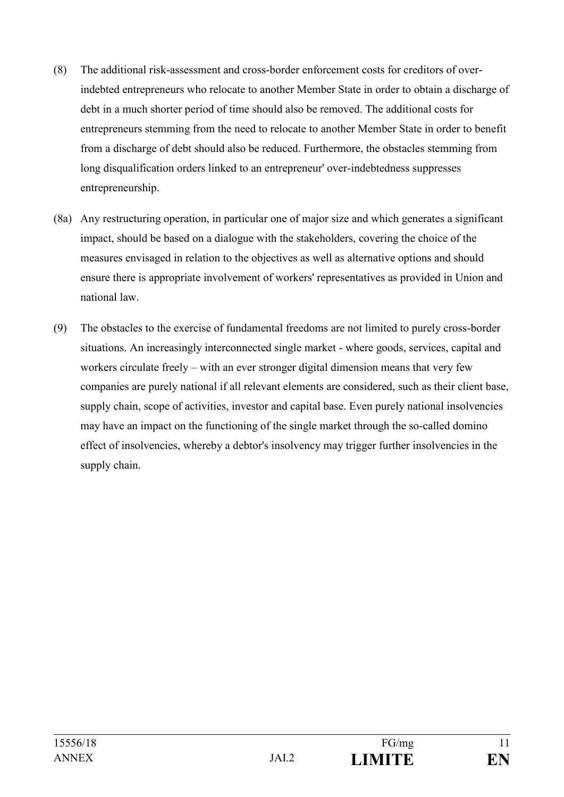- (8) The additional risk-assessment and cross-border enforcement costs for creditors of overindebted entrepreneurs who relocate to another Member State in order to obtain a discharge of debt in a much shorter period of time should also be removed. The additional costs for entrepreneurs stemming from the need to relocate to another Member State in order to benefit from a discharge of debt should also be reduced. Furthermore, the obstacles stemming from long disqualification orders linked to an entrepreneur' over-indebtedness suppresses entrepreneurship.
- (8a) Any restructuring operation, in particular one of major size and which generates a significant impact, should be based on a dialogue with the stakeholders, covering the choice of the measures envisaged in relation to the objectives as well as alternative options and should ensure there is appropriate involvement of workers' representatives as provided in Union and national law.
- (9) The obstacles to the exercise of fundamental freedoms are not limited to purely cross-border situations. An increasingly interconnected single market - where goods, services, capital and workers circulate freely – with an ever stronger digital dimension means that very few companies are purely national if all relevant elements are considered, such as their client base, supply chain, scope of activities, investor and capital base. Even purely national insolvencies may have an impact on the functioning of the single market through the so-called domino effect of insolvencies, whereby a debtor's insolvency may trigger further insolvencies in the supply chain.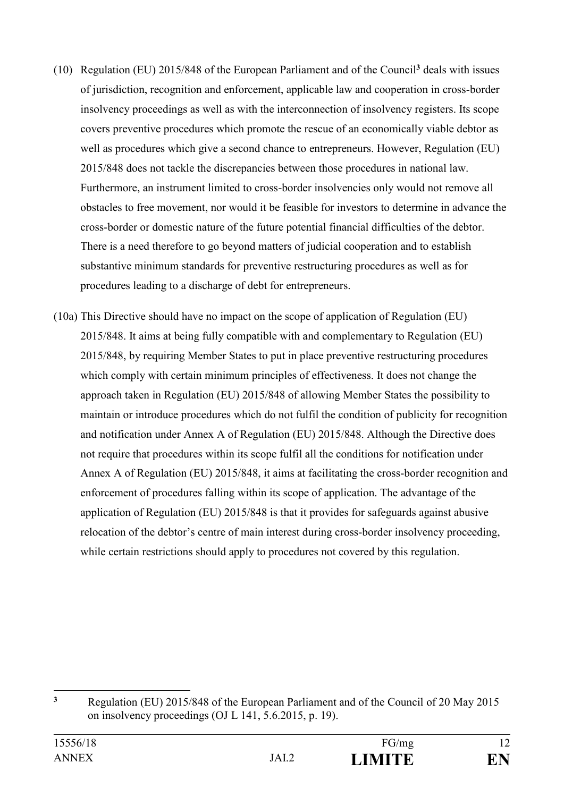- (10) Regulation (EU) 2015/848 of the European Parliament and of the Council**<sup>3</sup>** deals with issues of jurisdiction, recognition and enforcement, applicable law and cooperation in cross-border insolvency proceedings as well as with the interconnection of insolvency registers. Its scope covers preventive procedures which promote the rescue of an economically viable debtor as well as procedures which give a second chance to entrepreneurs. However, Regulation (EU) 2015/848 does not tackle the discrepancies between those procedures in national law. Furthermore, an instrument limited to cross-border insolvencies only would not remove all obstacles to free movement, nor would it be feasible for investors to determine in advance the cross-border or domestic nature of the future potential financial difficulties of the debtor. There is a need therefore to go beyond matters of judicial cooperation and to establish substantive minimum standards for preventive restructuring procedures as well as for procedures leading to a discharge of debt for entrepreneurs.
- (10a) This Directive should have no impact on the scope of application of Regulation (EU) 2015/848. It aims at being fully compatible with and complementary to Regulation (EU) 2015/848, by requiring Member States to put in place preventive restructuring procedures which comply with certain minimum principles of effectiveness. It does not change the approach taken in Regulation (EU) 2015/848 of allowing Member States the possibility to maintain or introduce procedures which do not fulfil the condition of publicity for recognition and notification under Annex A of Regulation (EU) 2015/848. Although the Directive does not require that procedures within its scope fulfil all the conditions for notification under Annex A of Regulation (EU) 2015/848, it aims at facilitating the cross-border recognition and enforcement of procedures falling within its scope of application. The advantage of the application of Regulation (EU) 2015/848 is that it provides for safeguards against abusive relocation of the debtor's centre of main interest during cross-border insolvency proceeding, while certain restrictions should apply to procedures not covered by this regulation.

 $\overline{3}$ **<sup>3</sup>** Regulation (EU) 2015/848 of the European Parliament and of the Council of 20 May 2015 on insolvency proceedings (OJ L 141, 5.6.2015, p. 19).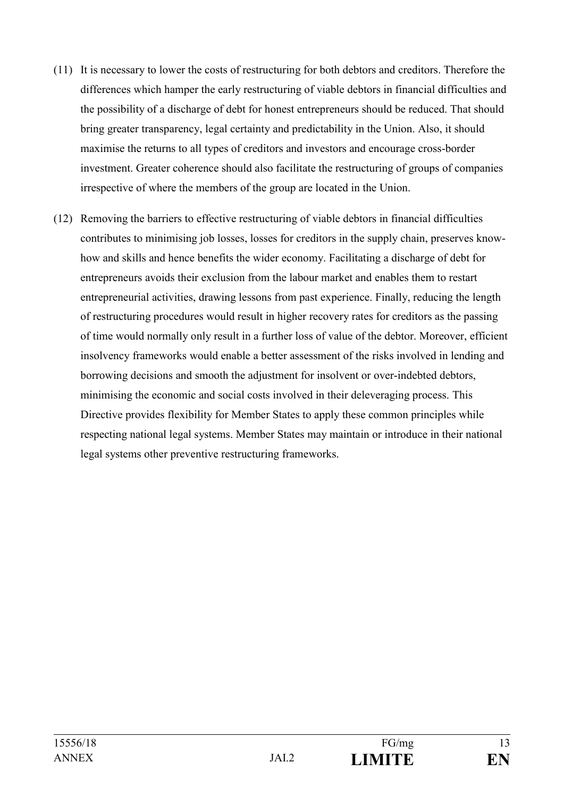- (11) It is necessary to lower the costs of restructuring for both debtors and creditors. Therefore the differences which hamper the early restructuring of viable debtors in financial difficulties and the possibility of a discharge of debt for honest entrepreneurs should be reduced. That should bring greater transparency, legal certainty and predictability in the Union. Also, it should maximise the returns to all types of creditors and investors and encourage cross-border investment. Greater coherence should also facilitate the restructuring of groups of companies irrespective of where the members of the group are located in the Union.
- (12) Removing the barriers to effective restructuring of viable debtors in financial difficulties contributes to minimising job losses, losses for creditors in the supply chain, preserves knowhow and skills and hence benefits the wider economy. Facilitating a discharge of debt for entrepreneurs avoids their exclusion from the labour market and enables them to restart entrepreneurial activities, drawing lessons from past experience. Finally, reducing the length of restructuring procedures would result in higher recovery rates for creditors as the passing of time would normally only result in a further loss of value of the debtor. Moreover, efficient insolvency frameworks would enable a better assessment of the risks involved in lending and borrowing decisions and smooth the adjustment for insolvent or over-indebted debtors, minimising the economic and social costs involved in their deleveraging process. This Directive provides flexibility for Member States to apply these common principles while respecting national legal systems. Member States may maintain or introduce in their national legal systems other preventive restructuring frameworks.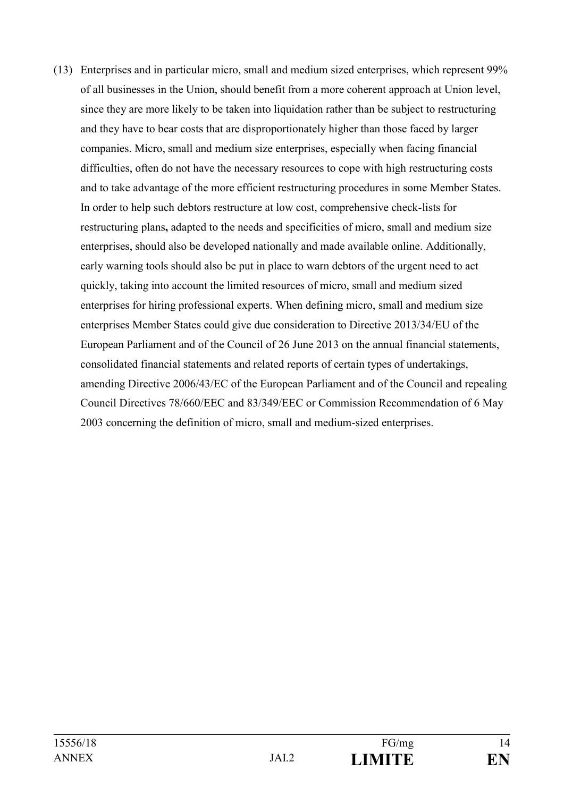(13) Enterprises and in particular micro, small and medium sized enterprises, which represent 99% of all businesses in the Union, should benefit from a more coherent approach at Union level, since they are more likely to be taken into liquidation rather than be subject to restructuring and they have to bear costs that are disproportionately higher than those faced by larger companies. Micro, small and medium size enterprises, especially when facing financial difficulties, often do not have the necessary resources to cope with high restructuring costs and to take advantage of the more efficient restructuring procedures in some Member States. In order to help such debtors restructure at low cost, comprehensive check-lists for restructuring plans**,** adapted to the needs and specificities of micro, small and medium size enterprises, should also be developed nationally and made available online. Additionally, early warning tools should also be put in place to warn debtors of the urgent need to act quickly, taking into account the limited resources of micro, small and medium sized enterprises for hiring professional experts. When defining micro, small and medium size enterprises Member States could give due consideration to Directive 2013/34/EU of the European Parliament and of the Council of 26 June 2013 on the annual financial statements, consolidated financial statements and related reports of certain types of undertakings, amending Directive 2006/43/EC of the European Parliament and of the Council and repealing Council Directives 78/660/EEC and 83/349/EEC or Commission Recommendation of 6 May 2003 concerning the definition of micro, small and medium-sized enterprises.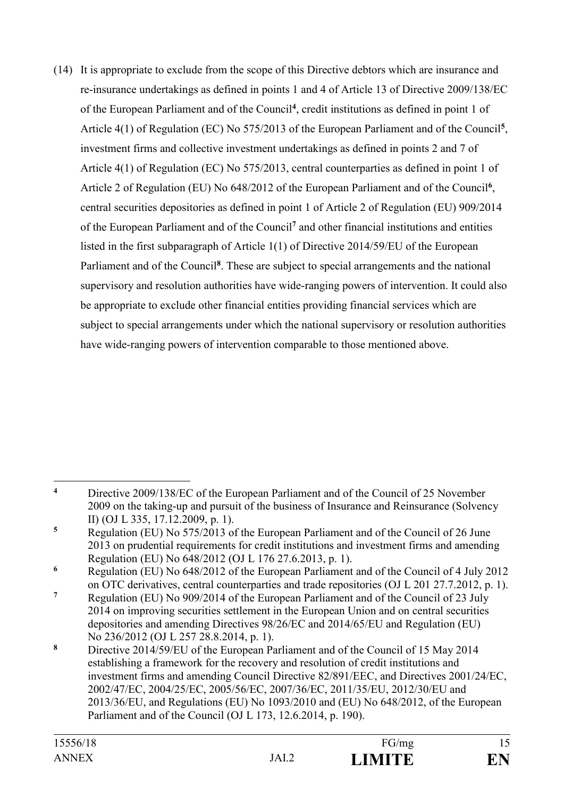(14) It is appropriate to exclude from the scope of this Directive debtors which are insurance and re-insurance undertakings as defined in points 1 and 4 of Article 13 of Directive 2009/138/EC of the European Parliament and of the Council**<sup>4</sup>** , credit institutions as defined in point 1 of Article 4(1) of Regulation (EC) No 575/2013 of the European Parliament and of the Council**<sup>5</sup>** , investment firms and collective investment undertakings as defined in points 2 and 7 of Article 4(1) of Regulation (EC) No 575/2013, central counterparties as defined in point 1 of Article 2 of Regulation (EU) No 648/2012 of the European Parliament and of the Council**<sup>6</sup>** , central securities depositories as defined in point 1 of Article 2 of Regulation (EU) 909/2014 of the European Parliament and of the Council**<sup>7</sup>** and other financial institutions and entities listed in the first subparagraph of Article 1(1) of Directive 2014/59/EU of the European Parliament and of the Council<sup>8</sup>. These are subject to special arrangements and the national supervisory and resolution authorities have wide-ranging powers of intervention. It could also be appropriate to exclude other financial entities providing financial services which are subject to special arrangements under which the national supervisory or resolution authorities have wide-ranging powers of intervention comparable to those mentioned above.

 $\overline{4}$ **<sup>4</sup>** Directive 2009/138/EC of the European Parliament and of the Council of 25 November 2009 on the taking-up and pursuit of the business of Insurance and Reinsurance (Solvency II) (OJ L 335, 17.12.2009, p. 1).

**<sup>5</sup>** Regulation (EU) No 575/2013 of the European Parliament and of the Council of 26 June 2013 on prudential requirements for credit institutions and investment firms and amending Regulation (EU) No 648/2012 (OJ L 176 27.6.2013, p. 1).

**<sup>6</sup>** Regulation (EU) No 648/2012 of the European Parliament and of the Council of 4 July 2012 on OTC derivatives, central counterparties and trade repositories (OJ L 201 27.7.2012, p. 1).

**<sup>7</sup>** Regulation (EU) No 909/2014 of the European Parliament and of the Council of 23 July 2014 on improving securities settlement in the European Union and on central securities depositories and amending Directives 98/26/EC and 2014/65/EU and Regulation (EU) No 236/2012 (OJ L 257 28.8.2014, p. 1).

**<sup>8</sup>** Directive 2014/59/EU of the European Parliament and of the Council of 15 May 2014 establishing a framework for the recovery and resolution of credit institutions and investment firms and amending Council Directive 82/891/EEC, and Directives 2001/24/EC, 2002/47/EC, 2004/25/EC, 2005/56/EC, 2007/36/EC, 2011/35/EU, 2012/30/EU and 2013/36/EU, and Regulations (EU) No 1093/2010 and (EU) No 648/2012, of the European Parliament and of the Council (OJ L 173, 12.6.2014, p. 190).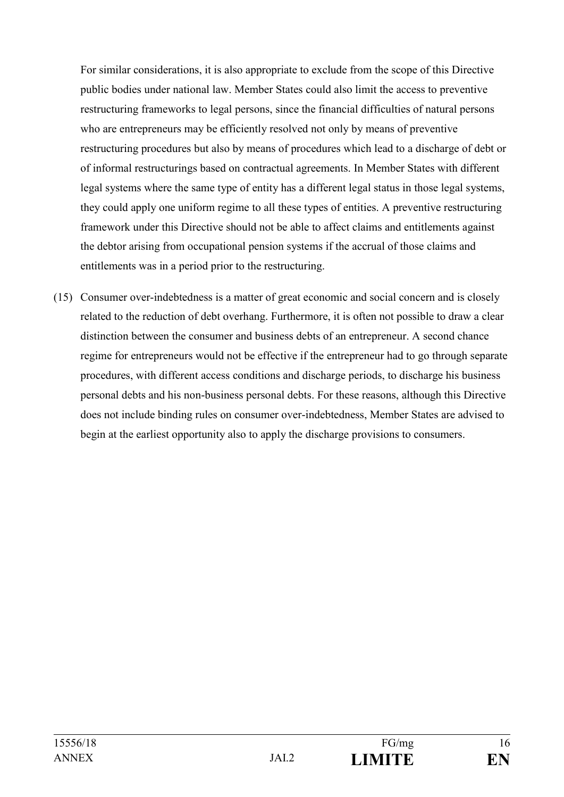For similar considerations, it is also appropriate to exclude from the scope of this Directive public bodies under national law. Member States could also limit the access to preventive restructuring frameworks to legal persons, since the financial difficulties of natural persons who are entrepreneurs may be efficiently resolved not only by means of preventive restructuring procedures but also by means of procedures which lead to a discharge of debt or of informal restructurings based on contractual agreements. In Member States with different legal systems where the same type of entity has a different legal status in those legal systems, they could apply one uniform regime to all these types of entities. A preventive restructuring framework under this Directive should not be able to affect claims and entitlements against the debtor arising from occupational pension systems if the accrual of those claims and entitlements was in a period prior to the restructuring.

(15) Consumer over-indebtedness is a matter of great economic and social concern and is closely related to the reduction of debt overhang. Furthermore, it is often not possible to draw a clear distinction between the consumer and business debts of an entrepreneur. A second chance regime for entrepreneurs would not be effective if the entrepreneur had to go through separate procedures, with different access conditions and discharge periods, to discharge his business personal debts and his non-business personal debts. For these reasons, although this Directive does not include binding rules on consumer over-indebtedness, Member States are advised to begin at the earliest opportunity also to apply the discharge provisions to consumers.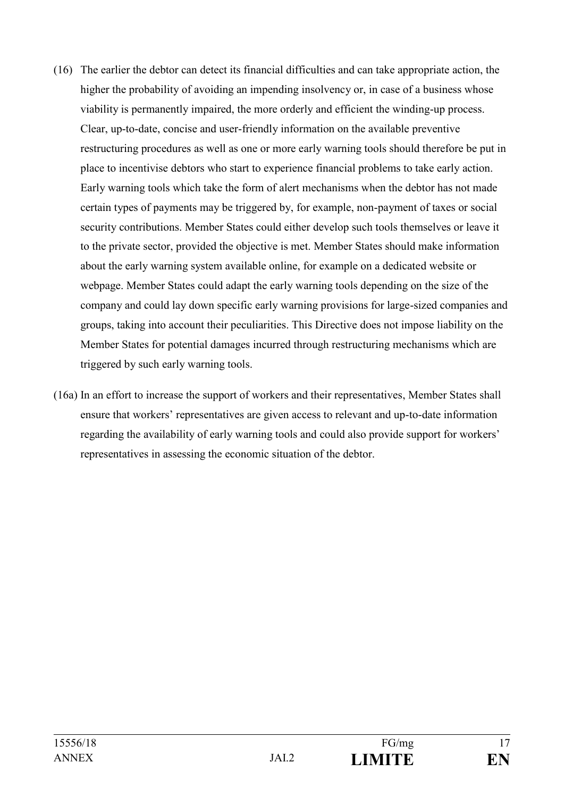- (16) The earlier the debtor can detect its financial difficulties and can take appropriate action, the higher the probability of avoiding an impending insolvency or, in case of a business whose viability is permanently impaired, the more orderly and efficient the winding-up process. Clear, up-to-date, concise and user-friendly information on the available preventive restructuring procedures as well as one or more early warning tools should therefore be put in place to incentivise debtors who start to experience financial problems to take early action. Early warning tools which take the form of alert mechanisms when the debtor has not made certain types of payments may be triggered by, for example, non-payment of taxes or social security contributions. Member States could either develop such tools themselves or leave it to the private sector, provided the objective is met. Member States should make information about the early warning system available online, for example on a dedicated website or webpage. Member States could adapt the early warning tools depending on the size of the company and could lay down specific early warning provisions for large-sized companies and groups, taking into account their peculiarities. This Directive does not impose liability on the Member States for potential damages incurred through restructuring mechanisms which are triggered by such early warning tools.
- (16a) In an effort to increase the support of workers and their representatives, Member States shall ensure that workers' representatives are given access to relevant and up-to-date information regarding the availability of early warning tools and could also provide support for workers' representatives in assessing the economic situation of the debtor.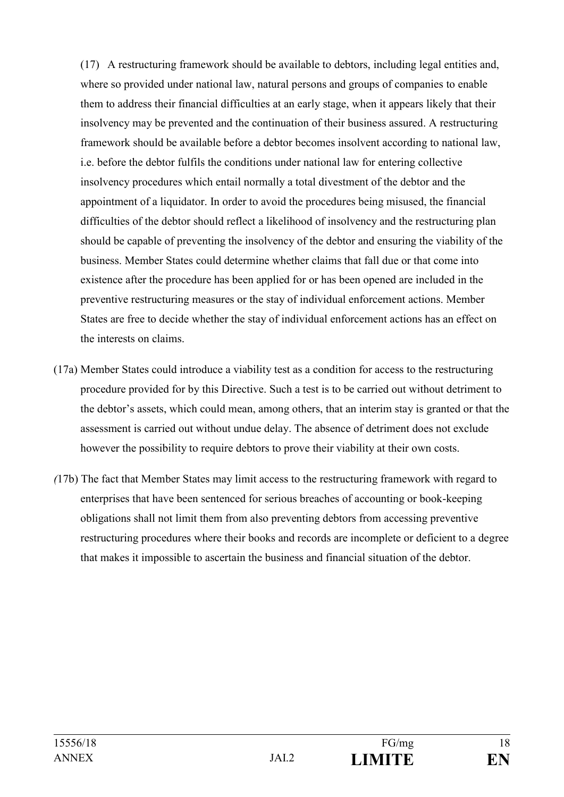(17) A restructuring framework should be available to debtors, including legal entities and, where so provided under national law, natural persons and groups of companies to enable them to address their financial difficulties at an early stage, when it appears likely that their insolvency may be prevented and the continuation of their business assured. A restructuring framework should be available before a debtor becomes insolvent according to national law, i.e. before the debtor fulfils the conditions under national law for entering collective insolvency procedures which entail normally a total divestment of the debtor and the appointment of a liquidator. In order to avoid the procedures being misused, the financial difficulties of the debtor should reflect a likelihood of insolvency and the restructuring plan should be capable of preventing the insolvency of the debtor and ensuring the viability of the business. Member States could determine whether claims that fall due or that come into existence after the procedure has been applied for or has been opened are included in the preventive restructuring measures or the stay of individual enforcement actions. Member States are free to decide whether the stay of individual enforcement actions has an effect on the interests on claims.

- (17a) Member States could introduce a viability test as a condition for access to the restructuring procedure provided for by this Directive. Such a test is to be carried out without detriment to the debtor's assets, which could mean, among others, that an interim stay is granted or that the assessment is carried out without undue delay. The absence of detriment does not exclude however the possibility to require debtors to prove their viability at their own costs.
- *(*17b) The fact that Member States may limit access to the restructuring framework with regard to enterprises that have been sentenced for serious breaches of accounting or book-keeping obligations shall not limit them from also preventing debtors from accessing preventive restructuring procedures where their books and records are incomplete or deficient to a degree that makes it impossible to ascertain the business and financial situation of the debtor.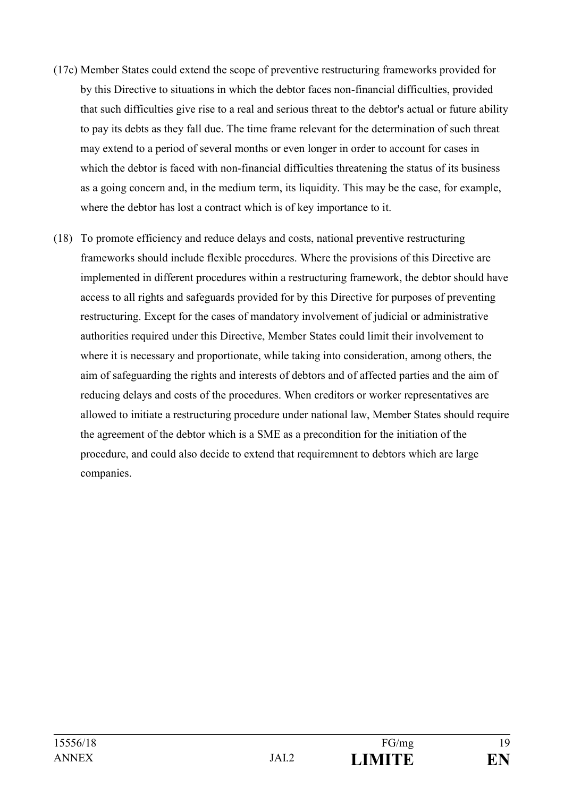- (17c) Member States could extend the scope of preventive restructuring frameworks provided for by this Directive to situations in which the debtor faces non-financial difficulties, provided that such difficulties give rise to a real and serious threat to the debtor's actual or future ability to pay its debts as they fall due. The time frame relevant for the determination of such threat may extend to a period of several months or even longer in order to account for cases in which the debtor is faced with non-financial difficulties threatening the status of its business as a going concern and, in the medium term, its liquidity. This may be the case, for example, where the debtor has lost a contract which is of key importance to it.
- (18) To promote efficiency and reduce delays and costs, national preventive restructuring frameworks should include flexible procedures. Where the provisions of this Directive are implemented in different procedures within a restructuring framework, the debtor should have access to all rights and safeguards provided for by this Directive for purposes of preventing restructuring. Except for the cases of mandatory involvement of judicial or administrative authorities required under this Directive, Member States could limit their involvement to where it is necessary and proportionate, while taking into consideration, among others, the aim of safeguarding the rights and interests of debtors and of affected parties and the aim of reducing delays and costs of the procedures. When creditors or worker representatives are allowed to initiate a restructuring procedure under national law, Member States should require the agreement of the debtor which is a SME as a precondition for the initiation of the procedure, and could also decide to extend that requiremnent to debtors which are large companies.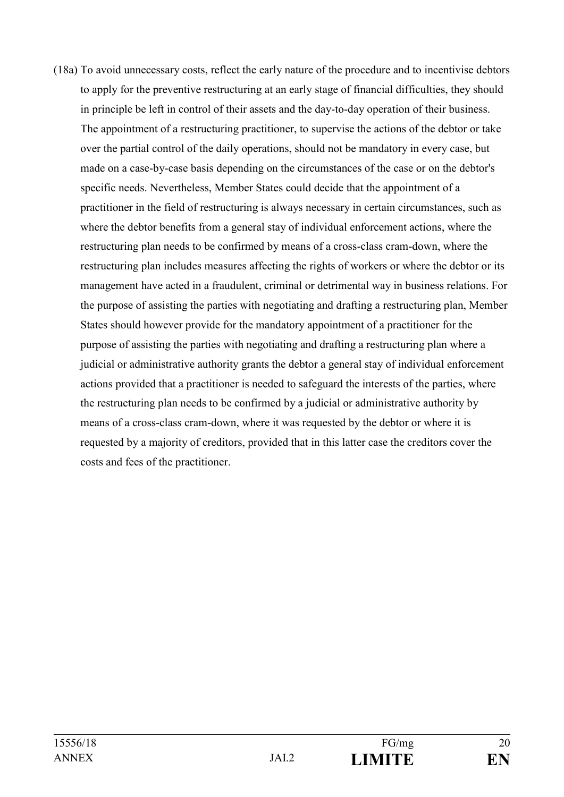(18a) To avoid unnecessary costs, reflect the early nature of the procedure and to incentivise debtors to apply for the preventive restructuring at an early stage of financial difficulties, they should in principle be left in control of their assets and the day-to-day operation of their business. The appointment of a restructuring practitioner, to supervise the actions of the debtor or take over the partial control of the daily operations, should not be mandatory in every case, but made on a case-by-case basis depending on the circumstances of the case or on the debtor's specific needs. Nevertheless, Member States could decide that the appointment of a practitioner in the field of restructuring is always necessary in certain circumstances, such as where the debtor benefits from a general stay of individual enforcement actions, where the restructuring plan needs to be confirmed by means of a cross-class cram-down, where the restructuring plan includes measures affecting the rights of workers or where the debtor or its management have acted in a fraudulent, criminal or detrimental way in business relations. For the purpose of assisting the parties with negotiating and drafting a restructuring plan, Member States should however provide for the mandatory appointment of a practitioner for the purpose of assisting the parties with negotiating and drafting a restructuring plan where a judicial or administrative authority grants the debtor a general stay of individual enforcement actions provided that a practitioner is needed to safeguard the interests of the parties, where the restructuring plan needs to be confirmed by a judicial or administrative authority by means of a cross-class cram-down, where it was requested by the debtor or where it is requested by a majority of creditors, provided that in this latter case the creditors cover the costs and fees of the practitioner.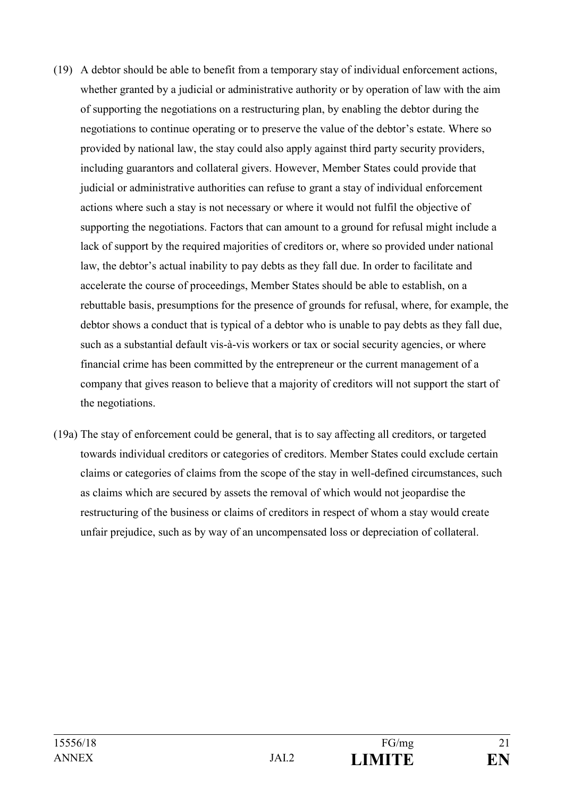- (19) A debtor should be able to benefit from a temporary stay of individual enforcement actions, whether granted by a judicial or administrative authority or by operation of law with the aim of supporting the negotiations on a restructuring plan, by enabling the debtor during the negotiations to continue operating or to preserve the value of the debtor's estate. Where so provided by national law, the stay could also apply against third party security providers, including guarantors and collateral givers. However, Member States could provide that judicial or administrative authorities can refuse to grant a stay of individual enforcement actions where such a stay is not necessary or where it would not fulfil the objective of supporting the negotiations. Factors that can amount to a ground for refusal might include a lack of support by the required majorities of creditors or, where so provided under national law, the debtor's actual inability to pay debts as they fall due. In order to facilitate and accelerate the course of proceedings, Member States should be able to establish, on a rebuttable basis, presumptions for the presence of grounds for refusal, where, for example, the debtor shows a conduct that is typical of a debtor who is unable to pay debts as they fall due, such as a substantial default vis-à-vis workers or tax or social security agencies, or where financial crime has been committed by the entrepreneur or the current management of a company that gives reason to believe that a majority of creditors will not support the start of the negotiations.
- (19a) The stay of enforcement could be general, that is to say affecting all creditors, or targeted towards individual creditors or categories of creditors. Member States could exclude certain claims or categories of claims from the scope of the stay in well-defined circumstances, such as claims which are secured by assets the removal of which would not jeopardise the restructuring of the business or claims of creditors in respect of whom a stay would create unfair prejudice, such as by way of an uncompensated loss or depreciation of collateral.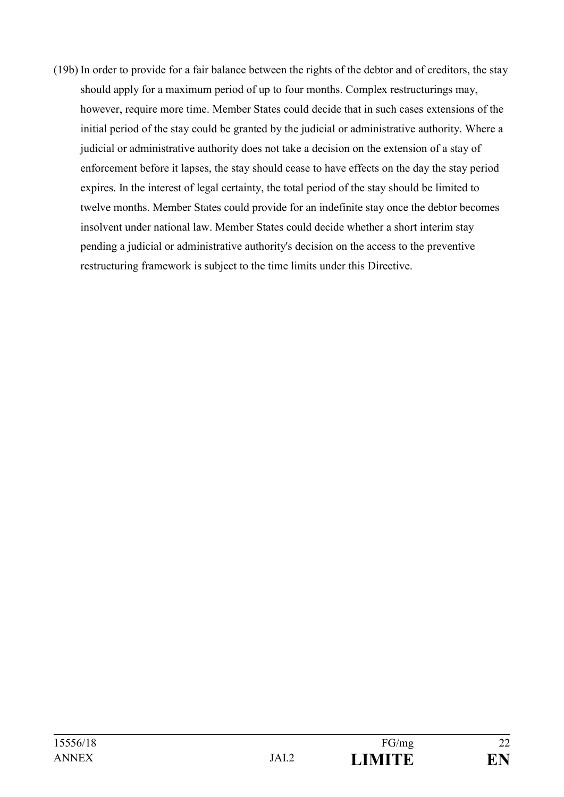(19b) In order to provide for a fair balance between the rights of the debtor and of creditors, the stay should apply for a maximum period of up to four months. Complex restructurings may, however, require more time. Member States could decide that in such cases extensions of the initial period of the stay could be granted by the judicial or administrative authority. Where a judicial or administrative authority does not take a decision on the extension of a stay of enforcement before it lapses, the stay should cease to have effects on the day the stay period expires. In the interest of legal certainty, the total period of the stay should be limited to twelve months. Member States could provide for an indefinite stay once the debtor becomes insolvent under national law. Member States could decide whether a short interim stay pending a judicial or administrative authority's decision on the access to the preventive restructuring framework is subject to the time limits under this Directive.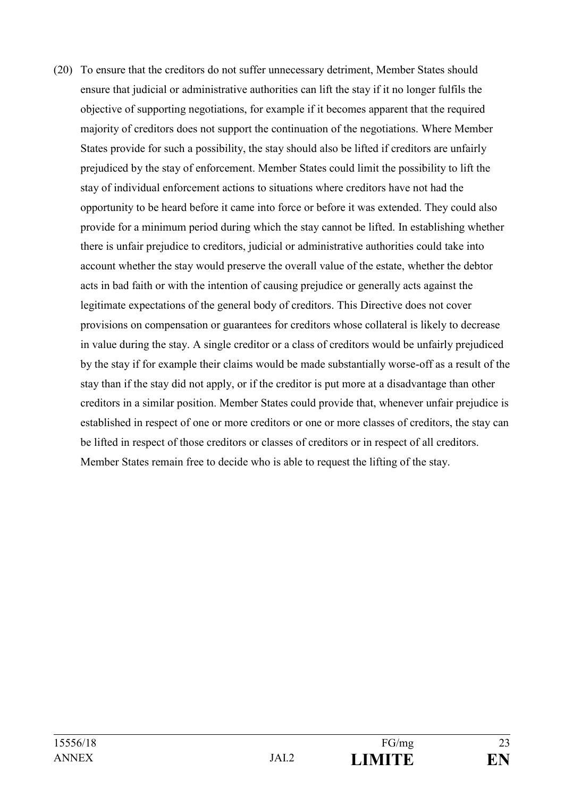(20) To ensure that the creditors do not suffer unnecessary detriment, Member States should ensure that judicial or administrative authorities can lift the stay if it no longer fulfils the objective of supporting negotiations, for example if it becomes apparent that the required majority of creditors does not support the continuation of the negotiations. Where Member States provide for such a possibility, the stay should also be lifted if creditors are unfairly prejudiced by the stay of enforcement. Member States could limit the possibility to lift the stay of individual enforcement actions to situations where creditors have not had the opportunity to be heard before it came into force or before it was extended. They could also provide for a minimum period during which the stay cannot be lifted. In establishing whether there is unfair prejudice to creditors, judicial or administrative authorities could take into account whether the stay would preserve the overall value of the estate, whether the debtor acts in bad faith or with the intention of causing prejudice or generally acts against the legitimate expectations of the general body of creditors. This Directive does not cover provisions on compensation or guarantees for creditors whose collateral is likely to decrease in value during the stay. A single creditor or a class of creditors would be unfairly prejudiced by the stay if for example their claims would be made substantially worse-off as a result of the stay than if the stay did not apply, or if the creditor is put more at a disadvantage than other creditors in a similar position. Member States could provide that, whenever unfair prejudice is established in respect of one or more creditors or one or more classes of creditors, the stay can be lifted in respect of those creditors or classes of creditors or in respect of all creditors. Member States remain free to decide who is able to request the lifting of the stay.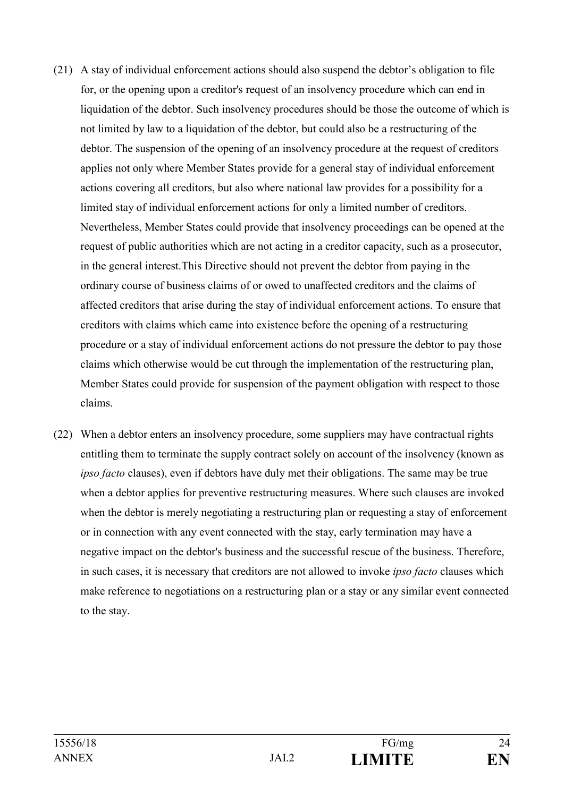- (21) A stay of individual enforcement actions should also suspend the debtor's obligation to file for, or the opening upon a creditor's request of an insolvency procedure which can end in liquidation of the debtor. Such insolvency procedures should be those the outcome of which is not limited by law to a liquidation of the debtor, but could also be a restructuring of the debtor. The suspension of the opening of an insolvency procedure at the request of creditors applies not only where Member States provide for a general stay of individual enforcement actions covering all creditors, but also where national law provides for a possibility for a limited stay of individual enforcement actions for only a limited number of creditors. Nevertheless, Member States could provide that insolvency proceedings can be opened at the request of public authorities which are not acting in a creditor capacity, such as a prosecutor, in the general interest.This Directive should not prevent the debtor from paying in the ordinary course of business claims of or owed to unaffected creditors and the claims of affected creditors that arise during the stay of individual enforcement actions. To ensure that creditors with claims which came into existence before the opening of a restructuring procedure or a stay of individual enforcement actions do not pressure the debtor to pay those claims which otherwise would be cut through the implementation of the restructuring plan, Member States could provide for suspension of the payment obligation with respect to those claims.
- (22) When a debtor enters an insolvency procedure, some suppliers may have contractual rights entitling them to terminate the supply contract solely on account of the insolvency (known as *ipso facto* clauses), even if debtors have duly met their obligations. The same may be true when a debtor applies for preventive restructuring measures. Where such clauses are invoked when the debtor is merely negotiating a restructuring plan or requesting a stay of enforcement or in connection with any event connected with the stay, early termination may have a negative impact on the debtor's business and the successful rescue of the business. Therefore, in such cases, it is necessary that creditors are not allowed to invoke *ipso facto* clauses which make reference to negotiations on a restructuring plan or a stay or any similar event connected to the stay.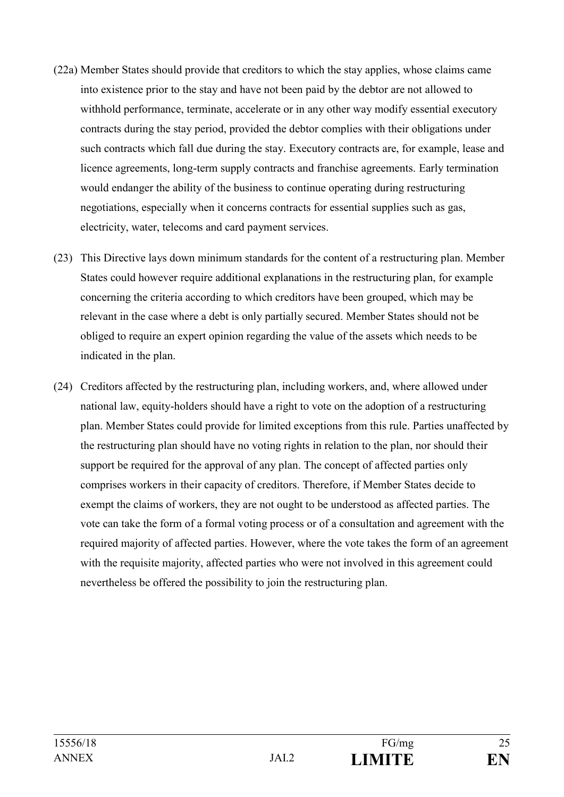- (22a) Member States should provide that creditors to which the stay applies, whose claims came into existence prior to the stay and have not been paid by the debtor are not allowed to withhold performance, terminate, accelerate or in any other way modify essential executory contracts during the stay period, provided the debtor complies with their obligations under such contracts which fall due during the stay. Executory contracts are, for example, lease and licence agreements, long-term supply contracts and franchise agreements. Early termination would endanger the ability of the business to continue operating during restructuring negotiations, especially when it concerns contracts for essential supplies such as gas, electricity, water, telecoms and card payment services.
- (23) This Directive lays down minimum standards for the content of a restructuring plan. Member States could however require additional explanations in the restructuring plan, for example concerning the criteria according to which creditors have been grouped, which may be relevant in the case where a debt is only partially secured. Member States should not be obliged to require an expert opinion regarding the value of the assets which needs to be indicated in the plan.
- (24) Creditors affected by the restructuring plan, including workers, and, where allowed under national law, equity-holders should have a right to vote on the adoption of a restructuring plan. Member States could provide for limited exceptions from this rule. Parties unaffected by the restructuring plan should have no voting rights in relation to the plan, nor should their support be required for the approval of any plan. The concept of affected parties only comprises workers in their capacity of creditors. Therefore, if Member States decide to exempt the claims of workers, they are not ought to be understood as affected parties. The vote can take the form of a formal voting process or of a consultation and agreement with the required majority of affected parties. However, where the vote takes the form of an agreement with the requisite majority, affected parties who were not involved in this agreement could nevertheless be offered the possibility to join the restructuring plan.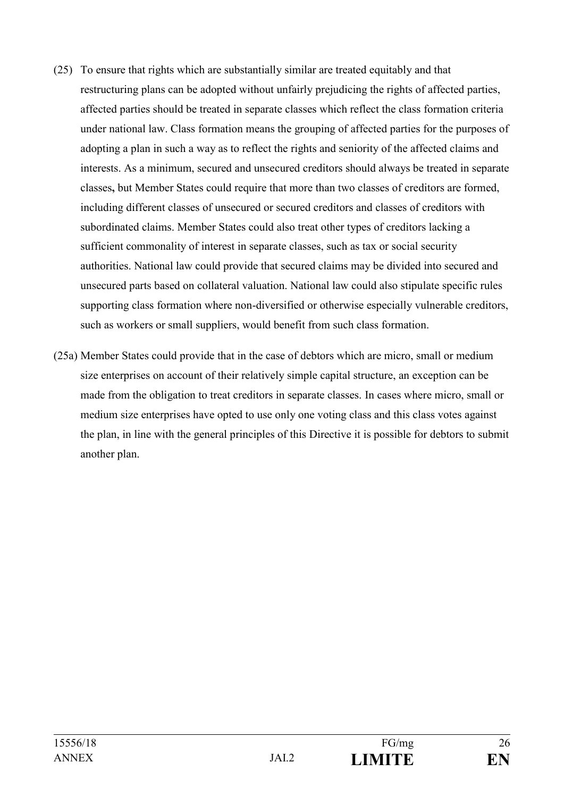- (25) To ensure that rights which are substantially similar are treated equitably and that restructuring plans can be adopted without unfairly prejudicing the rights of affected parties, affected parties should be treated in separate classes which reflect the class formation criteria under national law. Class formation means the grouping of affected parties for the purposes of adopting a plan in such a way as to reflect the rights and seniority of the affected claims and interests. As a minimum, secured and unsecured creditors should always be treated in separate classes**,** but Member States could require that more than two classes of creditors are formed, including different classes of unsecured or secured creditors and classes of creditors with subordinated claims. Member States could also treat other types of creditors lacking a sufficient commonality of interest in separate classes, such as tax or social security authorities. National law could provide that secured claims may be divided into secured and unsecured parts based on collateral valuation. National law could also stipulate specific rules supporting class formation where non-diversified or otherwise especially vulnerable creditors, such as workers or small suppliers, would benefit from such class formation.
- (25a) Member States could provide that in the case of debtors which are micro, small or medium size enterprises on account of their relatively simple capital structure, an exception can be made from the obligation to treat creditors in separate classes. In cases where micro, small or medium size enterprises have opted to use only one voting class and this class votes against the plan, in line with the general principles of this Directive it is possible for debtors to submit another plan.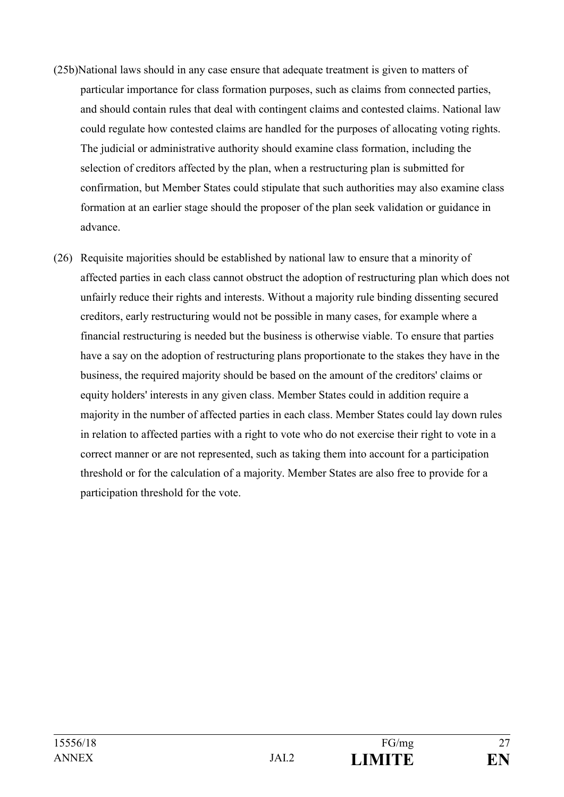- (25b)National laws should in any case ensure that adequate treatment is given to matters of particular importance for class formation purposes, such as claims from connected parties, and should contain rules that deal with contingent claims and contested claims. National law could regulate how contested claims are handled for the purposes of allocating voting rights. The judicial or administrative authority should examine class formation, including the selection of creditors affected by the plan, when a restructuring plan is submitted for confirmation, but Member States could stipulate that such authorities may also examine class formation at an earlier stage should the proposer of the plan seek validation or guidance in advance.
- (26) Requisite majorities should be established by national law to ensure that a minority of affected parties in each class cannot obstruct the adoption of restructuring plan which does not unfairly reduce their rights and interests. Without a majority rule binding dissenting secured creditors, early restructuring would not be possible in many cases, for example where a financial restructuring is needed but the business is otherwise viable. To ensure that parties have a say on the adoption of restructuring plans proportionate to the stakes they have in the business, the required majority should be based on the amount of the creditors' claims or equity holders' interests in any given class. Member States could in addition require a majority in the number of affected parties in each class. Member States could lay down rules in relation to affected parties with a right to vote who do not exercise their right to vote in a correct manner or are not represented, such as taking them into account for a participation threshold or for the calculation of a majority. Member States are also free to provide for a participation threshold for the vote.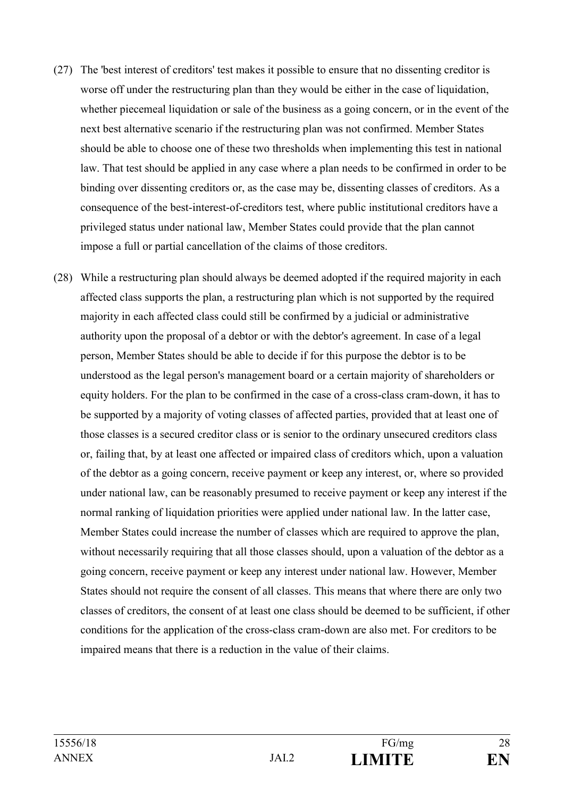- (27) The 'best interest of creditors' test makes it possible to ensure that no dissenting creditor is worse off under the restructuring plan than they would be either in the case of liquidation, whether piecemeal liquidation or sale of the business as a going concern, or in the event of the next best alternative scenario if the restructuring plan was not confirmed. Member States should be able to choose one of these two thresholds when implementing this test in national law. That test should be applied in any case where a plan needs to be confirmed in order to be binding over dissenting creditors or, as the case may be, dissenting classes of creditors. As a consequence of the best-interest-of-creditors test, where public institutional creditors have a privileged status under national law, Member States could provide that the plan cannot impose a full or partial cancellation of the claims of those creditors.
- (28) While a restructuring plan should always be deemed adopted if the required majority in each affected class supports the plan, a restructuring plan which is not supported by the required majority in each affected class could still be confirmed by a judicial or administrative authority upon the proposal of a debtor or with the debtor's agreement. In case of a legal person, Member States should be able to decide if for this purpose the debtor is to be understood as the legal person's management board or a certain majority of shareholders or equity holders. For the plan to be confirmed in the case of a cross-class cram-down, it has to be supported by a majority of voting classes of affected parties, provided that at least one of those classes is a secured creditor class or is senior to the ordinary unsecured creditors class or, failing that, by at least one affected or impaired class of creditors which, upon a valuation of the debtor as a going concern, receive payment or keep any interest, or, where so provided under national law, can be reasonably presumed to receive payment or keep any interest if the normal ranking of liquidation priorities were applied under national law. In the latter case, Member States could increase the number of classes which are required to approve the plan, without necessarily requiring that all those classes should, upon a valuation of the debtor as a going concern, receive payment or keep any interest under national law. However, Member States should not require the consent of all classes. This means that where there are only two classes of creditors, the consent of at least one class should be deemed to be sufficient, if other conditions for the application of the cross-class cram-down are also met. For creditors to be impaired means that there is a reduction in the value of their claims.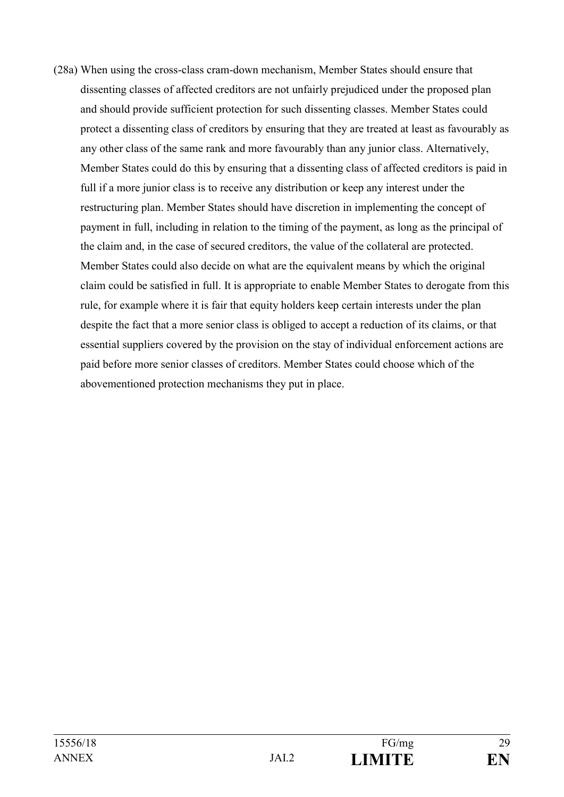(28a) When using the cross-class cram-down mechanism, Member States should ensure that dissenting classes of affected creditors are not unfairly prejudiced under the proposed plan and should provide sufficient protection for such dissenting classes. Member States could protect a dissenting class of creditors by ensuring that they are treated at least as favourably as any other class of the same rank and more favourably than any junior class. Alternatively, Member States could do this by ensuring that a dissenting class of affected creditors is paid in full if a more junior class is to receive any distribution or keep any interest under the restructuring plan. Member States should have discretion in implementing the concept of payment in full, including in relation to the timing of the payment, as long as the principal of the claim and, in the case of secured creditors, the value of the collateral are protected. Member States could also decide on what are the equivalent means by which the original claim could be satisfied in full. It is appropriate to enable Member States to derogate from this rule, for example where it is fair that equity holders keep certain interests under the plan despite the fact that a more senior class is obliged to accept a reduction of its claims, or that essential suppliers covered by the provision on the stay of individual enforcement actions are paid before more senior classes of creditors. Member States could choose which of the abovementioned protection mechanisms they put in place.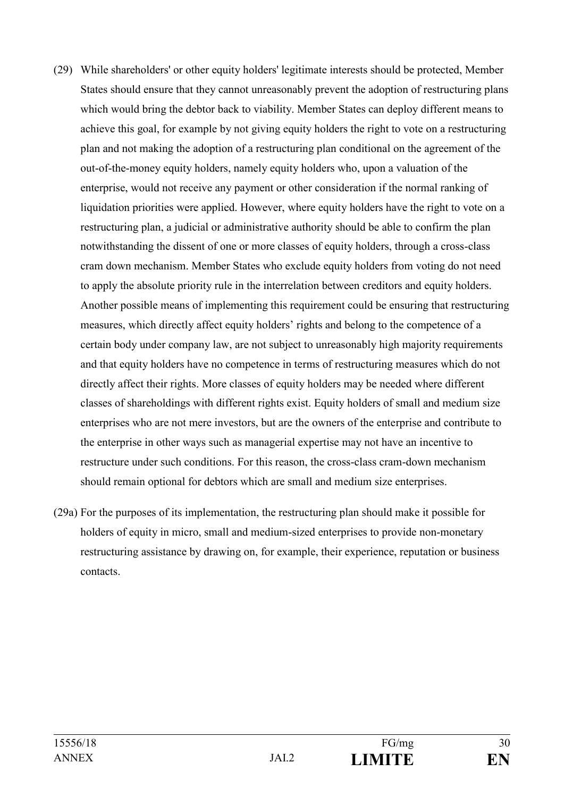- (29) While shareholders' or other equity holders' legitimate interests should be protected, Member States should ensure that they cannot unreasonably prevent the adoption of restructuring plans which would bring the debtor back to viability. Member States can deploy different means to achieve this goal, for example by not giving equity holders the right to vote on a restructuring plan and not making the adoption of a restructuring plan conditional on the agreement of the out-of-the-money equity holders, namely equity holders who, upon a valuation of the enterprise, would not receive any payment or other consideration if the normal ranking of liquidation priorities were applied. However, where equity holders have the right to vote on a restructuring plan, a judicial or administrative authority should be able to confirm the plan notwithstanding the dissent of one or more classes of equity holders, through a cross-class cram down mechanism. Member States who exclude equity holders from voting do not need to apply the absolute priority rule in the interrelation between creditors and equity holders. Another possible means of implementing this requirement could be ensuring that restructuring measures, which directly affect equity holders' rights and belong to the competence of a certain body under company law, are not subject to unreasonably high majority requirements and that equity holders have no competence in terms of restructuring measures which do not directly affect their rights. More classes of equity holders may be needed where different classes of shareholdings with different rights exist. Equity holders of small and medium size enterprises who are not mere investors, but are the owners of the enterprise and contribute to the enterprise in other ways such as managerial expertise may not have an incentive to restructure under such conditions. For this reason, the cross-class cram-down mechanism should remain optional for debtors which are small and medium size enterprises.
- (29a) For the purposes of its implementation, the restructuring plan should make it possible for holders of equity in micro, small and medium-sized enterprises to provide non-monetary restructuring assistance by drawing on, for example, their experience, reputation or business contacts.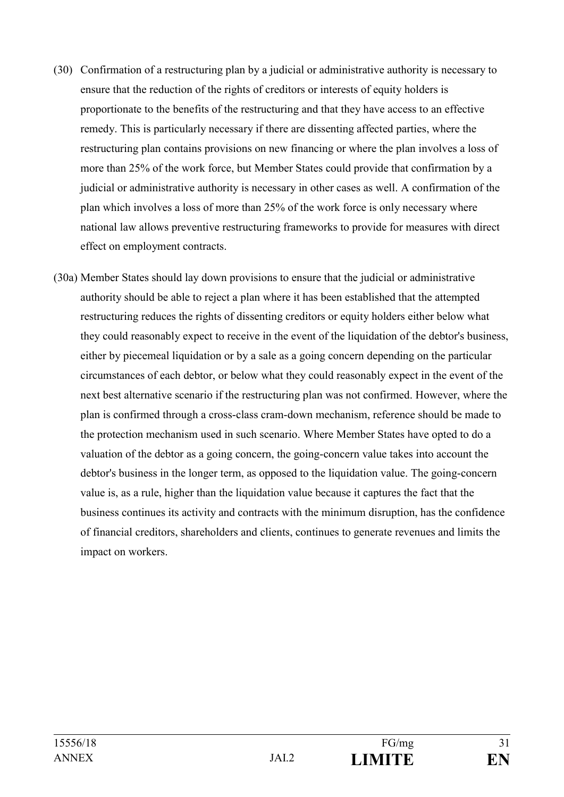- (30) Confirmation of a restructuring plan by a judicial or administrative authority is necessary to ensure that the reduction of the rights of creditors or interests of equity holders is proportionate to the benefits of the restructuring and that they have access to an effective remedy. This is particularly necessary if there are dissenting affected parties, where the restructuring plan contains provisions on new financing or where the plan involves a loss of more than 25% of the work force, but Member States could provide that confirmation by a judicial or administrative authority is necessary in other cases as well. A confirmation of the plan which involves a loss of more than 25% of the work force is only necessary where national law allows preventive restructuring frameworks to provide for measures with direct effect on employment contracts.
- (30a) Member States should lay down provisions to ensure that the judicial or administrative authority should be able to reject a plan where it has been established that the attempted restructuring reduces the rights of dissenting creditors or equity holders either below what they could reasonably expect to receive in the event of the liquidation of the debtor's business, either by piecemeal liquidation or by a sale as a going concern depending on the particular circumstances of each debtor, or below what they could reasonably expect in the event of the next best alternative scenario if the restructuring plan was not confirmed. However, where the plan is confirmed through a cross-class cram-down mechanism, reference should be made to the protection mechanism used in such scenario. Where Member States have opted to do a valuation of the debtor as a going concern, the going-concern value takes into account the debtor's business in the longer term, as opposed to the liquidation value. The going-concern value is, as a rule, higher than the liquidation value because it captures the fact that the business continues its activity and contracts with the minimum disruption, has the confidence of financial creditors, shareholders and clients, continues to generate revenues and limits the impact on workers.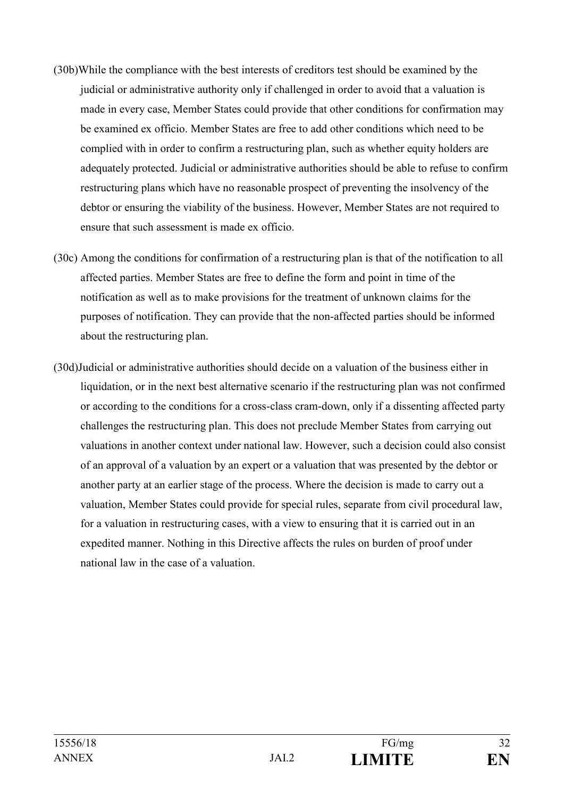- (30b)While the compliance with the best interests of creditors test should be examined by the judicial or administrative authority only if challenged in order to avoid that a valuation is made in every case, Member States could provide that other conditions for confirmation may be examined ex officio. Member States are free to add other conditions which need to be complied with in order to confirm a restructuring plan, such as whether equity holders are adequately protected. Judicial or administrative authorities should be able to refuse to confirm restructuring plans which have no reasonable prospect of preventing the insolvency of the debtor or ensuring the viability of the business. However, Member States are not required to ensure that such assessment is made ex officio.
- (30c) Among the conditions for confirmation of a restructuring plan is that of the notification to all affected parties. Member States are free to define the form and point in time of the notification as well as to make provisions for the treatment of unknown claims for the purposes of notification. They can provide that the non-affected parties should be informed about the restructuring plan.
- (30d)Judicial or administrative authorities should decide on a valuation of the business either in liquidation, or in the next best alternative scenario if the restructuring plan was not confirmed or according to the conditions for a cross-class cram-down, only if a dissenting affected party challenges the restructuring plan. This does not preclude Member States from carrying out valuations in another context under national law. However, such a decision could also consist of an approval of a valuation by an expert or a valuation that was presented by the debtor or another party at an earlier stage of the process. Where the decision is made to carry out a valuation, Member States could provide for special rules, separate from civil procedural law, for a valuation in restructuring cases, with a view to ensuring that it is carried out in an expedited manner. Nothing in this Directive affects the rules on burden of proof under national law in the case of a valuation.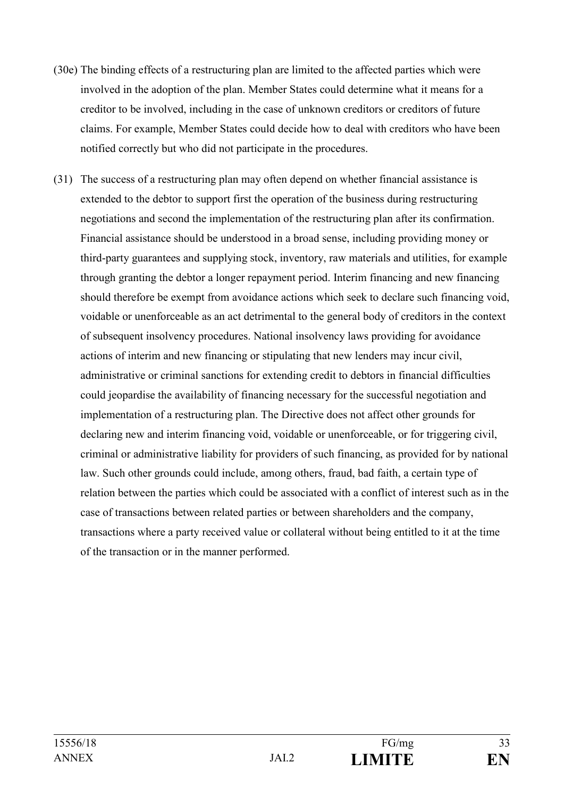- (30e) The binding effects of a restructuring plan are limited to the affected parties which were involved in the adoption of the plan. Member States could determine what it means for a creditor to be involved, including in the case of unknown creditors or creditors of future claims. For example, Member States could decide how to deal with creditors who have been notified correctly but who did not participate in the procedures.
- (31) The success of a restructuring plan may often depend on whether financial assistance is extended to the debtor to support first the operation of the business during restructuring negotiations and second the implementation of the restructuring plan after its confirmation. Financial assistance should be understood in a broad sense, including providing money or third-party guarantees and supplying stock, inventory, raw materials and utilities, for example through granting the debtor a longer repayment period. Interim financing and new financing should therefore be exempt from avoidance actions which seek to declare such financing void, voidable or unenforceable as an act detrimental to the general body of creditors in the context of subsequent insolvency procedures. National insolvency laws providing for avoidance actions of interim and new financing or stipulating that new lenders may incur civil, administrative or criminal sanctions for extending credit to debtors in financial difficulties could jeopardise the availability of financing necessary for the successful negotiation and implementation of a restructuring plan. The Directive does not affect other grounds for declaring new and interim financing void, voidable or unenforceable, or for triggering civil, criminal or administrative liability for providers of such financing, as provided for by national law. Such other grounds could include, among others, fraud, bad faith, a certain type of relation between the parties which could be associated with a conflict of interest such as in the case of transactions between related parties or between shareholders and the company, transactions where a party received value or collateral without being entitled to it at the time of the transaction or in the manner performed.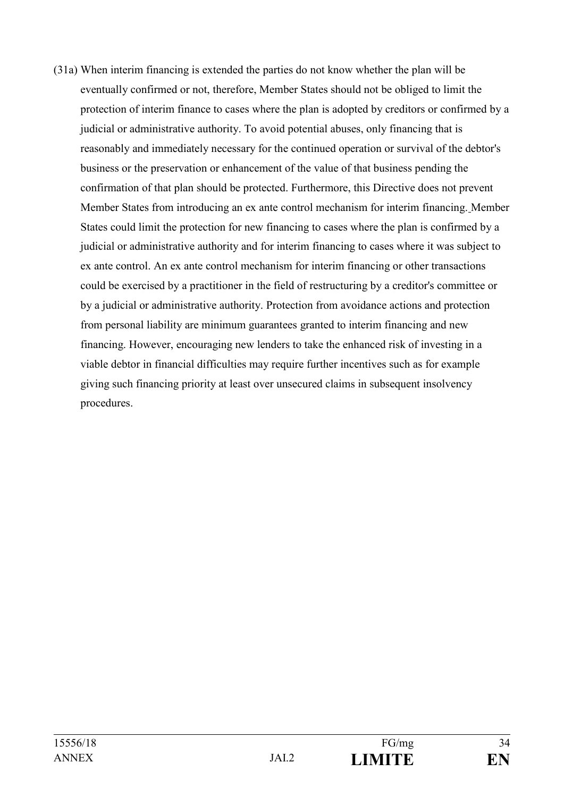(31a) When interim financing is extended the parties do not know whether the plan will be eventually confirmed or not, therefore, Member States should not be obliged to limit the protection of interim finance to cases where the plan is adopted by creditors or confirmed by a judicial or administrative authority. To avoid potential abuses, only financing that is reasonably and immediately necessary for the continued operation or survival of the debtor's business or the preservation or enhancement of the value of that business pending the confirmation of that plan should be protected. Furthermore, this Directive does not prevent Member States from introducing an ex ante control mechanism for interim financing. Member States could limit the protection for new financing to cases where the plan is confirmed by a judicial or administrative authority and for interim financing to cases where it was subject to ex ante control. An ex ante control mechanism for interim financing or other transactions could be exercised by a practitioner in the field of restructuring by a creditor's committee or by a judicial or administrative authority. Protection from avoidance actions and protection from personal liability are minimum guarantees granted to interim financing and new financing. However, encouraging new lenders to take the enhanced risk of investing in a viable debtor in financial difficulties may require further incentives such as for example giving such financing priority at least over unsecured claims in subsequent insolvency procedures.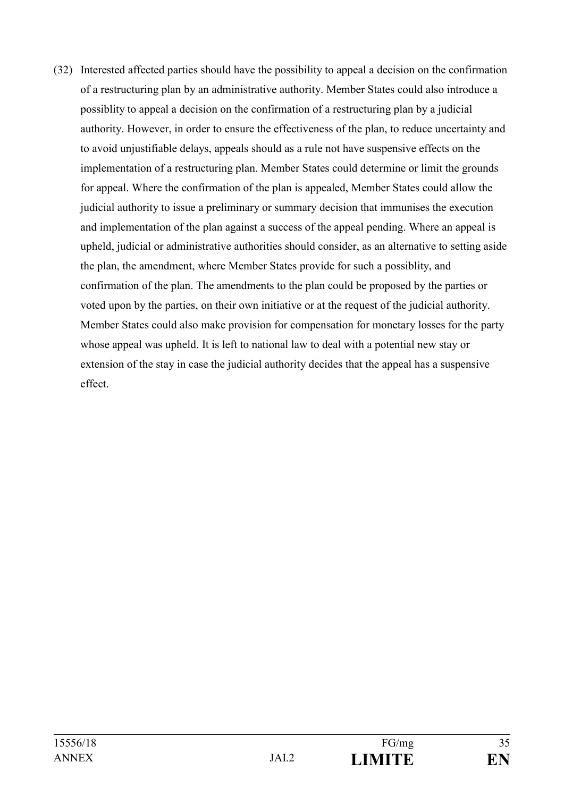(32) Interested affected parties should have the possibility to appeal a decision on the confirmation of a restructuring plan by an administrative authority. Member States could also introduce a possiblity to appeal a decision on the confirmation of a restructuring plan by a judicial authority. However, in order to ensure the effectiveness of the plan, to reduce uncertainty and to avoid unjustifiable delays, appeals should as a rule not have suspensive effects on the implementation of a restructuring plan. Member States could determine or limit the grounds for appeal. Where the confirmation of the plan is appealed, Member States could allow the judicial authority to issue a preliminary or summary decision that immunises the execution and implementation of the plan against a success of the appeal pending. Where an appeal is upheld, judicial or administrative authorities should consider, as an alternative to setting aside the plan, the amendment, where Member States provide for such a possiblity, and confirmation of the plan. The amendments to the plan could be proposed by the parties or voted upon by the parties, on their own initiative or at the request of the judicial authority. Member States could also make provision for compensation for monetary losses for the party whose appeal was upheld. It is left to national law to deal with a potential new stay or extension of the stay in case the judicial authority decides that the appeal has a suspensive effect.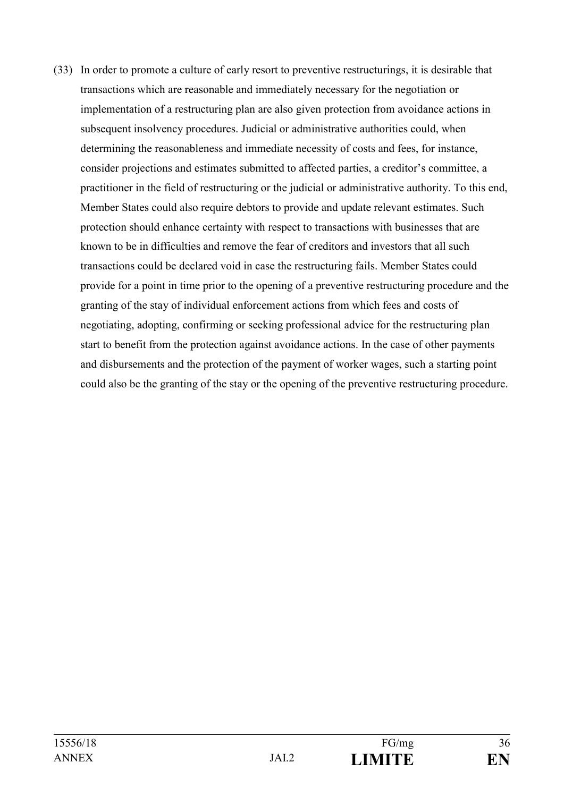(33) In order to promote a culture of early resort to preventive restructurings, it is desirable that transactions which are reasonable and immediately necessary for the negotiation or implementation of a restructuring plan are also given protection from avoidance actions in subsequent insolvency procedures. Judicial or administrative authorities could, when determining the reasonableness and immediate necessity of costs and fees, for instance, consider projections and estimates submitted to affected parties, a creditor's committee, a practitioner in the field of restructuring or the judicial or administrative authority. To this end, Member States could also require debtors to provide and update relevant estimates. Such protection should enhance certainty with respect to transactions with businesses that are known to be in difficulties and remove the fear of creditors and investors that all such transactions could be declared void in case the restructuring fails. Member States could provide for a point in time prior to the opening of a preventive restructuring procedure and the granting of the stay of individual enforcement actions from which fees and costs of negotiating, adopting, confirming or seeking professional advice for the restructuring plan start to benefit from the protection against avoidance actions. In the case of other payments and disbursements and the protection of the payment of worker wages, such a starting point could also be the granting of the stay or the opening of the preventive restructuring procedure.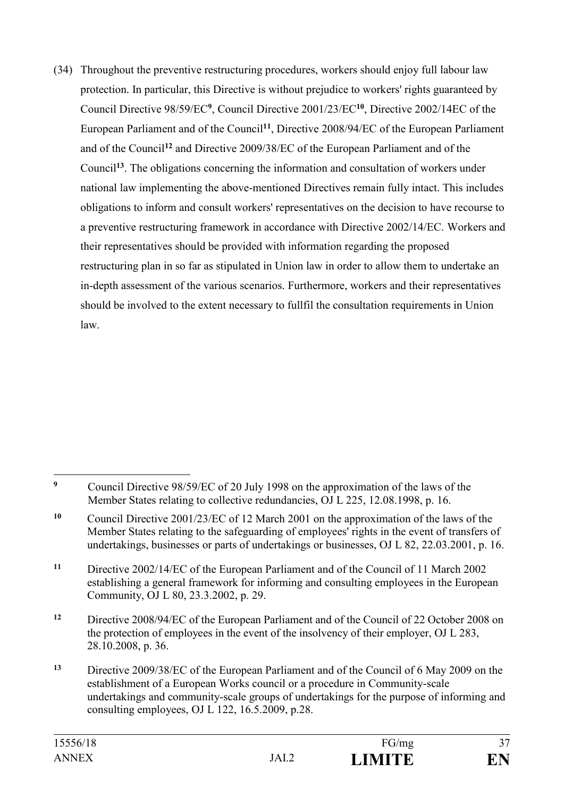(34) Throughout the preventive restructuring procedures, workers should enjoy full labour law protection. In particular, this Directive is without prejudice to workers' rights guaranteed by Council Directive 98/59/EC**<sup>9</sup>** , Council Directive 2001/23/EC**<sup>10</sup>**, Directive 2002/14EC of the European Parliament and of the Council**<sup>11</sup>**, Directive 2008/94/EC of the European Parliament and of the Council**<sup>12</sup>** and Directive 2009/38/EC of the European Parliament and of the Council**<sup>13</sup>**. The obligations concerning the information and consultation of workers under national law implementing the above-mentioned Directives remain fully intact. This includes obligations to inform and consult workers' representatives on the decision to have recourse to a preventive restructuring framework in accordance with Directive 2002/14/EC. Workers and their representatives should be provided with information regarding the proposed restructuring plan in so far as stipulated in Union law in order to allow them to undertake an in-depth assessment of the various scenarios. Furthermore, workers and their representatives should be involved to the extent necessary to fullfil the consultation requirements in Union law.

 $\overline{9}$ **<sup>9</sup>** Council Directive 98/59/EC of 20 July 1998 on the approximation of the laws of the Member States relating to collective redundancies, OJ L 225, 12.08.1998, p. 16.

**<sup>10</sup>** Council Directive 2001/23/EC of 12 March 2001 on the approximation of the laws of the Member States relating to the safeguarding of employees' rights in the event of transfers of undertakings, businesses or parts of undertakings or businesses, OJ L 82, 22.03.2001, p. 16.

**<sup>11</sup>** Directive 2002/14/EC of the European Parliament and of the Council of 11 March 2002 establishing a general framework for informing and consulting employees in the European Community, OJ L 80, 23.3.2002, p. 29.

**<sup>12</sup>** Directive 2008/94/EC of the European Parliament and of the Council of 22 October 2008 on the protection of employees in the event of the insolvency of their employer, OJ L 283, 28.10.2008, p. 36.

**<sup>13</sup>** Directive 2009/38/EC of the European Parliament and of the Council of 6 May 2009 on the establishment of a European Works council or a procedure in Community-scale undertakings and community-scale groups of undertakings for the purpose of informing and consulting employees, OJ L 122, 16.5.2009, p.28.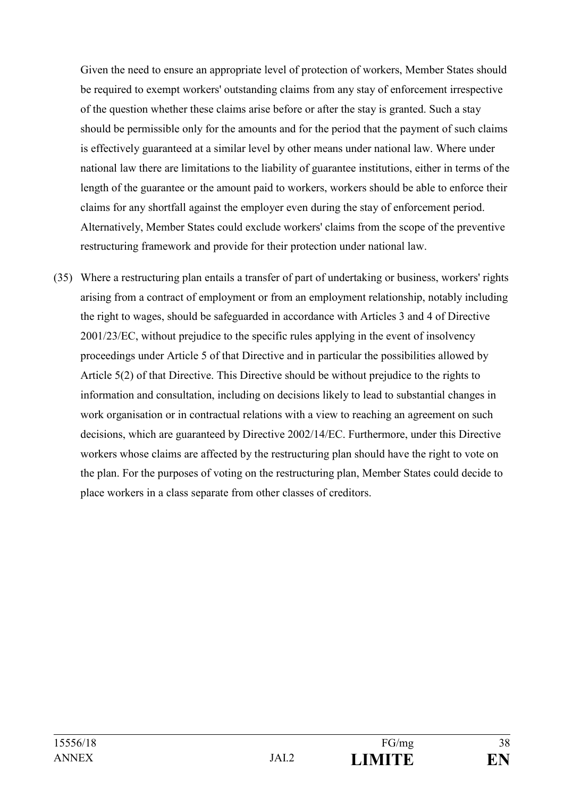Given the need to ensure an appropriate level of protection of workers, Member States should be required to exempt workers' outstanding claims from any stay of enforcement irrespective of the question whether these claims arise before or after the stay is granted. Such a stay should be permissible only for the amounts and for the period that the payment of such claims is effectively guaranteed at a similar level by other means under national law. Where under national law there are limitations to the liability of guarantee institutions, either in terms of the length of the guarantee or the amount paid to workers, workers should be able to enforce their claims for any shortfall against the employer even during the stay of enforcement period. Alternatively, Member States could exclude workers' claims from the scope of the preventive restructuring framework and provide for their protection under national law.

(35) Where a restructuring plan entails a transfer of part of undertaking or business, workers' rights arising from a contract of employment or from an employment relationship, notably including the right to wages, should be safeguarded in accordance with Articles 3 and 4 of Directive 2001/23/EC, without prejudice to the specific rules applying in the event of insolvency proceedings under Article 5 of that Directive and in particular the possibilities allowed by Article 5(2) of that Directive. This Directive should be without prejudice to the rights to information and consultation, including on decisions likely to lead to substantial changes in work organisation or in contractual relations with a view to reaching an agreement on such decisions, which are guaranteed by Directive 2002/14/EC. Furthermore, under this Directive workers whose claims are affected by the restructuring plan should have the right to vote on the plan. For the purposes of voting on the restructuring plan, Member States could decide to place workers in a class separate from other classes of creditors.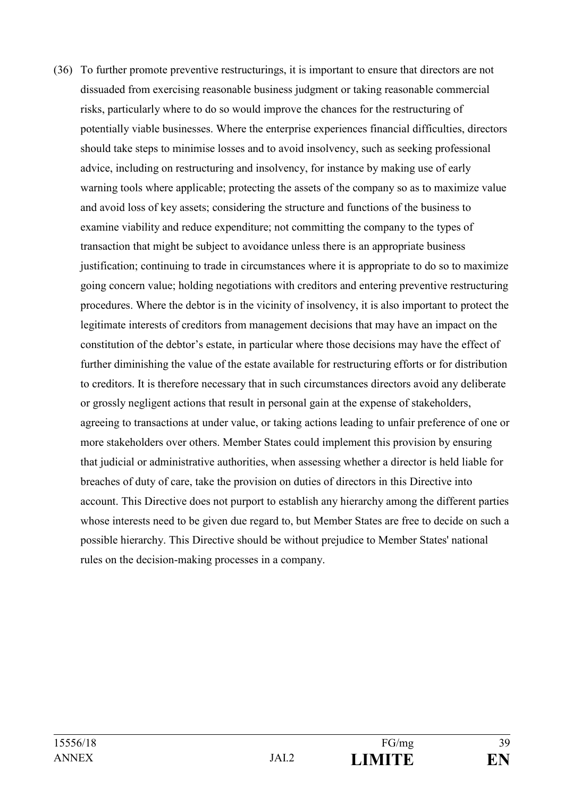(36) To further promote preventive restructurings, it is important to ensure that directors are not dissuaded from exercising reasonable business judgment or taking reasonable commercial risks, particularly where to do so would improve the chances for the restructuring of potentially viable businesses. Where the enterprise experiences financial difficulties, directors should take steps to minimise losses and to avoid insolvency, such as seeking professional advice, including on restructuring and insolvency, for instance by making use of early warning tools where applicable; protecting the assets of the company so as to maximize value and avoid loss of key assets; considering the structure and functions of the business to examine viability and reduce expenditure; not committing the company to the types of transaction that might be subject to avoidance unless there is an appropriate business justification; continuing to trade in circumstances where it is appropriate to do so to maximize going concern value; holding negotiations with creditors and entering preventive restructuring procedures. Where the debtor is in the vicinity of insolvency, it is also important to protect the legitimate interests of creditors from management decisions that may have an impact on the constitution of the debtor's estate, in particular where those decisions may have the effect of further diminishing the value of the estate available for restructuring efforts or for distribution to creditors. It is therefore necessary that in such circumstances directors avoid any deliberate or grossly negligent actions that result in personal gain at the expense of stakeholders, agreeing to transactions at under value, or taking actions leading to unfair preference of one or more stakeholders over others. Member States could implement this provision by ensuring that judicial or administrative authorities, when assessing whether a director is held liable for breaches of duty of care, take the provision on duties of directors in this Directive into account. This Directive does not purport to establish any hierarchy among the different parties whose interests need to be given due regard to, but Member States are free to decide on such a possible hierarchy. This Directive should be without prejudice to Member States' national rules on the decision-making processes in a company.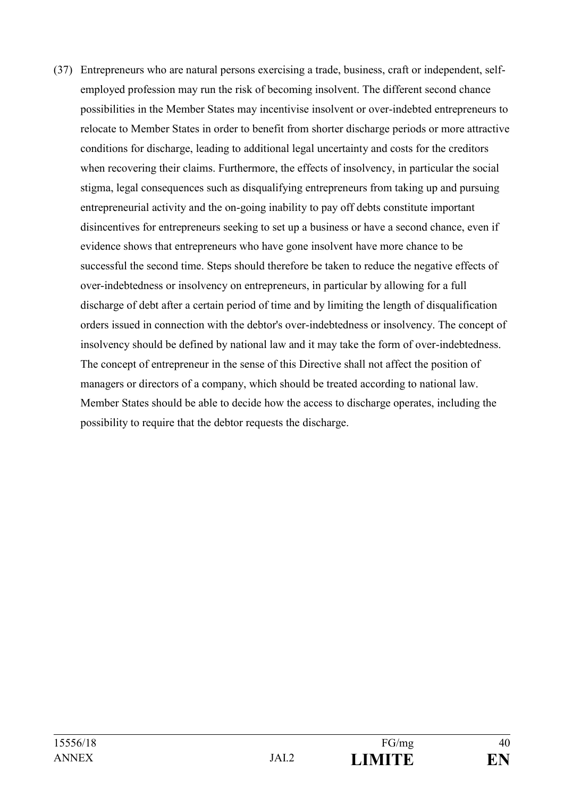(37) Entrepreneurs who are natural persons exercising a trade, business, craft or independent, selfemployed profession may run the risk of becoming insolvent. The different second chance possibilities in the Member States may incentivise insolvent or over-indebted entrepreneurs to relocate to Member States in order to benefit from shorter discharge periods or more attractive conditions for discharge, leading to additional legal uncertainty and costs for the creditors when recovering their claims. Furthermore, the effects of insolvency, in particular the social stigma, legal consequences such as disqualifying entrepreneurs from taking up and pursuing entrepreneurial activity and the on-going inability to pay off debts constitute important disincentives for entrepreneurs seeking to set up a business or have a second chance, even if evidence shows that entrepreneurs who have gone insolvent have more chance to be successful the second time. Steps should therefore be taken to reduce the negative effects of over-indebtedness or insolvency on entrepreneurs, in particular by allowing for a full discharge of debt after a certain period of time and by limiting the length of disqualification orders issued in connection with the debtor's over-indebtedness or insolvency. The concept of insolvency should be defined by national law and it may take the form of over-indebtedness. The concept of entrepreneur in the sense of this Directive shall not affect the position of managers or directors of a company, which should be treated according to national law. Member States should be able to decide how the access to discharge operates, including the possibility to require that the debtor requests the discharge.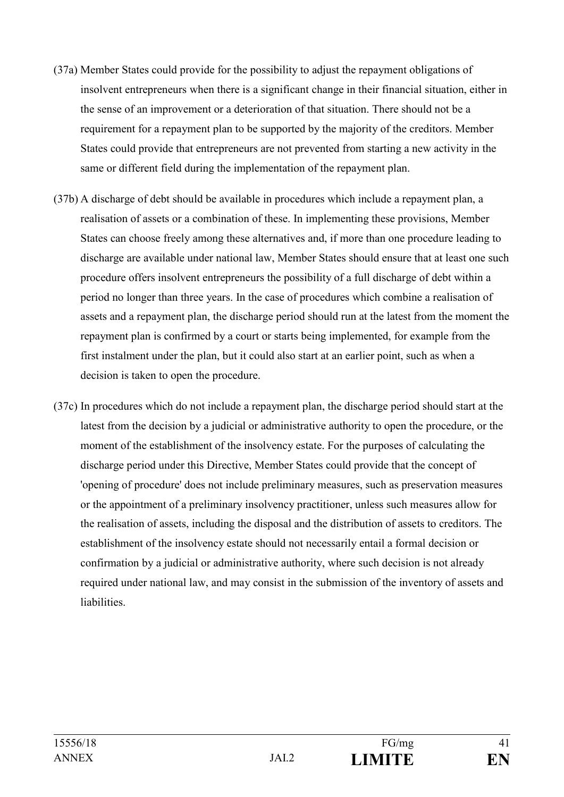- (37a) Member States could provide for the possibility to adjust the repayment obligations of insolvent entrepreneurs when there is a significant change in their financial situation, either in the sense of an improvement or a deterioration of that situation. There should not be a requirement for a repayment plan to be supported by the majority of the creditors. Member States could provide that entrepreneurs are not prevented from starting a new activity in the same or different field during the implementation of the repayment plan.
- (37b) A discharge of debt should be available in procedures which include a repayment plan, a realisation of assets or a combination of these. In implementing these provisions, Member States can choose freely among these alternatives and, if more than one procedure leading to discharge are available under national law, Member States should ensure that at least one such procedure offers insolvent entrepreneurs the possibility of a full discharge of debt within a period no longer than three years. In the case of procedures which combine a realisation of assets and a repayment plan, the discharge period should run at the latest from the moment the repayment plan is confirmed by a court or starts being implemented, for example from the first instalment under the plan, but it could also start at an earlier point, such as when a decision is taken to open the procedure.
- (37c) In procedures which do not include a repayment plan, the discharge period should start at the latest from the decision by a judicial or administrative authority to open the procedure, or the moment of the establishment of the insolvency estate. For the purposes of calculating the discharge period under this Directive, Member States could provide that the concept of 'opening of procedure' does not include preliminary measures, such as preservation measures or the appointment of a preliminary insolvency practitioner, unless such measures allow for the realisation of assets, including the disposal and the distribution of assets to creditors. The establishment of the insolvency estate should not necessarily entail a formal decision or confirmation by a judicial or administrative authority, where such decision is not already required under national law, and may consist in the submission of the inventory of assets and liabilities.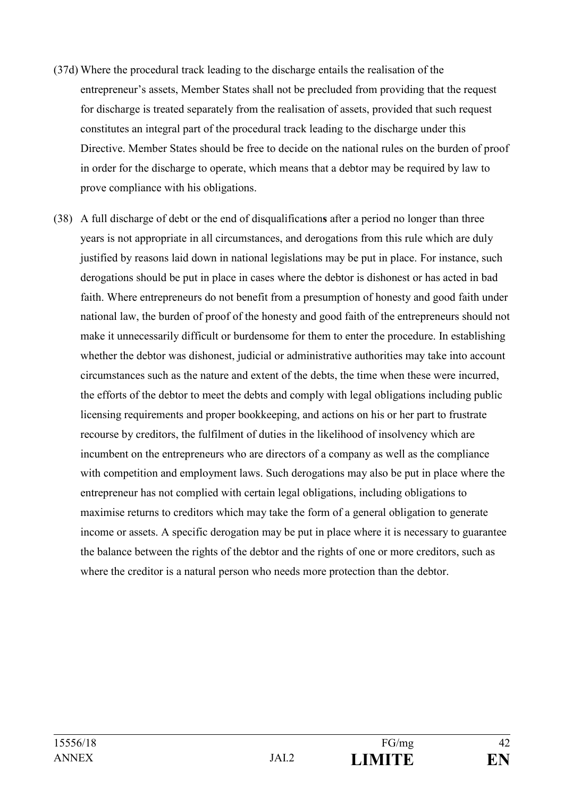- (37d) Where the procedural track leading to the discharge entails the realisation of the entrepreneur's assets, Member States shall not be precluded from providing that the request for discharge is treated separately from the realisation of assets, provided that such request constitutes an integral part of the procedural track leading to the discharge under this Directive. Member States should be free to decide on the national rules on the burden of proof in order for the discharge to operate, which means that a debtor may be required by law to prove compliance with his obligations.
- (38) A full discharge of debt or the end of disqualification**s** after a period no longer than three years is not appropriate in all circumstances, and derogations from this rule which are duly justified by reasons laid down in national legislations may be put in place. For instance, such derogations should be put in place in cases where the debtor is dishonest or has acted in bad faith. Where entrepreneurs do not benefit from a presumption of honesty and good faith under national law, the burden of proof of the honesty and good faith of the entrepreneurs should not make it unnecessarily difficult or burdensome for them to enter the procedure. In establishing whether the debtor was dishonest, judicial or administrative authorities may take into account circumstances such as the nature and extent of the debts, the time when these were incurred, the efforts of the debtor to meet the debts and comply with legal obligations including public licensing requirements and proper bookkeeping, and actions on his or her part to frustrate recourse by creditors, the fulfilment of duties in the likelihood of insolvency which are incumbent on the entrepreneurs who are directors of a company as well as the compliance with competition and employment laws. Such derogations may also be put in place where the entrepreneur has not complied with certain legal obligations, including obligations to maximise returns to creditors which may take the form of a general obligation to generate income or assets. A specific derogation may be put in place where it is necessary to guarantee the balance between the rights of the debtor and the rights of one or more creditors, such as where the creditor is a natural person who needs more protection than the debtor.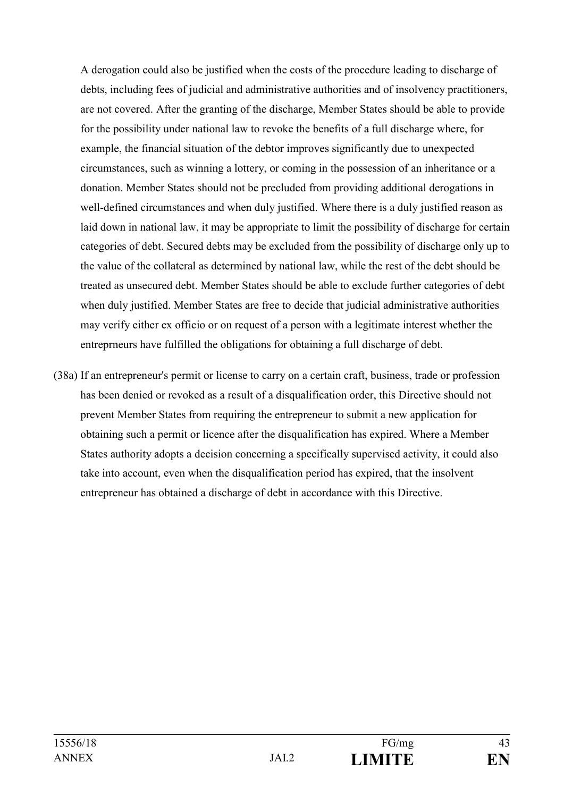A derogation could also be justified when the costs of the procedure leading to discharge of debts, including fees of judicial and administrative authorities and of insolvency practitioners, are not covered. After the granting of the discharge, Member States should be able to provide for the possibility under national law to revoke the benefits of a full discharge where, for example, the financial situation of the debtor improves significantly due to unexpected circumstances, such as winning a lottery, or coming in the possession of an inheritance or a donation. Member States should not be precluded from providing additional derogations in well-defined circumstances and when duly justified. Where there is a duly justified reason as laid down in national law, it may be appropriate to limit the possibility of discharge for certain categories of debt. Secured debts may be excluded from the possibility of discharge only up to the value of the collateral as determined by national law, while the rest of the debt should be treated as unsecured debt. Member States should be able to exclude further categories of debt when duly justified. Member States are free to decide that judicial administrative authorities may verify either ex officio or on request of a person with a legitimate interest whether the entreprneurs have fulfilled the obligations for obtaining a full discharge of debt.

(38a) If an entrepreneur's permit or license to carry on a certain craft, business, trade or profession has been denied or revoked as a result of a disqualification order, this Directive should not prevent Member States from requiring the entrepreneur to submit a new application for obtaining such a permit or licence after the disqualification has expired. Where a Member States authority adopts a decision concerning a specifically supervised activity, it could also take into account, even when the disqualification period has expired, that the insolvent entrepreneur has obtained a discharge of debt in accordance with this Directive.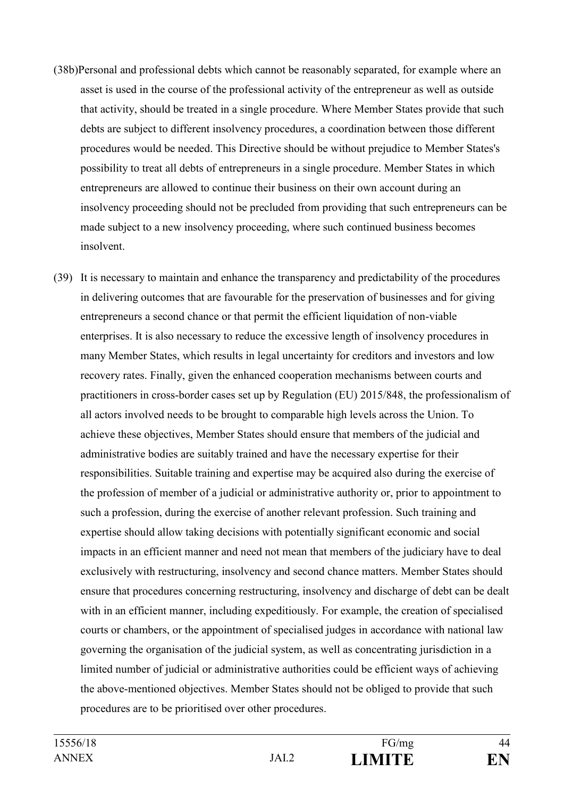- (38b)Personal and professional debts which cannot be reasonably separated, for example where an asset is used in the course of the professional activity of the entrepreneur as well as outside that activity, should be treated in a single procedure. Where Member States provide that such debts are subject to different insolvency procedures, a coordination between those different procedures would be needed. This Directive should be without prejudice to Member States's possibility to treat all debts of entrepreneurs in a single procedure. Member States in which entrepreneurs are allowed to continue their business on their own account during an insolvency proceeding should not be precluded from providing that such entrepreneurs can be made subject to a new insolvency proceeding, where such continued business becomes insolvent.
- (39) It is necessary to maintain and enhance the transparency and predictability of the procedures in delivering outcomes that are favourable for the preservation of businesses and for giving entrepreneurs a second chance or that permit the efficient liquidation of non-viable enterprises. It is also necessary to reduce the excessive length of insolvency procedures in many Member States, which results in legal uncertainty for creditors and investors and low recovery rates. Finally, given the enhanced cooperation mechanisms between courts and practitioners in cross-border cases set up by Regulation (EU) 2015/848, the professionalism of all actors involved needs to be brought to comparable high levels across the Union. To achieve these objectives, Member States should ensure that members of the judicial and administrative bodies are suitably trained and have the necessary expertise for their responsibilities. Suitable training and expertise may be acquired also during the exercise of the profession of member of a judicial or administrative authority or, prior to appointment to such a profession, during the exercise of another relevant profession. Such training and expertise should allow taking decisions with potentially significant economic and social impacts in an efficient manner and need not mean that members of the judiciary have to deal exclusively with restructuring, insolvency and second chance matters. Member States should ensure that procedures concerning restructuring, insolvency and discharge of debt can be dealt with in an efficient manner, including expeditiously. For example, the creation of specialised courts or chambers, or the appointment of specialised judges in accordance with national law governing the organisation of the judicial system, as well as concentrating jurisdiction in a limited number of judicial or administrative authorities could be efficient ways of achieving the above-mentioned objectives. Member States should not be obliged to provide that such procedures are to be prioritised over other procedures.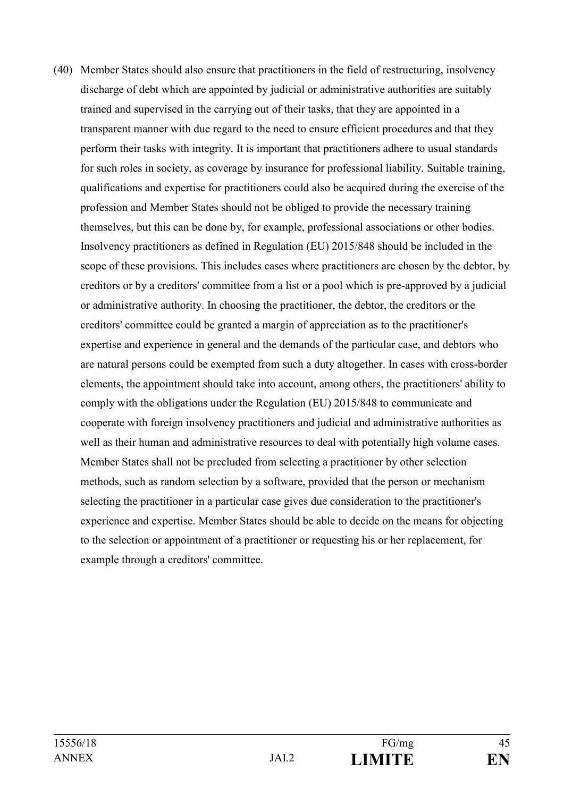(40) Member States should also ensure that practitioners in the field of restructuring, insolvency discharge of debt which are appointed by judicial or administrative authorities are suitably trained and supervised in the carrying out of their tasks, that they are appointed in a transparent manner with due regard to the need to ensure efficient procedures and that they perform their tasks with integrity. It is important that practitioners adhere to usual standards for such roles in society, as coverage by insurance for professional liability. Suitable training, qualifications and expertise for practitioners could also be acquired during the exercise of the profession and Member States should not be obliged to provide the necessary training themselves, but this can be done by, for example, professional associations or other bodies. Insolvency practitioners as defined in Regulation (EU) 2015/848 should be included in the scope of these provisions. This includes cases where practitioners are chosen by the debtor, by creditors or by a creditors' committee from a list or a pool which is pre-approved by a judicial or administrative authority. In choosing the practitioner, the debtor, the creditors or the creditors' committee could be granted a margin of appreciation as to the practitioner's expertise and experience in general and the demands of the particular case, and debtors who are natural persons could be exempted from such a duty altogether. In cases with cross-border elements, the appointment should take into account, among others, the practitioners' ability to comply with the obligations under the Regulation (EU) 2015/848 to communicate and cooperate with foreign insolvency practitioners and judicial and administrative authorities as well as their human and administrative resources to deal with potentially high volume cases. Member States shall not be precluded from selecting a practitioner by other selection methods, such as random selection by a software, provided that the person or mechanism selecting the practitioner in a particular case gives due consideration to the practitioner's experience and expertise. Member States should be able to decide on the means for objecting to the selection or appointment of a practitioner or requesting his or her replacement, for example through a creditors' committee.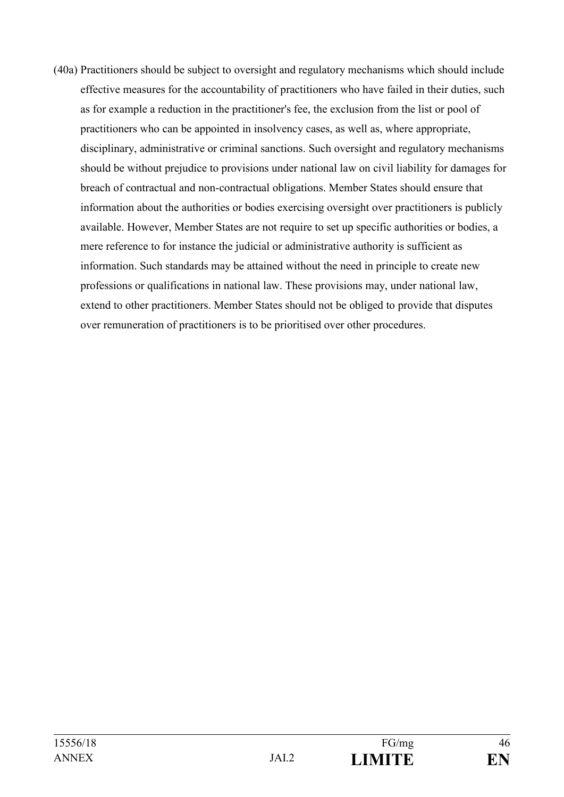(40a) Practitioners should be subject to oversight and regulatory mechanisms which should include effective measures for the accountability of practitioners who have failed in their duties, such as for example a reduction in the practitioner's fee, the exclusion from the list or pool of practitioners who can be appointed in insolvency cases, as well as, where appropriate, disciplinary, administrative or criminal sanctions. Such oversight and regulatory mechanisms should be without prejudice to provisions under national law on civil liability for damages for breach of contractual and non-contractual obligations. Member States should ensure that information about the authorities or bodies exercising oversight over practitioners is publicly available. However, Member States are not require to set up specific authorities or bodies, a mere reference to for instance the judicial or administrative authority is sufficient as information. Such standards may be attained without the need in principle to create new professions or qualifications in national law. These provisions may, under national law, extend to other practitioners. Member States should not be obliged to provide that disputes over remuneration of practitioners is to be prioritised over other procedures.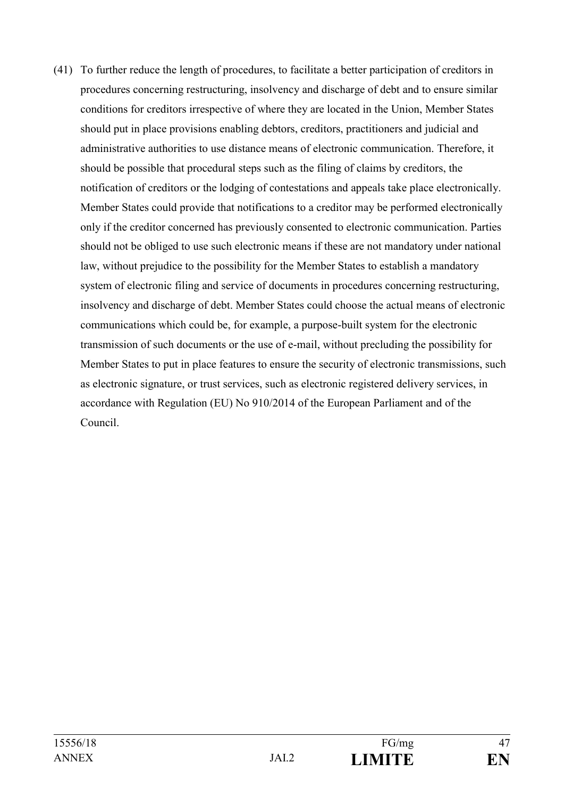(41) To further reduce the length of procedures, to facilitate a better participation of creditors in procedures concerning restructuring, insolvency and discharge of debt and to ensure similar conditions for creditors irrespective of where they are located in the Union, Member States should put in place provisions enabling debtors, creditors, practitioners and judicial and administrative authorities to use distance means of electronic communication. Therefore, it should be possible that procedural steps such as the filing of claims by creditors, the notification of creditors or the lodging of contestations and appeals take place electronically. Member States could provide that notifications to a creditor may be performed electronically only if the creditor concerned has previously consented to electronic communication. Parties should not be obliged to use such electronic means if these are not mandatory under national law, without prejudice to the possibility for the Member States to establish a mandatory system of electronic filing and service of documents in procedures concerning restructuring, insolvency and discharge of debt. Member States could choose the actual means of electronic communications which could be, for example, a purpose-built system for the electronic transmission of such documents or the use of e-mail, without precluding the possibility for Member States to put in place features to ensure the security of electronic transmissions, such as electronic signature, or trust services, such as electronic registered delivery services, in accordance with Regulation (EU) No 910/2014 of the European Parliament and of the Council.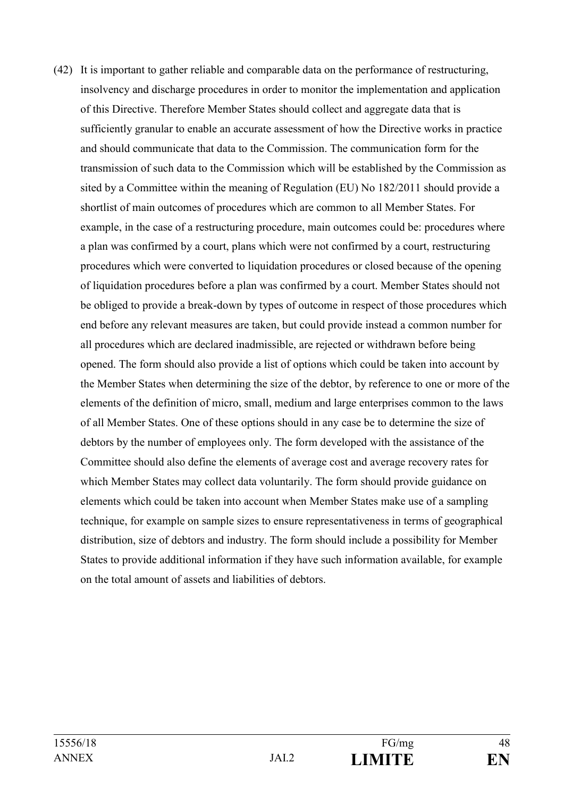(42) It is important to gather reliable and comparable data on the performance of restructuring, insolvency and discharge procedures in order to monitor the implementation and application of this Directive. Therefore Member States should collect and aggregate data that is sufficiently granular to enable an accurate assessment of how the Directive works in practice and should communicate that data to the Commission. The communication form for the transmission of such data to the Commission which will be established by the Commission as sited by a Committee within the meaning of Regulation (EU) No 182/2011 should provide a shortlist of main outcomes of procedures which are common to all Member States. For example, in the case of a restructuring procedure, main outcomes could be: procedures where a plan was confirmed by a court, plans which were not confirmed by a court, restructuring procedures which were converted to liquidation procedures or closed because of the opening of liquidation procedures before a plan was confirmed by a court. Member States should not be obliged to provide a break-down by types of outcome in respect of those procedures which end before any relevant measures are taken, but could provide instead a common number for all procedures which are declared inadmissible, are rejected or withdrawn before being opened. The form should also provide a list of options which could be taken into account by the Member States when determining the size of the debtor, by reference to one or more of the elements of the definition of micro, small, medium and large enterprises common to the laws of all Member States. One of these options should in any case be to determine the size of debtors by the number of employees only. The form developed with the assistance of the Committee should also define the elements of average cost and average recovery rates for which Member States may collect data voluntarily. The form should provide guidance on elements which could be taken into account when Member States make use of a sampling technique, for example on sample sizes to ensure representativeness in terms of geographical distribution, size of debtors and industry. The form should include a possibility for Member States to provide additional information if they have such information available, for example on the total amount of assets and liabilities of debtors.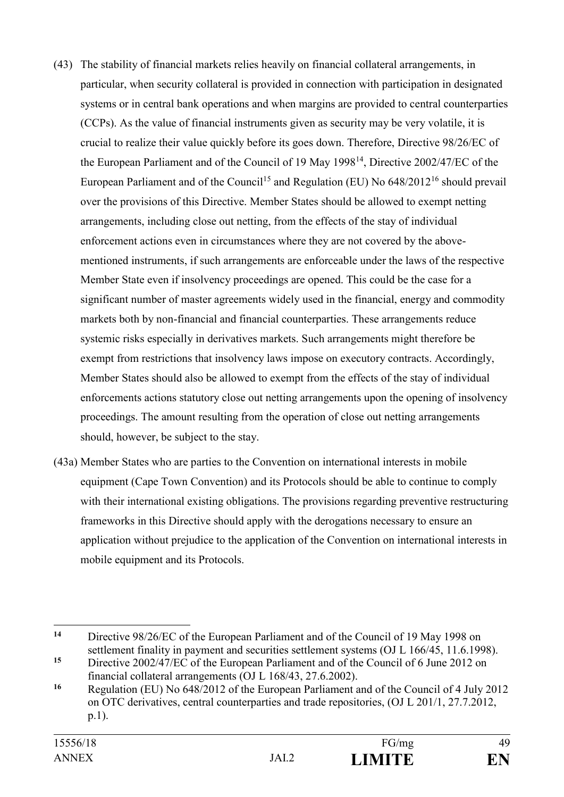- (43) The stability of financial markets relies heavily on financial collateral arrangements, in particular, when security collateral is provided in connection with participation in designated systems or in central bank operations and when margins are provided to central counterparties (CCPs). As the value of financial instruments given as security may be very volatile, it is crucial to realize their value quickly before its goes down. Therefore, Directive 98/26/EC of the European Parliament and of the Council of 19 May 1998<sup>14</sup>, Directive 2002/47/EC of the European Parliament and of the Council<sup>15</sup> and Regulation (EU) No  $648/2012^{16}$  should prevail over the provisions of this Directive. Member States should be allowed to exempt netting arrangements, including close out netting, from the effects of the stay of individual enforcement actions even in circumstances where they are not covered by the abovementioned instruments, if such arrangements are enforceable under the laws of the respective Member State even if insolvency proceedings are opened. This could be the case for a significant number of master agreements widely used in the financial, energy and commodity markets both by non-financial and financial counterparties. These arrangements reduce systemic risks especially in derivatives markets. Such arrangements might therefore be exempt from restrictions that insolvency laws impose on executory contracts. Accordingly, Member States should also be allowed to exempt from the effects of the stay of individual enforcements actions statutory close out netting arrangements upon the opening of insolvency proceedings. The amount resulting from the operation of close out netting arrangements should, however, be subject to the stay.
- (43a) Member States who are parties to the Convention on international interests in mobile equipment (Cape Town Convention) and its Protocols should be able to continue to comply with their international existing obligations. The provisions regarding preventive restructuring frameworks in this Directive should apply with the derogations necessary to ensure an application without prejudice to the application of the Convention on international interests in mobile equipment and its Protocols.

1

**<sup>14</sup>** Directive 98/26/EC of the European Parliament and of the Council of 19 May 1998 on settlement finality in payment and securities settlement systems (OJ L 166/45, 11.6.1998).

**<sup>15</sup>** Directive 2002/47/EC of the European Parliament and of the Council of 6 June 2012 on financial collateral arrangements (OJ L 168/43, 27.6.2002).

**<sup>16</sup>** Regulation (EU) No 648/2012 of the European Parliament and of the Council of 4 July 2012 on OTC derivatives, central counterparties and trade repositories, (OJ L 201/1, 27.7.2012, p.1).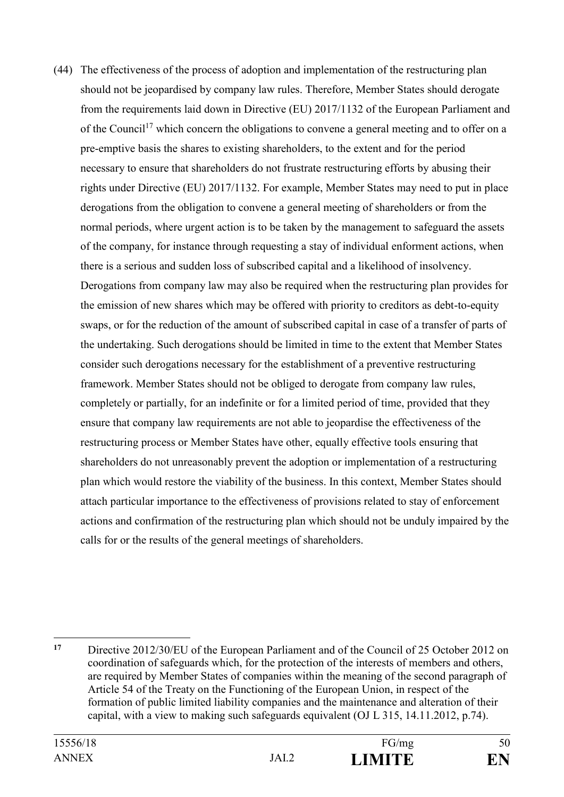(44) The effectiveness of the process of adoption and implementation of the restructuring plan should not be jeopardised by company law rules. Therefore, Member States should derogate from the requirements laid down in Directive (EU) 2017/1132 of the European Parliament and of the Council<sup>17</sup> which concern the obligations to convene a general meeting and to offer on a pre-emptive basis the shares to existing shareholders, to the extent and for the period necessary to ensure that shareholders do not frustrate restructuring efforts by abusing their rights under Directive (EU) 2017/1132. For example, Member States may need to put in place derogations from the obligation to convene a general meeting of shareholders or from the normal periods, where urgent action is to be taken by the management to safeguard the assets of the company, for instance through requesting a stay of individual enforment actions, when there is a serious and sudden loss of subscribed capital and a likelihood of insolvency. Derogations from company law may also be required when the restructuring plan provides for the emission of new shares which may be offered with priority to creditors as debt-to-equity swaps, or for the reduction of the amount of subscribed capital in case of a transfer of parts of the undertaking. Such derogations should be limited in time to the extent that Member States consider such derogations necessary for the establishment of a preventive restructuring framework. Member States should not be obliged to derogate from company law rules, completely or partially, for an indefinite or for a limited period of time, provided that they ensure that company law requirements are not able to jeopardise the effectiveness of the restructuring process or Member States have other, equally effective tools ensuring that shareholders do not unreasonably prevent the adoption or implementation of a restructuring plan which would restore the viability of the business. In this context, Member States should attach particular importance to the effectiveness of provisions related to stay of enforcement actions and confirmation of the restructuring plan which should not be unduly impaired by the calls for or the results of the general meetings of shareholders.

<sup>1</sup> **<sup>17</sup>** Directive 2012/30/EU of the European Parliament and of the Council of 25 October 2012 on coordination of safeguards which, for the protection of the interests of members and others, are required by Member States of companies within the meaning of the second paragraph of Article 54 of the Treaty on the Functioning of the European Union, in respect of the formation of public limited liability companies and the maintenance and alteration of their capital, with a view to making such safeguards equivalent (OJ L 315, 14.11.2012, p.74).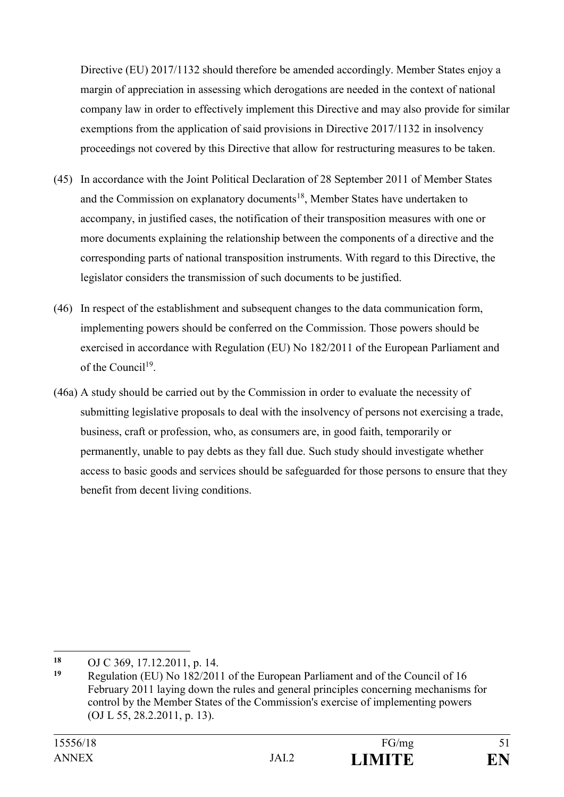Directive (EU) 2017/1132 should therefore be amended accordingly. Member States enjoy a margin of appreciation in assessing which derogations are needed in the context of national company law in order to effectively implement this Directive and may also provide for similar exemptions from the application of said provisions in Directive 2017/1132 in insolvency proceedings not covered by this Directive that allow for restructuring measures to be taken.

- (45) In accordance with the Joint Political Declaration of 28 September 2011 of Member States and the Commission on explanatory documents<sup>18</sup>, Member States have undertaken to accompany, in justified cases, the notification of their transposition measures with one or more documents explaining the relationship between the components of a directive and the corresponding parts of national transposition instruments. With regard to this Directive, the legislator considers the transmission of such documents to be justified.
- (46) In respect of the establishment and subsequent changes to the data communication form, implementing powers should be conferred on the Commission. Those powers should be exercised in accordance with Regulation (EU) No 182/2011 of the European Parliament and of the Council<sup>19</sup>.
- (46a) A study should be carried out by the Commission in order to evaluate the necessity of submitting legislative proposals to deal with the insolvency of persons not exercising a trade, business, craft or profession, who, as consumers are, in good faith, temporarily or permanently, unable to pay debts as they fall due. Such study should investigate whether access to basic goods and services should be safeguarded for those persons to ensure that they benefit from decent living conditions.

1

<sup>18</sup> OJ C 369, 17.12.2011, p. 14.<br>19 Decembrica (EU) No. 182/201

**<sup>19</sup>** Regulation (EU) No 182/2011 of the European Parliament and of the Council of 16 February 2011 laying down the rules and general principles concerning mechanisms for control by the Member States of the Commission's exercise of implementing powers (OJ L 55, 28.2.2011, p. 13).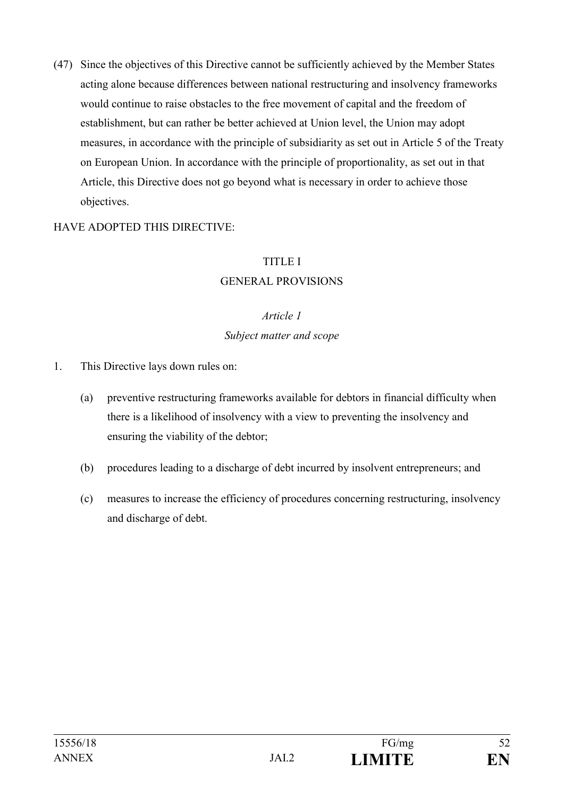(47) Since the objectives of this Directive cannot be sufficiently achieved by the Member States acting alone because differences between national restructuring and insolvency frameworks would continue to raise obstacles to the free movement of capital and the freedom of establishment, but can rather be better achieved at Union level, the Union may adopt measures, in accordance with the principle of subsidiarity as set out in Article 5 of the Treaty on European Union. In accordance with the principle of proportionality, as set out in that Article, this Directive does not go beyond what is necessary in order to achieve those objectives.

#### HAVE ADOPTED THIS DIRECTIVE:

#### TITLE I

#### GENERAL PROVISIONS

#### *Article 1*

#### *Subject matter and scope*

- 1. This Directive lays down rules on:
	- (a) preventive restructuring frameworks available for debtors in financial difficulty when there is a likelihood of insolvency with a view to preventing the insolvency and ensuring the viability of the debtor;
	- (b) procedures leading to a discharge of debt incurred by insolvent entrepreneurs; and
	- (c) measures to increase the efficiency of procedures concerning restructuring, insolvency and discharge of debt.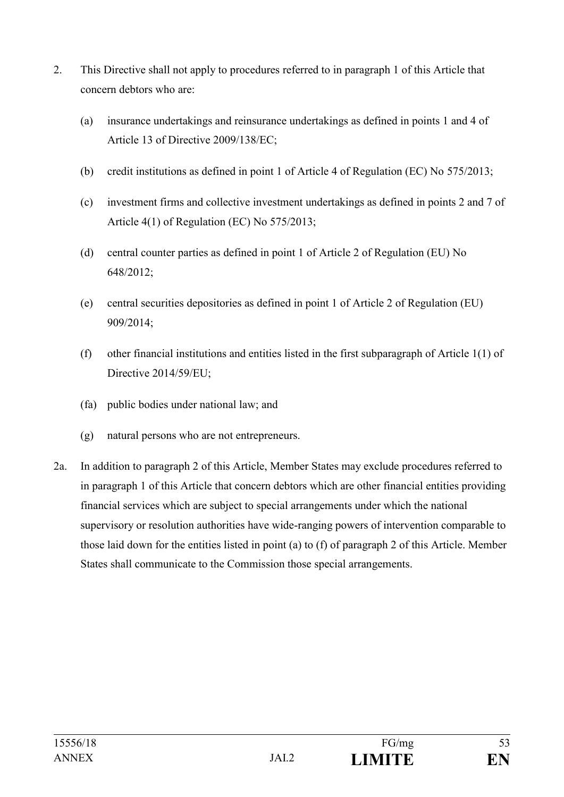- 2. This Directive shall not apply to procedures referred to in paragraph 1 of this Article that concern debtors who are:
	- (a) insurance undertakings and reinsurance undertakings as defined in points 1 and 4 of Article 13 of Directive 2009/138/EC;
	- (b) credit institutions as defined in point 1 of Article 4 of Regulation (EC) No 575/2013;
	- (c) investment firms and collective investment undertakings as defined in points 2 and 7 of Article 4(1) of Regulation (EC) No 575/2013;
	- (d) central counter parties as defined in point 1 of Article 2 of Regulation (EU) No 648/2012;
	- (e) central securities depositories as defined in point 1 of Article 2 of Regulation (EU) 909/2014;
	- (f) other financial institutions and entities listed in the first subparagraph of Article 1(1) of Directive 2014/59/EU;
	- (fa) public bodies under national law; and
	- (g) natural persons who are not entrepreneurs.
- 2a. In addition to paragraph 2 of this Article, Member States may exclude procedures referred to in paragraph 1 of this Article that concern debtors which are other financial entities providing financial services which are subject to special arrangements under which the national supervisory or resolution authorities have wide-ranging powers of intervention comparable to those laid down for the entities listed in point (a) to (f) of paragraph 2 of this Article. Member States shall communicate to the Commission those special arrangements.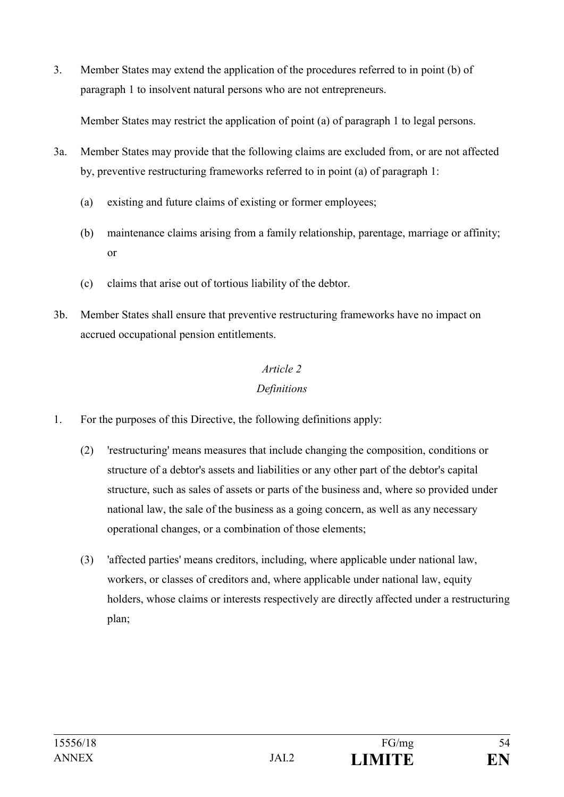3. Member States may extend the application of the procedures referred to in point (b) of paragraph 1 to insolvent natural persons who are not entrepreneurs.

Member States may restrict the application of point (a) of paragraph 1 to legal persons.

- 3a. Member States may provide that the following claims are excluded from, or are not affected by, preventive restructuring frameworks referred to in point (a) of paragraph 1:
	- (a) existing and future claims of existing or former employees;
	- (b) maintenance claims arising from a family relationship, parentage, marriage or affinity; or
	- (c) claims that arise out of tortious liability of the debtor.
- 3b. Member States shall ensure that preventive restructuring frameworks have no impact on accrued occupational pension entitlements.

# *Article 2*

# *Definitions*

- 1. For the purposes of this Directive, the following definitions apply:
	- (2) 'restructuring' means measures that include changing the composition, conditions or structure of a debtor's assets and liabilities or any other part of the debtor's capital structure, such as sales of assets or parts of the business and, where so provided under national law, the sale of the business as a going concern, as well as any necessary operational changes, or a combination of those elements;
	- (3) 'affected parties' means creditors, including, where applicable under national law, workers, or classes of creditors and, where applicable under national law, equity holders, whose claims or interests respectively are directly affected under a restructuring plan;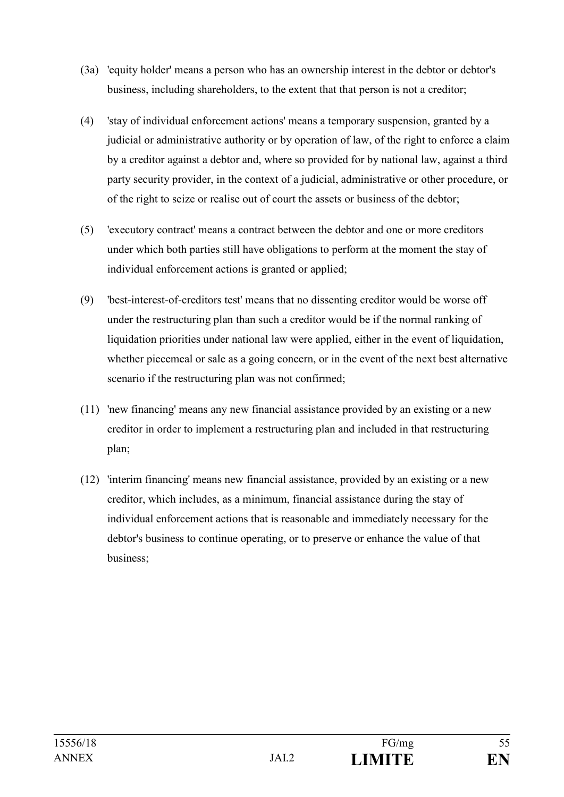- (3a) 'equity holder' means a person who has an ownership interest in the debtor or debtor's business, including shareholders, to the extent that that person is not a creditor;
- (4) 'stay of individual enforcement actions' means a temporary suspension, granted by a judicial or administrative authority or by operation of law, of the right to enforce a claim by a creditor against a debtor and, where so provided for by national law, against a third party security provider, in the context of a judicial, administrative or other procedure, or of the right to seize or realise out of court the assets or business of the debtor;
- (5) 'executory contract' means a contract between the debtor and one or more creditors under which both parties still have obligations to perform at the moment the stay of individual enforcement actions is granted or applied;
- (9) 'best-interest-of-creditors test' means that no dissenting creditor would be worse off under the restructuring plan than such a creditor would be if the normal ranking of liquidation priorities under national law were applied, either in the event of liquidation, whether piecemeal or sale as a going concern, or in the event of the next best alternative scenario if the restructuring plan was not confirmed;
- (11) 'new financing' means any new financial assistance provided by an existing or a new creditor in order to implement a restructuring plan and included in that restructuring plan;
- (12) 'interim financing' means new financial assistance, provided by an existing or a new creditor, which includes, as a minimum, financial assistance during the stay of individual enforcement actions that is reasonable and immediately necessary for the debtor's business to continue operating, or to preserve or enhance the value of that business;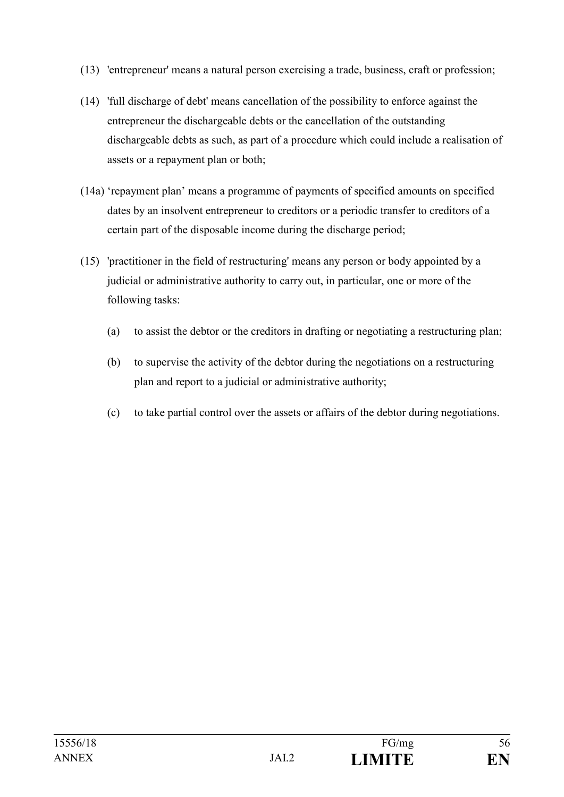- (13) 'entrepreneur' means a natural person exercising a trade, business, craft or profession;
- (14) 'full discharge of debt' means cancellation of the possibility to enforce against the entrepreneur the dischargeable debts or the cancellation of the outstanding dischargeable debts as such, as part of a procedure which could include a realisation of assets or a repayment plan or both;
- (14a) 'repayment plan' means a programme of payments of specified amounts on specified dates by an insolvent entrepreneur to creditors or a periodic transfer to creditors of a certain part of the disposable income during the discharge period;
- (15) 'practitioner in the field of restructuring' means any person or body appointed by a judicial or administrative authority to carry out, in particular, one or more of the following tasks:
	- (a) to assist the debtor or the creditors in drafting or negotiating a restructuring plan;
	- (b) to supervise the activity of the debtor during the negotiations on a restructuring plan and report to a judicial or administrative authority;
	- (c) to take partial control over the assets or affairs of the debtor during negotiations.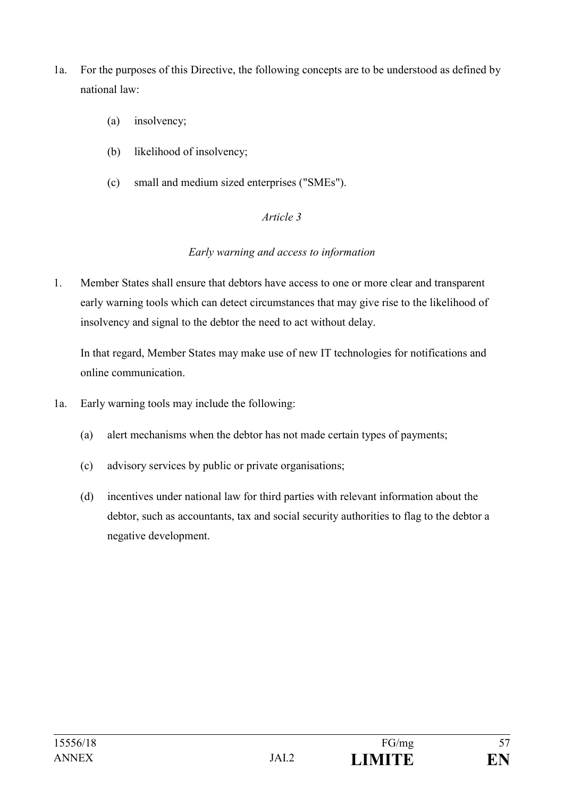- 1a. For the purposes of this Directive, the following concepts are to be understood as defined by national law:
	- (a) insolvency;
	- (b) likelihood of insolvency;
	- (c) small and medium sized enterprises ("SMEs").

#### *Article 3*

#### *Early warning and access to information*

1. Member States shall ensure that debtors have access to one or more clear and transparent early warning tools which can detect circumstances that may give rise to the likelihood of insolvency and signal to the debtor the need to act without delay.

In that regard, Member States may make use of new IT technologies for notifications and online communication.

- 1a. Early warning tools may include the following:
	- (a) alert mechanisms when the debtor has not made certain types of payments;
	- (c) advisory services by public or private organisations;
	- (d) incentives under national law for third parties with relevant information about the debtor, such as accountants, tax and social security authorities to flag to the debtor a negative development.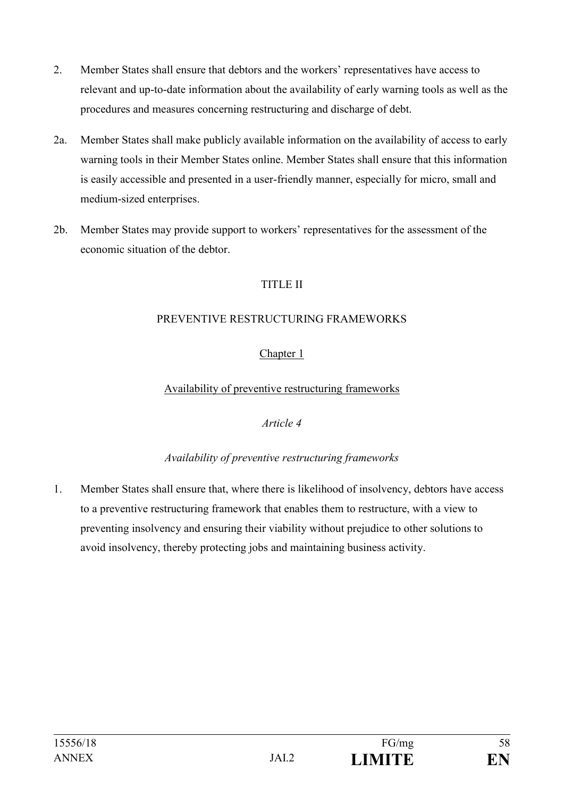- 2. Member States shall ensure that debtors and the workers' representatives have access to relevant and up-to-date information about the availability of early warning tools as well as the procedures and measures concerning restructuring and discharge of debt.
- 2a. Member States shall make publicly available information on the availability of access to early warning tools in their Member States online. Member States shall ensure that this information is easily accessible and presented in a user-friendly manner, especially for micro, small and medium-sized enterprises.
- 2b. Member States may provide support to workers' representatives for the assessment of the economic situation of the debtor.

# TITLE II

#### PREVENTIVE RESTRUCTURING FRAMEWORKS

# Chapter 1

Availability of preventive restructuring frameworks

#### *Article 4*

# *Availability of preventive restructuring frameworks*

1. Member States shall ensure that, where there is likelihood of insolvency, debtors have access to a preventive restructuring framework that enables them to restructure, with a view to preventing insolvency and ensuring their viability without prejudice to other solutions to avoid insolvency, thereby protecting jobs and maintaining business activity.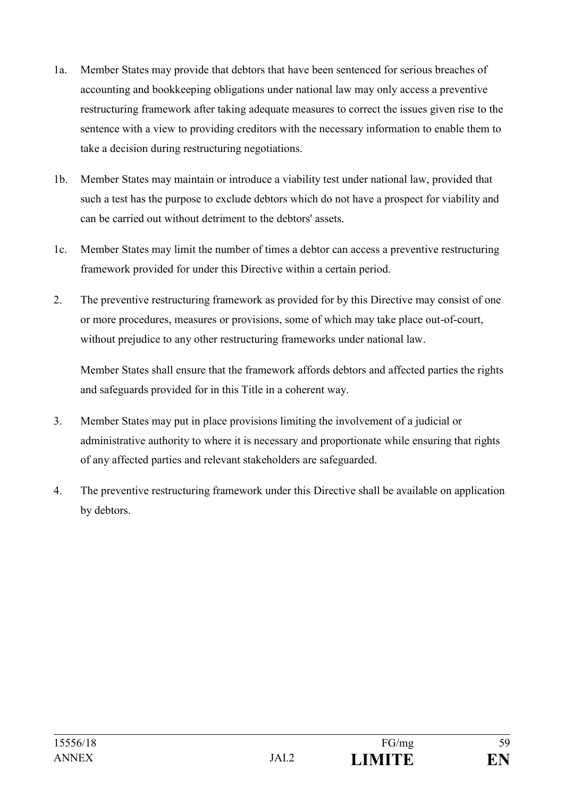- 1a. Member States may provide that debtors that have been sentenced for serious breaches of accounting and bookkeeping obligations under national law may only access a preventive restructuring framework after taking adequate measures to correct the issues given rise to the sentence with a view to providing creditors with the necessary information to enable them to take a decision during restructuring negotiations.
- 1b. Member States may maintain or introduce a viability test under national law, provided that such a test has the purpose to exclude debtors which do not have a prospect for viability and can be carried out without detriment to the debtors' assets.
- 1c. Member States may limit the number of times a debtor can access a preventive restructuring framework provided for under this Directive within a certain period.
- 2. The preventive restructuring framework as provided for by this Directive may consist of one or more procedures, measures or provisions, some of which may take place out-of-court, without prejudice to any other restructuring frameworks under national law.

Member States shall ensure that the framework affords debtors and affected parties the rights and safeguards provided for in this Title in a coherent way.

- 3. Member States may put in place provisions limiting the involvement of a judicial or administrative authority to where it is necessary and proportionate while ensuring that rights of any affected parties and relevant stakeholders are safeguarded.
- 4. The preventive restructuring framework under this Directive shall be available on application by debtors.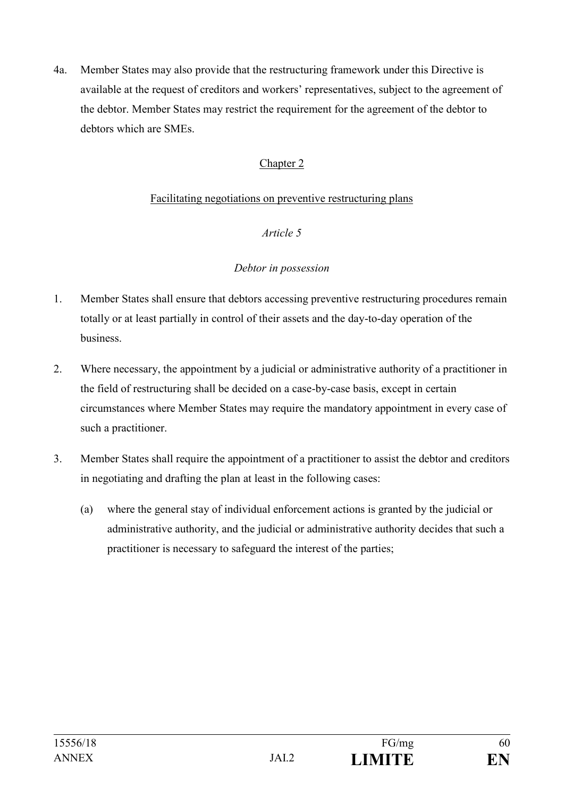4a. Member States may also provide that the restructuring framework under this Directive is available at the request of creditors and workers' representatives, subject to the agreement of the debtor. Member States may restrict the requirement for the agreement of the debtor to debtors which are SMEs.

## Chapter 2

#### Facilitating negotiations on preventive restructuring plans

#### *Article 5*

#### *Debtor in possession*

- 1. Member States shall ensure that debtors accessing preventive restructuring procedures remain totally or at least partially in control of their assets and the day-to-day operation of the business.
- 2. Where necessary, the appointment by a judicial or administrative authority of a practitioner in the field of restructuring shall be decided on a case-by-case basis, except in certain circumstances where Member States may require the mandatory appointment in every case of such a practitioner.
- 3. Member States shall require the appointment of a practitioner to assist the debtor and creditors in negotiating and drafting the plan at least in the following cases:
	- (a) where the general stay of individual enforcement actions is granted by the judicial or administrative authority, and the judicial or administrative authority decides that such a practitioner is necessary to safeguard the interest of the parties;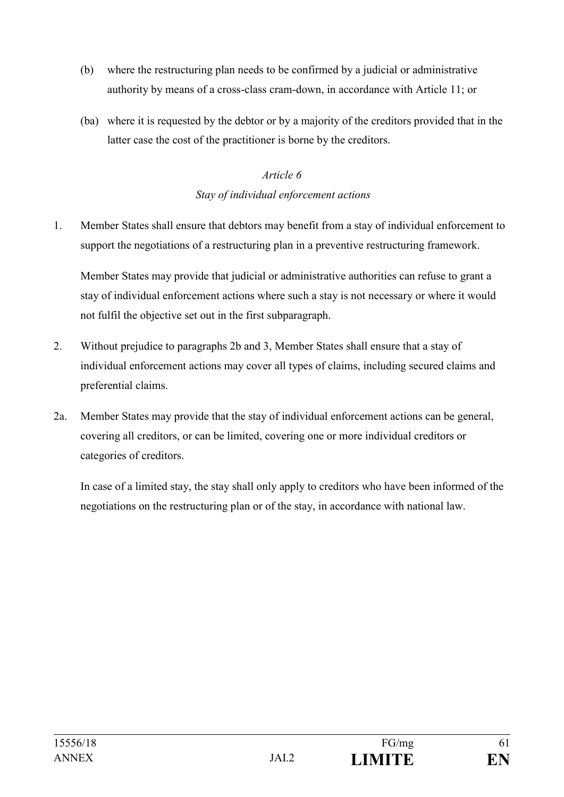- (b) where the restructuring plan needs to be confirmed by a judicial or administrative authority by means of a cross-class cram-down, in accordance with Article 11; or
- (ba) where it is requested by the debtor or by a majority of the creditors provided that in the latter case the cost of the practitioner is borne by the creditors.

# *Article 6 Stay of individual enforcement actions*

1. Member States shall ensure that debtors may benefit from a stay of individual enforcement to support the negotiations of a restructuring plan in a preventive restructuring framework.

Member States may provide that judicial or administrative authorities can refuse to grant a stay of individual enforcement actions where such a stay is not necessary or where it would not fulfil the objective set out in the first subparagraph.

- 2. Without prejudice to paragraphs 2b and 3, Member States shall ensure that a stay of individual enforcement actions may cover all types of claims, including secured claims and preferential claims.
- 2a. Member States may provide that the stay of individual enforcement actions can be general, covering all creditors, or can be limited, covering one or more individual creditors or categories of creditors.

In case of a limited stay, the stay shall only apply to creditors who have been informed of the negotiations on the restructuring plan or of the stay, in accordance with national law.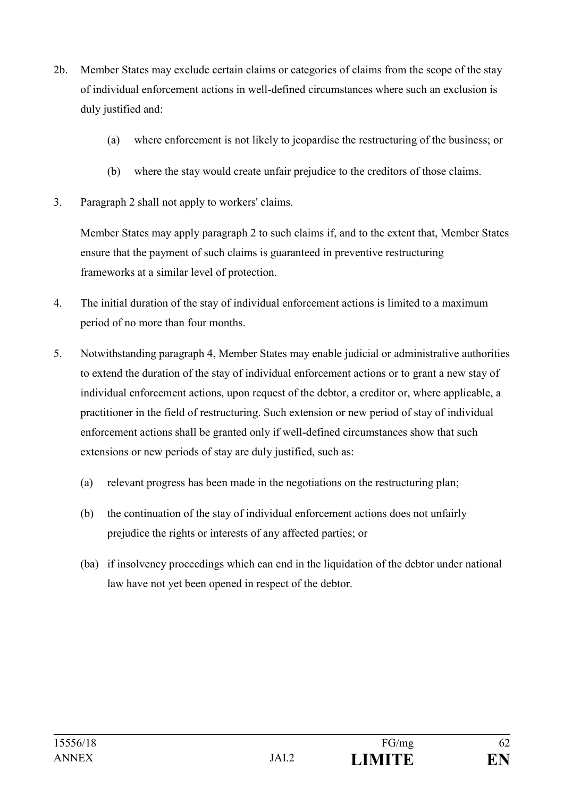- 2b. Member States may exclude certain claims or categories of claims from the scope of the stay of individual enforcement actions in well-defined circumstances where such an exclusion is duly justified and:
	- (a) where enforcement is not likely to jeopardise the restructuring of the business; or
	- (b) where the stay would create unfair prejudice to the creditors of those claims.
- 3. Paragraph 2 shall not apply to workers' claims.

Member States may apply paragraph 2 to such claims if, and to the extent that, Member States ensure that the payment of such claims is guaranteed in preventive restructuring frameworks at a similar level of protection.

- 4. The initial duration of the stay of individual enforcement actions is limited to a maximum period of no more than four months.
- 5. Notwithstanding paragraph 4, Member States may enable judicial or administrative authorities to extend the duration of the stay of individual enforcement actions or to grant a new stay of individual enforcement actions, upon request of the debtor, a creditor or, where applicable, a practitioner in the field of restructuring. Such extension or new period of stay of individual enforcement actions shall be granted only if well-defined circumstances show that such extensions or new periods of stay are duly justified, such as:
	- (a) relevant progress has been made in the negotiations on the restructuring plan;
	- (b) the continuation of the stay of individual enforcement actions does not unfairly prejudice the rights or interests of any affected parties; or
	- (ba) if insolvency proceedings which can end in the liquidation of the debtor under national law have not yet been opened in respect of the debtor.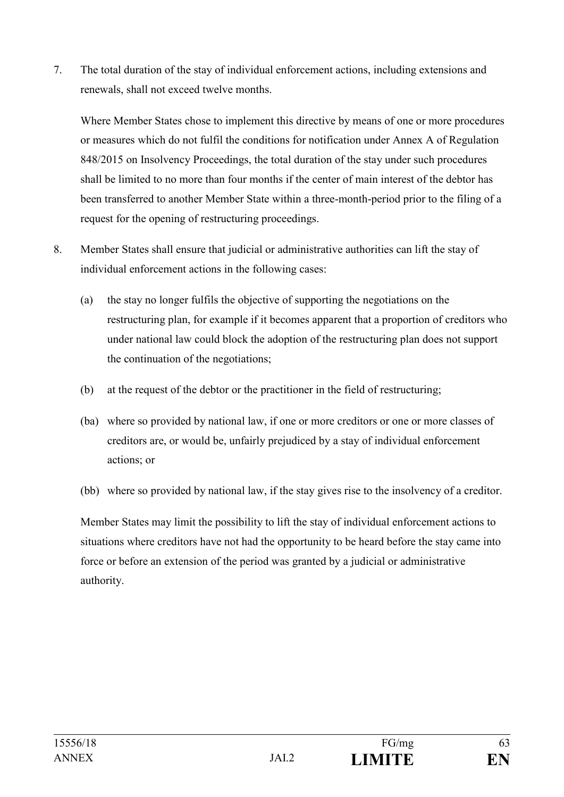7. The total duration of the stay of individual enforcement actions, including extensions and renewals, shall not exceed twelve months.

Where Member States chose to implement this directive by means of one or more procedures or measures which do not fulfil the conditions for notification under Annex A of Regulation 848/2015 on Insolvency Proceedings, the total duration of the stay under such procedures shall be limited to no more than four months if the center of main interest of the debtor has been transferred to another Member State within a three-month-period prior to the filing of a request for the opening of restructuring proceedings.

- 8. Member States shall ensure that judicial or administrative authorities can lift the stay of individual enforcement actions in the following cases:
	- (a) the stay no longer fulfils the objective of supporting the negotiations on the restructuring plan, for example if it becomes apparent that a proportion of creditors who under national law could block the adoption of the restructuring plan does not support the continuation of the negotiations;
	- (b) at the request of the debtor or the practitioner in the field of restructuring;
	- (ba) where so provided by national law, if one or more creditors or one or more classes of creditors are, or would be, unfairly prejudiced by a stay of individual enforcement actions; or
	- (bb) where so provided by national law, if the stay gives rise to the insolvency of a creditor.

Member States may limit the possibility to lift the stay of individual enforcement actions to situations where creditors have not had the opportunity to be heard before the stay came into force or before an extension of the period was granted by a judicial or administrative authority.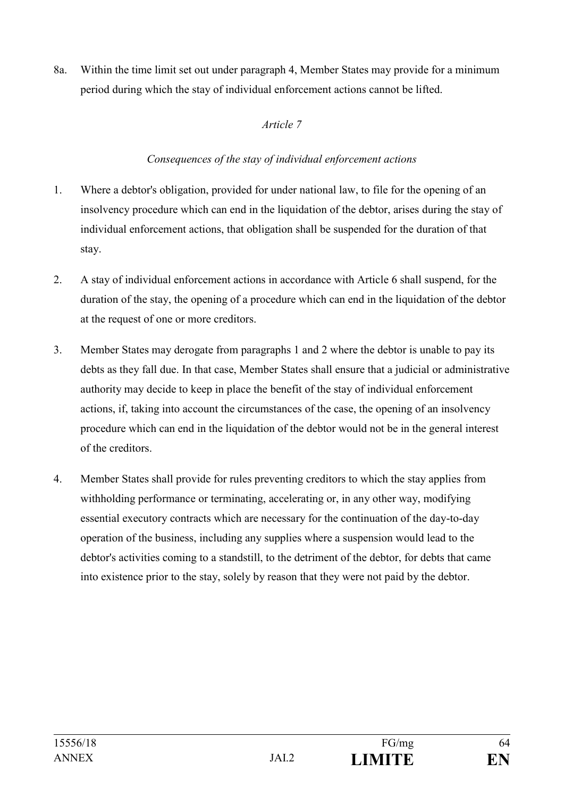8a. Within the time limit set out under paragraph 4, Member States may provide for a minimum period during which the stay of individual enforcement actions cannot be lifted.

## *Article 7*

## *Consequences of the stay of individual enforcement actions*

- 1. Where a debtor's obligation, provided for under national law, to file for the opening of an insolvency procedure which can end in the liquidation of the debtor, arises during the stay of individual enforcement actions, that obligation shall be suspended for the duration of that stay.
- 2. A stay of individual enforcement actions in accordance with Article 6 shall suspend, for the duration of the stay, the opening of a procedure which can end in the liquidation of the debtor at the request of one or more creditors.
- 3. Member States may derogate from paragraphs 1 and 2 where the debtor is unable to pay its debts as they fall due. In that case, Member States shall ensure that a judicial or administrative authority may decide to keep in place the benefit of the stay of individual enforcement actions, if, taking into account the circumstances of the case, the opening of an insolvency procedure which can end in the liquidation of the debtor would not be in the general interest of the creditors.
- 4. Member States shall provide for rules preventing creditors to which the stay applies from withholding performance or terminating, accelerating or, in any other way, modifying essential executory contracts which are necessary for the continuation of the day-to-day operation of the business, including any supplies where a suspension would lead to the debtor's activities coming to a standstill, to the detriment of the debtor, for debts that came into existence prior to the stay, solely by reason that they were not paid by the debtor.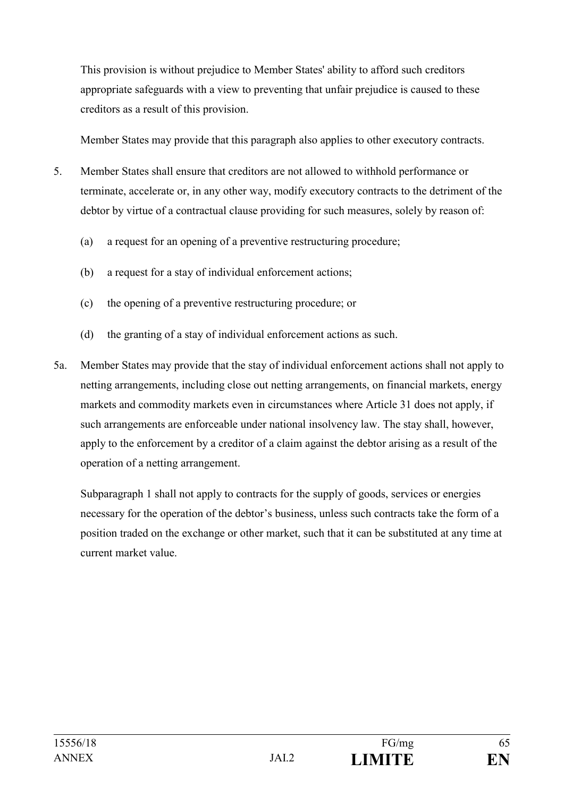This provision is without prejudice to Member States' ability to afford such creditors appropriate safeguards with a view to preventing that unfair prejudice is caused to these creditors as a result of this provision.

Member States may provide that this paragraph also applies to other executory contracts.

- 5. Member States shall ensure that creditors are not allowed to withhold performance or terminate, accelerate or, in any other way, modify executory contracts to the detriment of the debtor by virtue of a contractual clause providing for such measures, solely by reason of:
	- (a) a request for an opening of a preventive restructuring procedure;
	- (b) a request for a stay of individual enforcement actions;
	- (c) the opening of a preventive restructuring procedure; or
	- (d) the granting of a stay of individual enforcement actions as such.
- 5a. Member States may provide that the stay of individual enforcement actions shall not apply to netting arrangements, including close out netting arrangements, on financial markets, energy markets and commodity markets even in circumstances where Article 31 does not apply, if such arrangements are enforceable under national insolvency law. The stay shall, however, apply to the enforcement by a creditor of a claim against the debtor arising as a result of the operation of a netting arrangement.

Subparagraph 1 shall not apply to contracts for the supply of goods, services or energies necessary for the operation of the debtor's business, unless such contracts take the form of a position traded on the exchange or other market, such that it can be substituted at any time at current market value.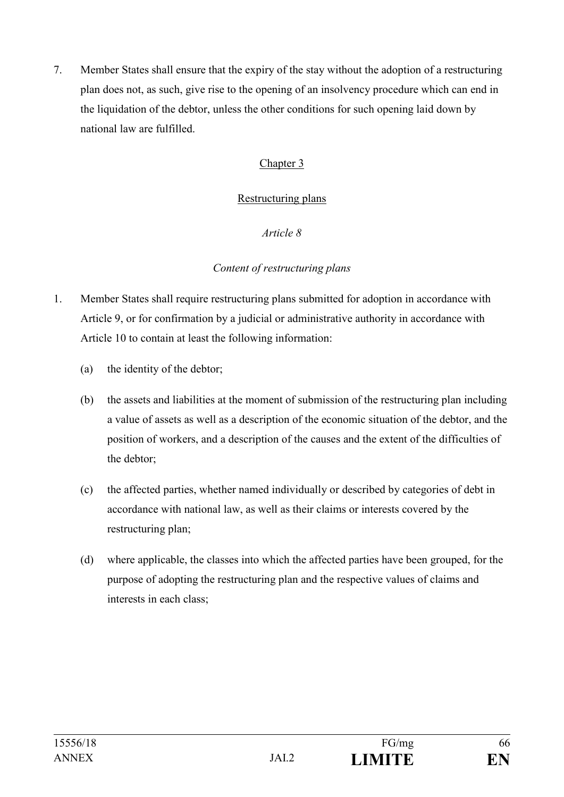7. Member States shall ensure that the expiry of the stay without the adoption of a restructuring plan does not, as such, give rise to the opening of an insolvency procedure which can end in the liquidation of the debtor, unless the other conditions for such opening laid down by national law are fulfilled.

## Chapter 3

#### Restructuring plans

#### *Article 8*

#### *Content of restructuring plans*

- 1. Member States shall require restructuring plans submitted for adoption in accordance with Article 9, or for confirmation by a judicial or administrative authority in accordance with Article 10 to contain at least the following information:
	- (a) the identity of the debtor;
	- (b) the assets and liabilities at the moment of submission of the restructuring plan including a value of assets as well as a description of the economic situation of the debtor, and the position of workers, and a description of the causes and the extent of the difficulties of the debtor;
	- (c) the affected parties, whether named individually or described by categories of debt in accordance with national law, as well as their claims or interests covered by the restructuring plan;
	- (d) where applicable, the classes into which the affected parties have been grouped, for the purpose of adopting the restructuring plan and the respective values of claims and interests in each class;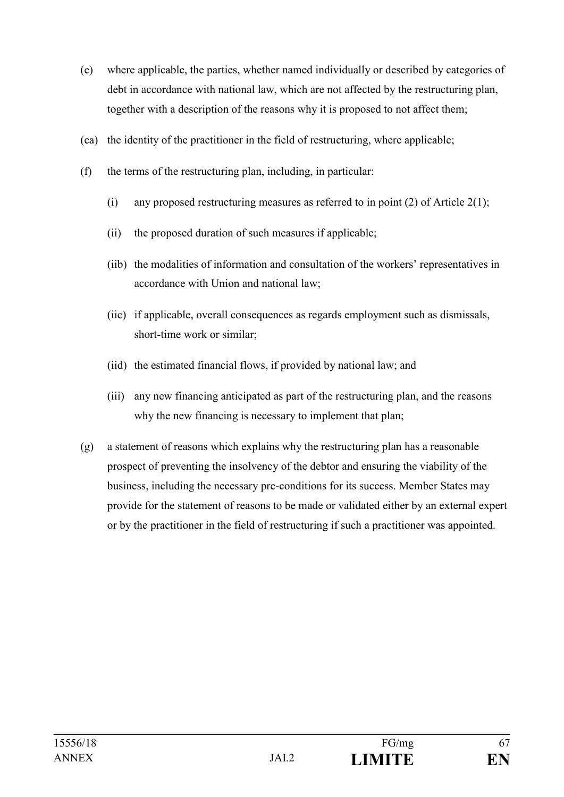- (e) where applicable, the parties, whether named individually or described by categories of debt in accordance with national law, which are not affected by the restructuring plan, together with a description of the reasons why it is proposed to not affect them;
- (ea) the identity of the practitioner in the field of restructuring, where applicable;
- (f) the terms of the restructuring plan, including, in particular:
	- (i) any proposed restructuring measures as referred to in point (2) of Article  $2(1)$ ;
	- (ii) the proposed duration of such measures if applicable;
	- (iib) the modalities of information and consultation of the workers' representatives in accordance with Union and national law;
	- (iic) if applicable, overall consequences as regards employment such as dismissals, short-time work or similar;
	- (iid) the estimated financial flows, if provided by national law; and
	- (iii) any new financing anticipated as part of the restructuring plan, and the reasons why the new financing is necessary to implement that plan;
- (g) a statement of reasons which explains why the restructuring plan has a reasonable prospect of preventing the insolvency of the debtor and ensuring the viability of the business, including the necessary pre-conditions for its success. Member States may provide for the statement of reasons to be made or validated either by an external expert or by the practitioner in the field of restructuring if such a practitioner was appointed.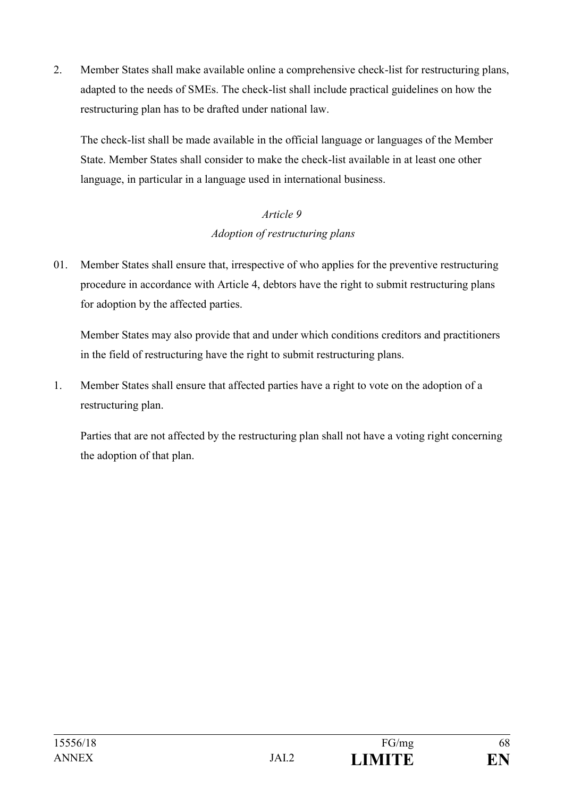2. Member States shall make available online a comprehensive check-list for restructuring plans, adapted to the needs of SMEs. The check-list shall include practical guidelines on how the restructuring plan has to be drafted under national law.

The check-list shall be made available in the official language or languages of the Member State. Member States shall consider to make the check-list available in at least one other language, in particular in a language used in international business.

# *Article 9 Adoption of restructuring plans*

01. Member States shall ensure that, irrespective of who applies for the preventive restructuring procedure in accordance with Article 4, debtors have the right to submit restructuring plans for adoption by the affected parties.

Member States may also provide that and under which conditions creditors and practitioners in the field of restructuring have the right to submit restructuring plans.

1. Member States shall ensure that affected parties have a right to vote on the adoption of a restructuring plan.

Parties that are not affected by the restructuring plan shall not have a voting right concerning the adoption of that plan.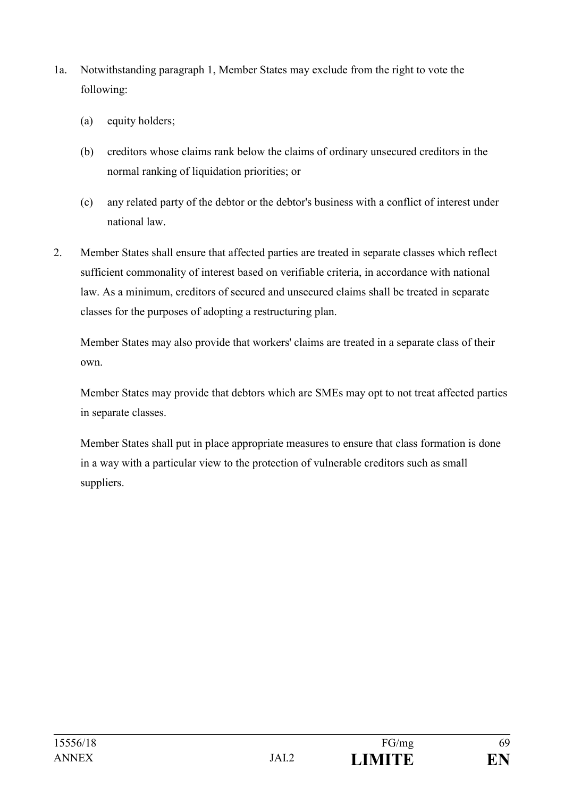- 1a. Notwithstanding paragraph 1, Member States may exclude from the right to vote the following:
	- (a) equity holders;
	- (b) creditors whose claims rank below the claims of ordinary unsecured creditors in the normal ranking of liquidation priorities; or
	- (c) any related party of the debtor or the debtor's business with a conflict of interest under national law.
- 2. Member States shall ensure that affected parties are treated in separate classes which reflect sufficient commonality of interest based on verifiable criteria, in accordance with national law. As a minimum, creditors of secured and unsecured claims shall be treated in separate classes for the purposes of adopting a restructuring plan.

Member States may also provide that workers' claims are treated in a separate class of their own.

Member States may provide that debtors which are SMEs may opt to not treat affected parties in separate classes.

Member States shall put in place appropriate measures to ensure that class formation is done in a way with a particular view to the protection of vulnerable creditors such as small suppliers.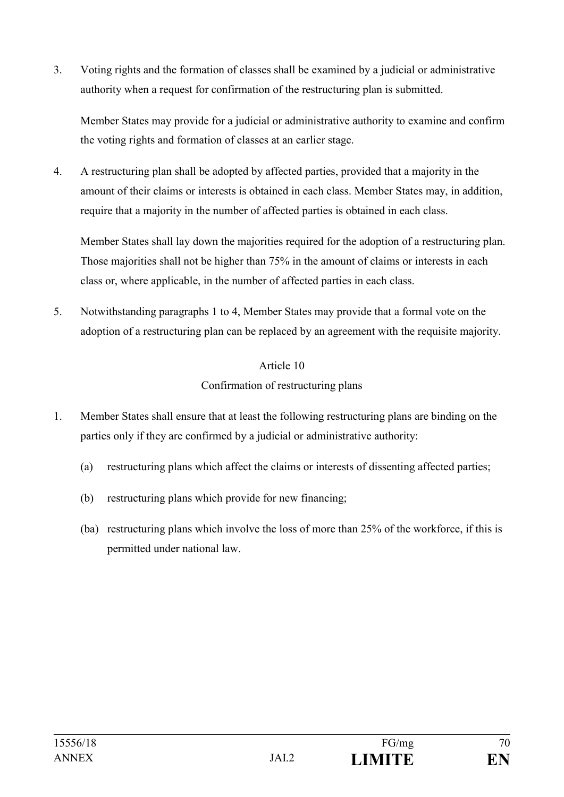3. Voting rights and the formation of classes shall be examined by a judicial or administrative authority when a request for confirmation of the restructuring plan is submitted.

Member States may provide for a judicial or administrative authority to examine and confirm the voting rights and formation of classes at an earlier stage.

4. A restructuring plan shall be adopted by affected parties, provided that a majority in the amount of their claims or interests is obtained in each class. Member States may, in addition, require that a majority in the number of affected parties is obtained in each class.

Member States shall lay down the majorities required for the adoption of a restructuring plan. Those majorities shall not be higher than 75% in the amount of claims or interests in each class or, where applicable, in the number of affected parties in each class.

5. Notwithstanding paragraphs 1 to 4, Member States may provide that a formal vote on the adoption of a restructuring plan can be replaced by an agreement with the requisite majority.

# Article 10 Confirmation of restructuring plans

- 1. Member States shall ensure that at least the following restructuring plans are binding on the parties only if they are confirmed by a judicial or administrative authority:
	- (a) restructuring plans which affect the claims or interests of dissenting affected parties;
	- (b) restructuring plans which provide for new financing;
	- (ba) restructuring plans which involve the loss of more than 25% of the workforce, if this is permitted under national law.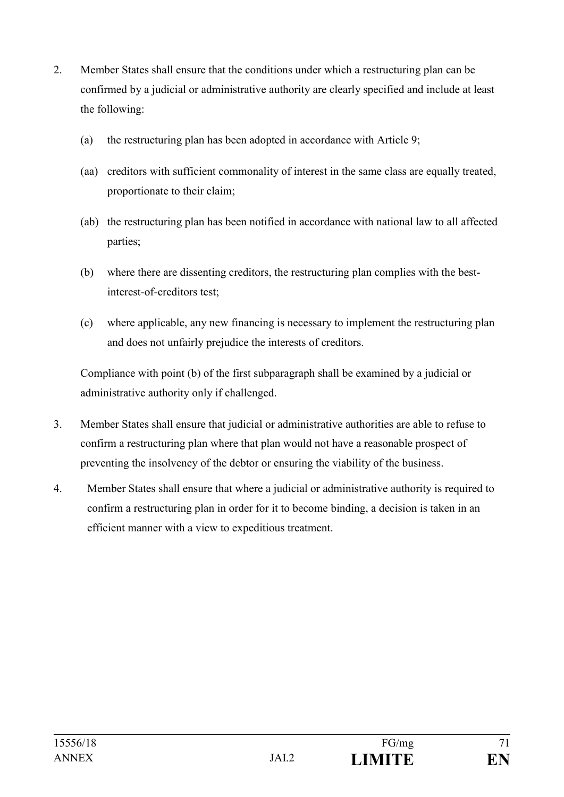- 2. Member States shall ensure that the conditions under which a restructuring plan can be confirmed by a judicial or administrative authority are clearly specified and include at least the following:
	- (a) the restructuring plan has been adopted in accordance with Article 9;
	- (aa) creditors with sufficient commonality of interest in the same class are equally treated, proportionate to their claim;
	- (ab) the restructuring plan has been notified in accordance with national law to all affected parties;
	- (b) where there are dissenting creditors, the restructuring plan complies with the bestinterest-of-creditors test;
	- (c) where applicable, any new financing is necessary to implement the restructuring plan and does not unfairly prejudice the interests of creditors.

Compliance with point (b) of the first subparagraph shall be examined by a judicial or administrative authority only if challenged.

- 3. Member States shall ensure that judicial or administrative authorities are able to refuse to confirm a restructuring plan where that plan would not have a reasonable prospect of preventing the insolvency of the debtor or ensuring the viability of the business.
- 4. Member States shall ensure that where a judicial or administrative authority is required to confirm a restructuring plan in order for it to become binding, a decision is taken in an efficient manner with a view to expeditious treatment.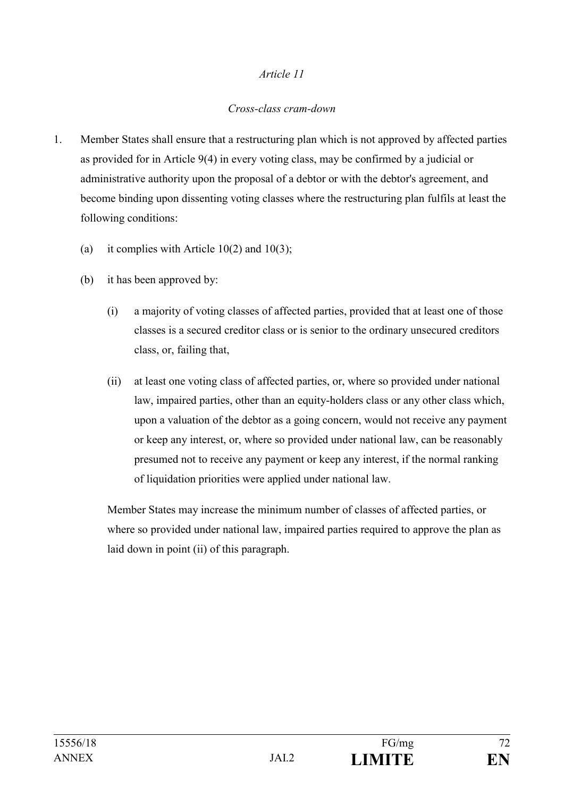#### *Article 11*

#### *Cross-class cram-down*

- 1. Member States shall ensure that a restructuring plan which is not approved by affected parties as provided for in Article 9(4) in every voting class, may be confirmed by a judicial or administrative authority upon the proposal of a debtor or with the debtor's agreement, and become binding upon dissenting voting classes where the restructuring plan fulfils at least the following conditions:
	- (a) it complies with Article 10(2) and 10(3);
	- (b) it has been approved by:
		- (i) a majority of voting classes of affected parties, provided that at least one of those classes is a secured creditor class or is senior to the ordinary unsecured creditors class, or, failing that,
		- (ii) at least one voting class of affected parties, or, where so provided under national law, impaired parties, other than an equity-holders class or any other class which, upon a valuation of the debtor as a going concern, would not receive any payment or keep any interest, or, where so provided under national law, can be reasonably presumed not to receive any payment or keep any interest, if the normal ranking of liquidation priorities were applied under national law.

Member States may increase the minimum number of classes of affected parties, or where so provided under national law, impaired parties required to approve the plan as laid down in point (ii) of this paragraph.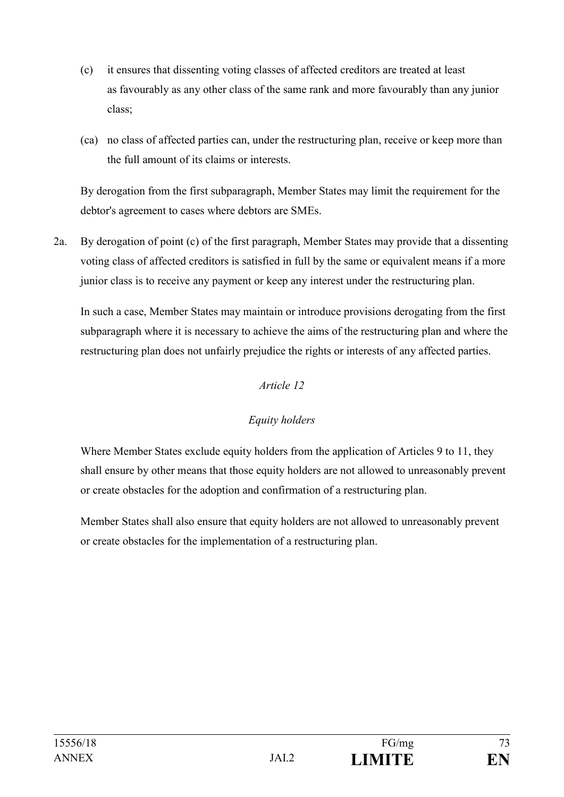- (c) it ensures that dissenting voting classes of affected creditors are treated at least as favourably as any other class of the same rank and more favourably than any junior class;
- (ca) no class of affected parties can, under the restructuring plan, receive or keep more than the full amount of its claims or interests.

By derogation from the first subparagraph, Member States may limit the requirement for the debtor's agreement to cases where debtors are SMEs.

2a. By derogation of point (c) of the first paragraph, Member States may provide that a dissenting voting class of affected creditors is satisfied in full by the same or equivalent means if a more junior class is to receive any payment or keep any interest under the restructuring plan.

In such a case, Member States may maintain or introduce provisions derogating from the first subparagraph where it is necessary to achieve the aims of the restructuring plan and where the restructuring plan does not unfairly prejudice the rights or interests of any affected parties.

# *Article 12*

# *Equity holders*

Where Member States exclude equity holders from the application of Articles 9 to 11, they shall ensure by other means that those equity holders are not allowed to unreasonably prevent or create obstacles for the adoption and confirmation of a restructuring plan.

Member States shall also ensure that equity holders are not allowed to unreasonably prevent or create obstacles for the implementation of a restructuring plan.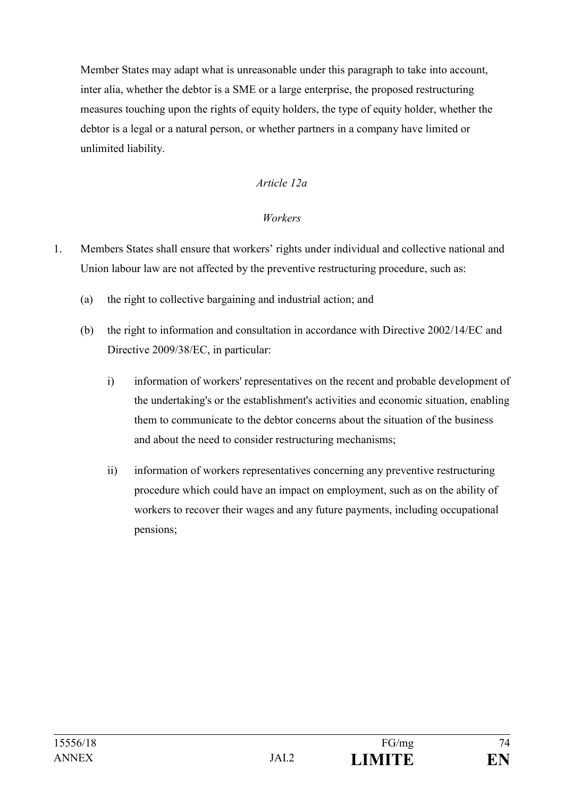Member States may adapt what is unreasonable under this paragraph to take into account, inter alia, whether the debtor is a SME or a large enterprise, the proposed restructuring measures touching upon the rights of equity holders, the type of equity holder, whether the debtor is a legal or a natural person, or whether partners in a company have limited or unlimited liability.

# *Article 12a*

### *Workers*

- 1. Members States shall ensure that workers' rights under individual and collective national and Union labour law are not affected by the preventive restructuring procedure, such as:
	- (a) the right to collective bargaining and industrial action; and
	- (b) the right to information and consultation in accordance with Directive 2002/14/EC and Directive 2009/38/EC, in particular:
		- i) information of workers' representatives on the recent and probable development of the undertaking's or the establishment's activities and economic situation, enabling them to communicate to the debtor concerns about the situation of the business and about the need to consider restructuring mechanisms;
		- ii) information of workers representatives concerning any preventive restructuring procedure which could have an impact on employment, such as on the ability of workers to recover their wages and any future payments, including occupational pensions;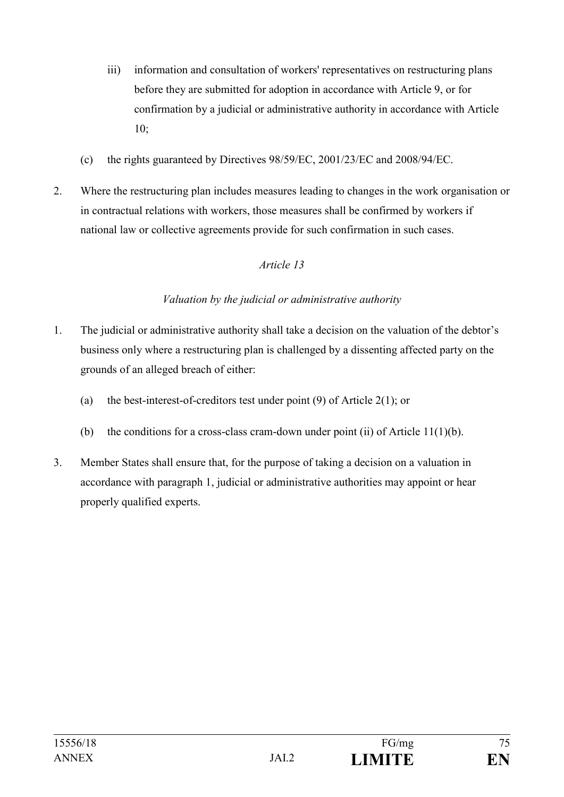- iii) information and consultation of workers' representatives on restructuring plans before they are submitted for adoption in accordance with Article 9, or for confirmation by a judicial or administrative authority in accordance with Article 10;
- (c) the rights guaranteed by Directives 98/59/EC, 2001/23/EC and 2008/94/EC.
- 2. Where the restructuring plan includes measures leading to changes in the work organisation or in contractual relations with workers, those measures shall be confirmed by workers if national law or collective agreements provide for such confirmation in such cases.

# *Valuation by the judicial or administrative authority*

- 1. The judicial or administrative authority shall take a decision on the valuation of the debtor's business only where a restructuring plan is challenged by a dissenting affected party on the grounds of an alleged breach of either:
	- (a) the best-interest-of-creditors test under point  $(9)$  of Article 2(1); or
	- (b) the conditions for a cross-class cram-down under point (ii) of Article  $11(1)(b)$ .
- 3. Member States shall ensure that, for the purpose of taking a decision on a valuation in accordance with paragraph 1, judicial or administrative authorities may appoint or hear properly qualified experts.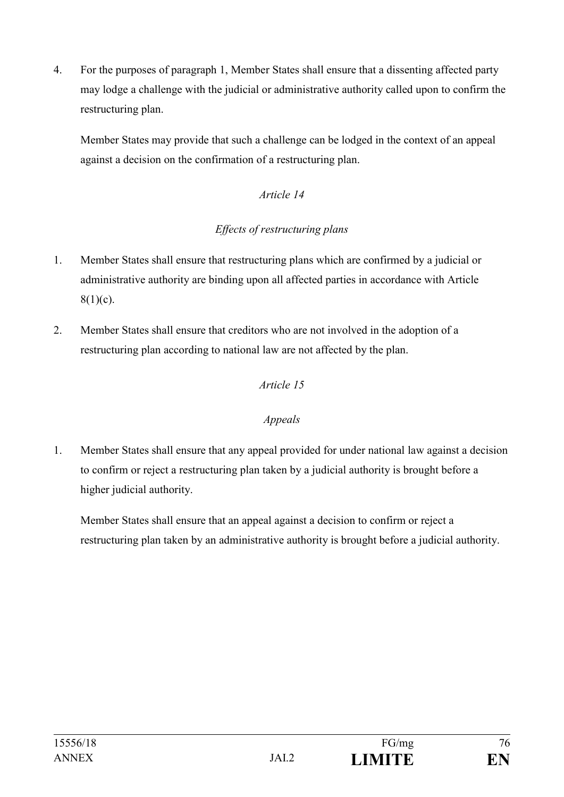4. For the purposes of paragraph 1, Member States shall ensure that a dissenting affected party may lodge a challenge with the judicial or administrative authority called upon to confirm the restructuring plan.

Member States may provide that such a challenge can be lodged in the context of an appeal against a decision on the confirmation of a restructuring plan.

# *Article 14*

# *Effects of restructuring plans*

- 1. Member States shall ensure that restructuring plans which are confirmed by a judicial or administrative authority are binding upon all affected parties in accordance with Article  $8(1)(c)$ .
- 2. Member States shall ensure that creditors who are not involved in the adoption of a restructuring plan according to national law are not affected by the plan.

## *Article 15*

## *Appeals*

1. Member States shall ensure that any appeal provided for under national law against a decision to confirm or reject a restructuring plan taken by a judicial authority is brought before a higher judicial authority.

Member States shall ensure that an appeal against a decision to confirm or reject a restructuring plan taken by an administrative authority is brought before a judicial authority.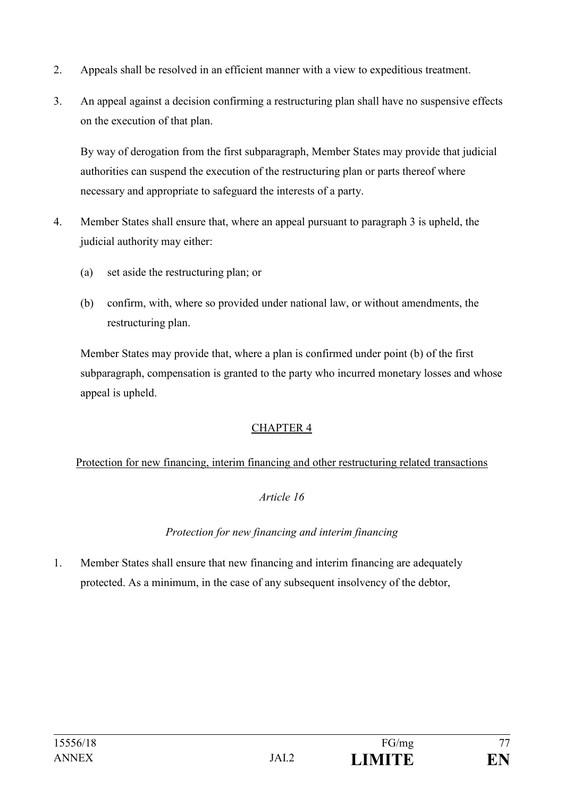- 2. Appeals shall be resolved in an efficient manner with a view to expeditious treatment.
- 3. An appeal against a decision confirming a restructuring plan shall have no suspensive effects on the execution of that plan.

By way of derogation from the first subparagraph, Member States may provide that judicial authorities can suspend the execution of the restructuring plan or parts thereof where necessary and appropriate to safeguard the interests of a party.

- 4. Member States shall ensure that, where an appeal pursuant to paragraph 3 is upheld, the judicial authority may either:
	- (a) set aside the restructuring plan; or
	- (b) confirm, with, where so provided under national law, or without amendments, the restructuring plan.

Member States may provide that, where a plan is confirmed under point (b) of the first subparagraph, compensation is granted to the party who incurred monetary losses and whose appeal is upheld.

# CHAPTER 4

# Protection for new financing, interim financing and other restructuring related transactions

# *Article 16*

# *Protection for new financing and interim financing*

1. Member States shall ensure that new financing and interim financing are adequately protected. As a minimum, in the case of any subsequent insolvency of the debtor,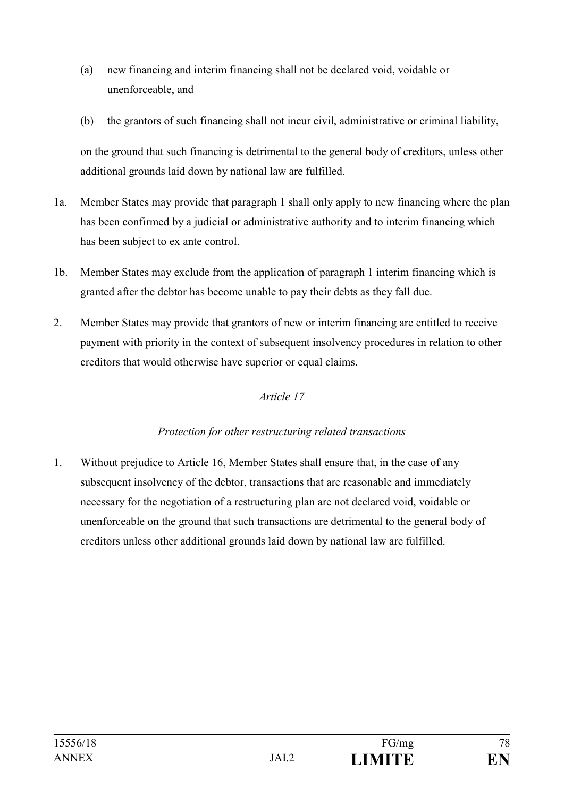- (a) new financing and interim financing shall not be declared void, voidable or unenforceable, and
- (b) the grantors of such financing shall not incur civil, administrative or criminal liability,

on the ground that such financing is detrimental to the general body of creditors, unless other additional grounds laid down by national law are fulfilled.

- 1a. Member States may provide that paragraph 1 shall only apply to new financing where the plan has been confirmed by a judicial or administrative authority and to interim financing which has been subject to ex ante control.
- 1b. Member States may exclude from the application of paragraph 1 interim financing which is granted after the debtor has become unable to pay their debts as they fall due.
- 2. Member States may provide that grantors of new or interim financing are entitled to receive payment with priority in the context of subsequent insolvency procedures in relation to other creditors that would otherwise have superior or equal claims.

# *Article 17*

## *Protection for other restructuring related transactions*

1. Without prejudice to Article 16, Member States shall ensure that, in the case of any subsequent insolvency of the debtor, transactions that are reasonable and immediately necessary for the negotiation of a restructuring plan are not declared void, voidable or unenforceable on the ground that such transactions are detrimental to the general body of creditors unless other additional grounds laid down by national law are fulfilled.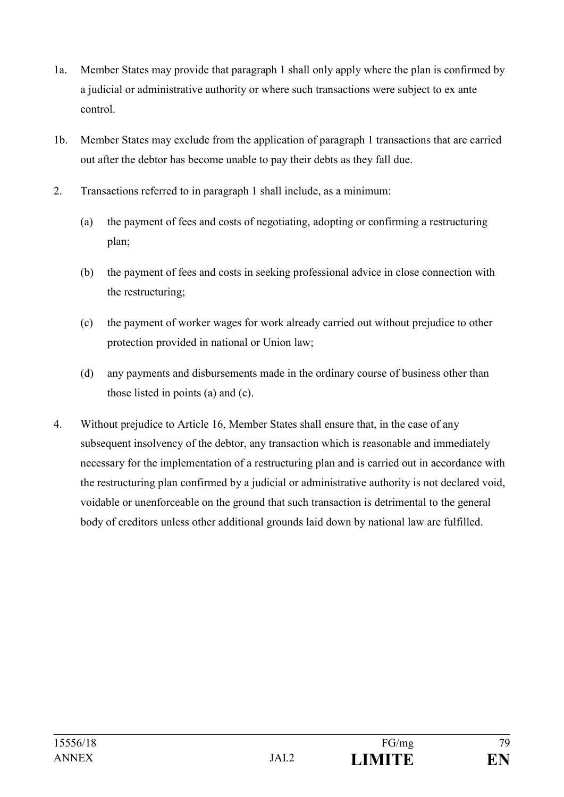- 1a. Member States may provide that paragraph 1 shall only apply where the plan is confirmed by a judicial or administrative authority or where such transactions were subject to ex ante control.
- 1b. Member States may exclude from the application of paragraph 1 transactions that are carried out after the debtor has become unable to pay their debts as they fall due.
- 2. Transactions referred to in paragraph 1 shall include, as a minimum:
	- (a) the payment of fees and costs of negotiating, adopting or confirming a restructuring plan;
	- (b) the payment of fees and costs in seeking professional advice in close connection with the restructuring;
	- (c) the payment of worker wages for work already carried out without prejudice to other protection provided in national or Union law;
	- (d) any payments and disbursements made in the ordinary course of business other than those listed in points (a) and (c).
- 4. Without prejudice to Article 16, Member States shall ensure that, in the case of any subsequent insolvency of the debtor, any transaction which is reasonable and immediately necessary for the implementation of a restructuring plan and is carried out in accordance with the restructuring plan confirmed by a judicial or administrative authority is not declared void, voidable or unenforceable on the ground that such transaction is detrimental to the general body of creditors unless other additional grounds laid down by national law are fulfilled.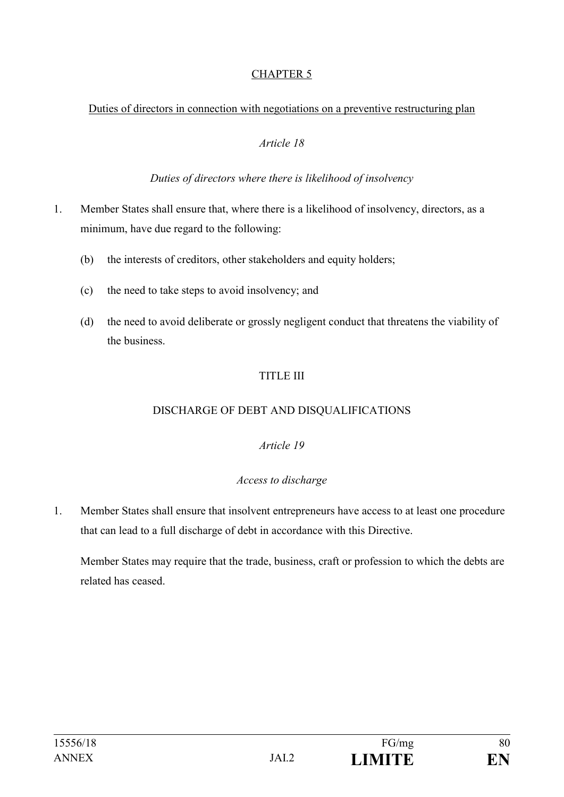# CHAPTER 5

### Duties of directors in connection with negotiations on a preventive restructuring plan

### *Article 18*

### *Duties of directors where there is likelihood of insolvency*

- 1. Member States shall ensure that, where there is a likelihood of insolvency, directors, as a minimum, have due regard to the following:
	- (b) the interests of creditors, other stakeholders and equity holders;
	- (c) the need to take steps to avoid insolvency; and
	- (d) the need to avoid deliberate or grossly negligent conduct that threatens the viability of the business.

# TITLE III

## DISCHARGE OF DEBT AND DISQUALIFICATIONS

## *Article 19*

## *Access to discharge*

1. Member States shall ensure that insolvent entrepreneurs have access to at least one procedure that can lead to a full discharge of debt in accordance with this Directive.

Member States may require that the trade, business, craft or profession to which the debts are related has ceased.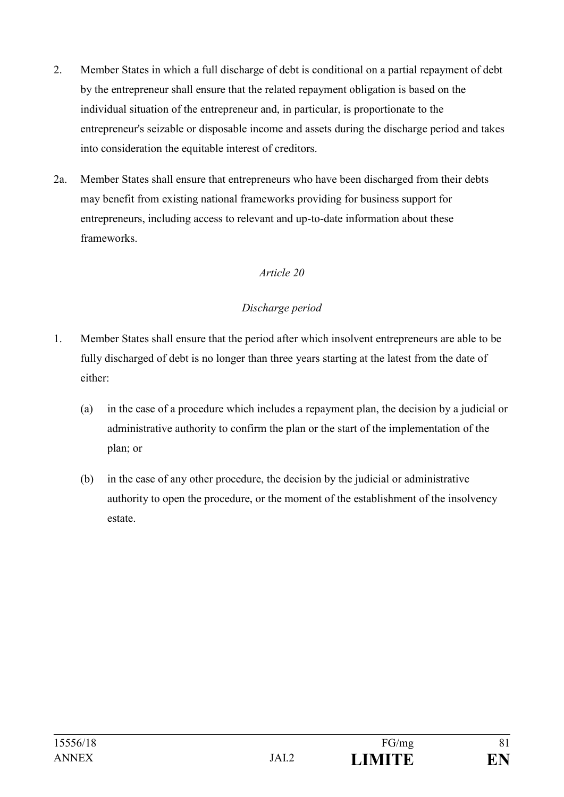- 2. Member States in which a full discharge of debt is conditional on a partial repayment of debt by the entrepreneur shall ensure that the related repayment obligation is based on the individual situation of the entrepreneur and, in particular, is proportionate to the entrepreneur's seizable or disposable income and assets during the discharge period and takes into consideration the equitable interest of creditors.
- 2a. Member States shall ensure that entrepreneurs who have been discharged from their debts may benefit from existing national frameworks providing for business support for entrepreneurs, including access to relevant and up-to-date information about these frameworks.

## *Discharge period*

- 1. Member States shall ensure that the period after which insolvent entrepreneurs are able to be fully discharged of debt is no longer than three years starting at the latest from the date of either:
	- (a) in the case of a procedure which includes a repayment plan, the decision by a judicial or administrative authority to confirm the plan or the start of the implementation of the plan; or
	- (b) in the case of any other procedure, the decision by the judicial or administrative authority to open the procedure, or the moment of the establishment of the insolvency estate.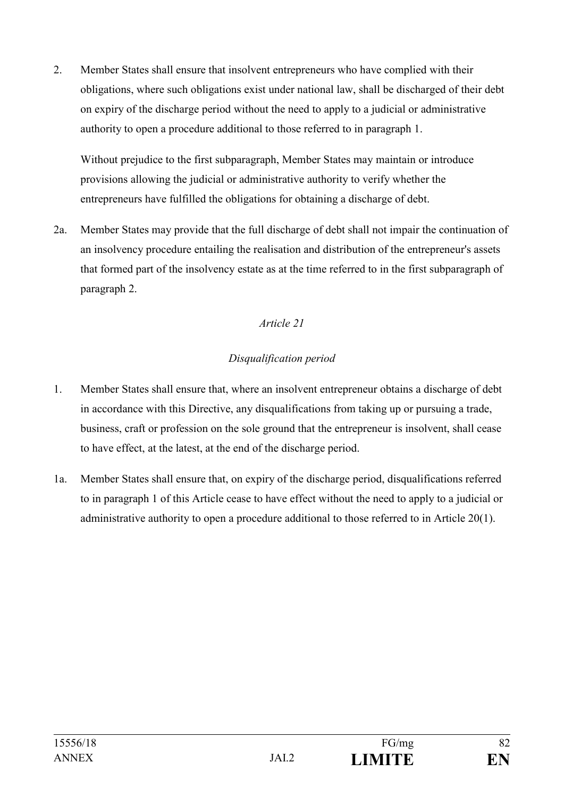2. Member States shall ensure that insolvent entrepreneurs who have complied with their obligations, where such obligations exist under national law, shall be discharged of their debt on expiry of the discharge period without the need to apply to a judicial or administrative authority to open a procedure additional to those referred to in paragraph 1.

Without prejudice to the first subparagraph, Member States may maintain or introduce provisions allowing the judicial or administrative authority to verify whether the entrepreneurs have fulfilled the obligations for obtaining a discharge of debt.

2a. Member States may provide that the full discharge of debt shall not impair the continuation of an insolvency procedure entailing the realisation and distribution of the entrepreneur's assets that formed part of the insolvency estate as at the time referred to in the first subparagraph of paragraph 2.

## *Article 21*

## *Disqualification period*

- 1. Member States shall ensure that, where an insolvent entrepreneur obtains a discharge of debt in accordance with this Directive, any disqualifications from taking up or pursuing a trade, business, craft or profession on the sole ground that the entrepreneur is insolvent, shall cease to have effect, at the latest, at the end of the discharge period.
- 1a. Member States shall ensure that, on expiry of the discharge period, disqualifications referred to in paragraph 1 of this Article cease to have effect without the need to apply to a judicial or administrative authority to open a procedure additional to those referred to in Article 20(1).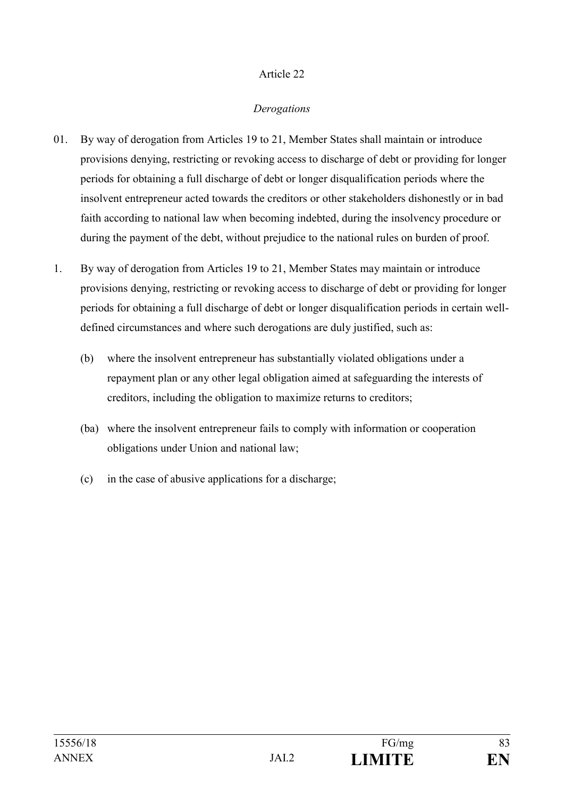### *Derogations*

- 01. By way of derogation from Articles 19 to 21, Member States shall maintain or introduce provisions denying, restricting or revoking access to discharge of debt or providing for longer periods for obtaining a full discharge of debt or longer disqualification periods where the insolvent entrepreneur acted towards the creditors or other stakeholders dishonestly or in bad faith according to national law when becoming indebted, during the insolvency procedure or during the payment of the debt, without prejudice to the national rules on burden of proof.
- 1. By way of derogation from Articles 19 to 21, Member States may maintain or introduce provisions denying, restricting or revoking access to discharge of debt or providing for longer periods for obtaining a full discharge of debt or longer disqualification periods in certain welldefined circumstances and where such derogations are duly justified, such as:
	- (b) where the insolvent entrepreneur has substantially violated obligations under a repayment plan or any other legal obligation aimed at safeguarding the interests of creditors, including the obligation to maximize returns to creditors;
	- (ba) where the insolvent entrepreneur fails to comply with information or cooperation obligations under Union and national law;
	- (c) in the case of abusive applications for a discharge;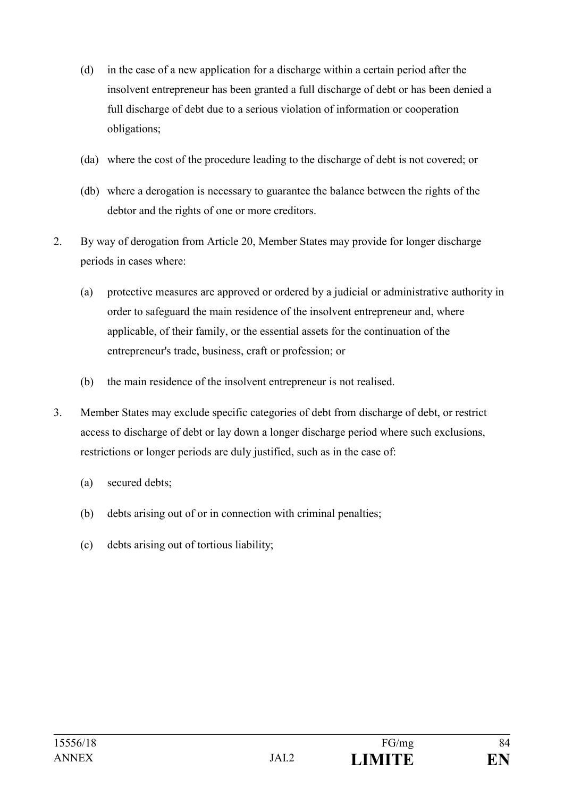- (d) in the case of a new application for a discharge within a certain period after the insolvent entrepreneur has been granted a full discharge of debt or has been denied a full discharge of debt due to a serious violation of information or cooperation obligations;
- (da) where the cost of the procedure leading to the discharge of debt is not covered; or
- (db) where a derogation is necessary to guarantee the balance between the rights of the debtor and the rights of one or more creditors.
- 2. By way of derogation from Article 20, Member States may provide for longer discharge periods in cases where:
	- (a) protective measures are approved or ordered by a judicial or administrative authority in order to safeguard the main residence of the insolvent entrepreneur and, where applicable, of their family, or the essential assets for the continuation of the entrepreneur's trade, business, craft or profession; or
	- (b) the main residence of the insolvent entrepreneur is not realised.
- 3. Member States may exclude specific categories of debt from discharge of debt, or restrict access to discharge of debt or lay down a longer discharge period where such exclusions, restrictions or longer periods are duly justified, such as in the case of:
	- (a) secured debts;
	- (b) debts arising out of or in connection with criminal penalties;
	- (c) debts arising out of tortious liability;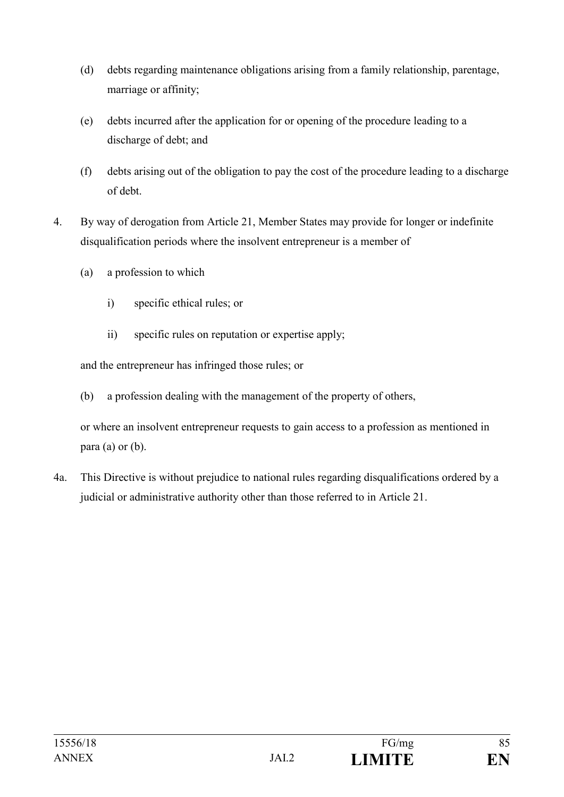- (d) debts regarding maintenance obligations arising from a family relationship, parentage, marriage or affinity;
- (e) debts incurred after the application for or opening of the procedure leading to a discharge of debt; and
- (f) debts arising out of the obligation to pay the cost of the procedure leading to a discharge of debt.
- 4. By way of derogation from Article 21, Member States may provide for longer or indefinite disqualification periods where the insolvent entrepreneur is a member of
	- (a) a profession to which
		- i) specific ethical rules; or
		- ii) specific rules on reputation or expertise apply;

and the entrepreneur has infringed those rules; or

(b) a profession dealing with the management of the property of others,

or where an insolvent entrepreneur requests to gain access to a profession as mentioned in  $para (a) or (b).$ 

4a. This Directive is without prejudice to national rules regarding disqualifications ordered by a judicial or administrative authority other than those referred to in Article 21.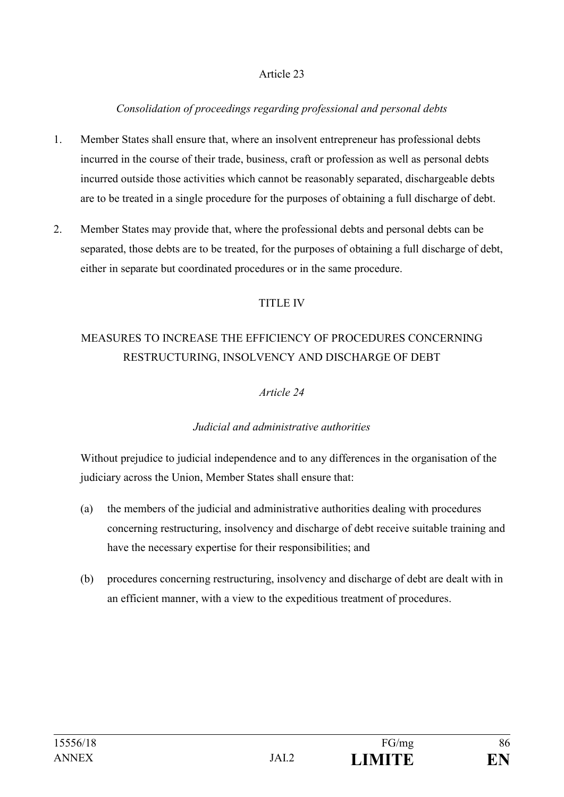## *Consolidation of proceedings regarding professional and personal debts*

- 1. Member States shall ensure that, where an insolvent entrepreneur has professional debts incurred in the course of their trade, business, craft or profession as well as personal debts incurred outside those activities which cannot be reasonably separated, dischargeable debts are to be treated in a single procedure for the purposes of obtaining a full discharge of debt.
- 2. Member States may provide that, where the professional debts and personal debts can be separated, those debts are to be treated, for the purposes of obtaining a full discharge of debt, either in separate but coordinated procedures or in the same procedure.

### TITLE IV

# MEASURES TO INCREASE THE EFFICIENCY OF PROCEDURES CONCERNING RESTRUCTURING, INSOLVENCY AND DISCHARGE OF DEBT

### *Article 24*

## *Judicial and administrative authorities*

Without prejudice to judicial independence and to any differences in the organisation of the judiciary across the Union, Member States shall ensure that:

- (a) the members of the judicial and administrative authorities dealing with procedures concerning restructuring, insolvency and discharge of debt receive suitable training and have the necessary expertise for their responsibilities; and
- (b) procedures concerning restructuring, insolvency and discharge of debt are dealt with in an efficient manner, with a view to the expeditious treatment of procedures.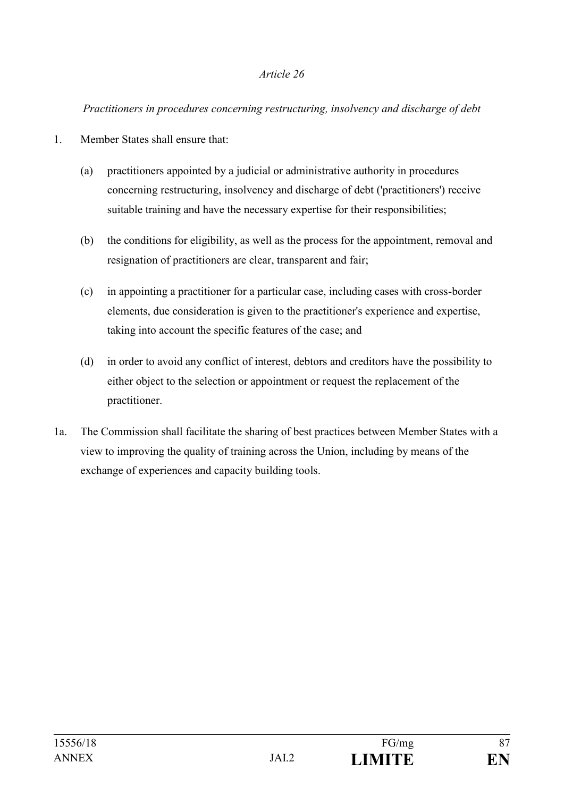#### *Practitioners in procedures concerning restructuring, insolvency and discharge of debt*

- 1. Member States shall ensure that:
	- (a) practitioners appointed by a judicial or administrative authority in procedures concerning restructuring, insolvency and discharge of debt ('practitioners') receive suitable training and have the necessary expertise for their responsibilities;
	- (b) the conditions for eligibility, as well as the process for the appointment, removal and resignation of practitioners are clear, transparent and fair;
	- (c) in appointing a practitioner for a particular case, including cases with cross-border elements, due consideration is given to the practitioner's experience and expertise, taking into account the specific features of the case; and
	- (d) in order to avoid any conflict of interest, debtors and creditors have the possibility to either object to the selection or appointment or request the replacement of the practitioner.
- 1a. The Commission shall facilitate the sharing of best practices between Member States with a view to improving the quality of training across the Union, including by means of the exchange of experiences and capacity building tools.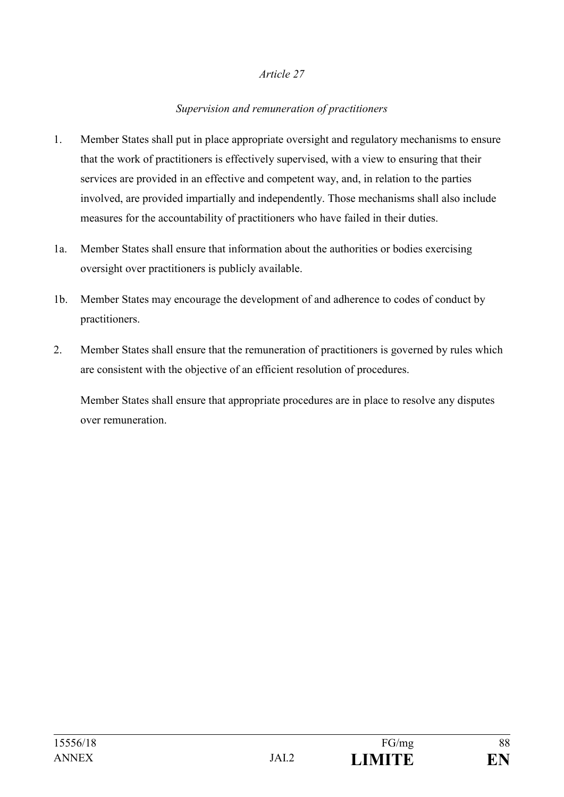## *Supervision and remuneration of practitioners*

- 1. Member States shall put in place appropriate oversight and regulatory mechanisms to ensure that the work of practitioners is effectively supervised, with a view to ensuring that their services are provided in an effective and competent way, and, in relation to the parties involved, are provided impartially and independently. Those mechanisms shall also include measures for the accountability of practitioners who have failed in their duties.
- 1а. Member States shall ensure that information about the authorities or bodies exercising oversight over practitioners is publicly available.
- 1b. Member States may encourage the development of and adherence to codes of conduct by practitioners.
- 2. Member States shall ensure that the remuneration of practitioners is governed by rules which are consistent with the objective of an efficient resolution of procedures.

Member States shall ensure that appropriate procedures are in place to resolve any disputes over remuneration.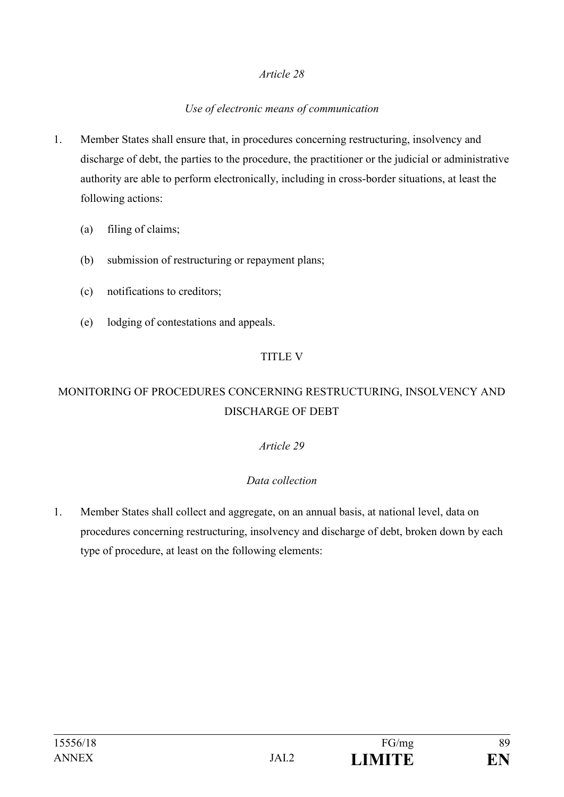### *Use of electronic means of communication*

- 1. Member States shall ensure that, in procedures concerning restructuring, insolvency and discharge of debt, the parties to the procedure, the practitioner or the judicial or administrative authority are able to perform electronically, including in cross-border situations, at least the following actions:
	- (a) filing of claims;
	- (b) submission of restructuring or repayment plans;
	- (c) notifications to creditors;
	- (e) lodging of contestations and appeals.

### TITLE V

# MONITORING OF PROCEDURES CONCERNING RESTRUCTURING, INSOLVENCY AND DISCHARGE OF DEBT

## *Article 29*

## *Data collection*

1. Member States shall collect and aggregate, on an annual basis, at national level, data on procedures concerning restructuring, insolvency and discharge of debt, broken down by each type of procedure, at least on the following elements: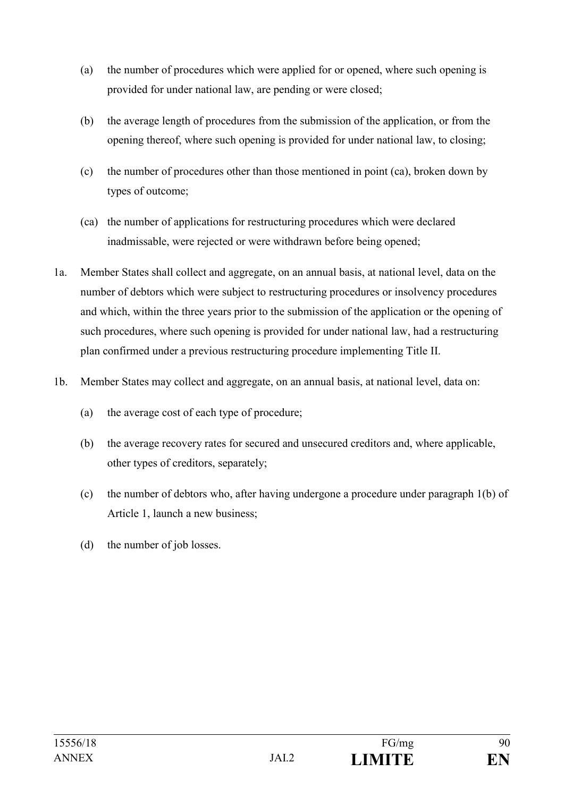- (a) the number of procedures which were applied for or opened, where such opening is provided for under national law, are pending or were closed;
- (b) the average length of procedures from the submission of the application, or from the opening thereof, where such opening is provided for under national law, to closing;
- (c) the number of procedures other than those mentioned in point (ca), broken down by types of outcome;
- (ca) the number of applications for restructuring procedures which were declared inadmissable, were rejected or were withdrawn before being opened;
- 1a. Member States shall collect and aggregate, on an annual basis, at national level, data on the number of debtors which were subject to restructuring procedures or insolvency procedures and which, within the three years prior to the submission of the application or the opening of such procedures, where such opening is provided for under national law, had a restructuring plan confirmed under a previous restructuring procedure implementing Title II.
- 1b. Member States may collect and aggregate, on an annual basis, at national level, data on:
	- (a) the average cost of each type of procedure;
	- (b) the average recovery rates for secured and unsecured creditors and, where applicable, other types of creditors, separately;
	- (c) the number of debtors who, after having undergone a procedure under paragraph 1(b) of Article 1, launch a new business;
	- (d) the number of job losses.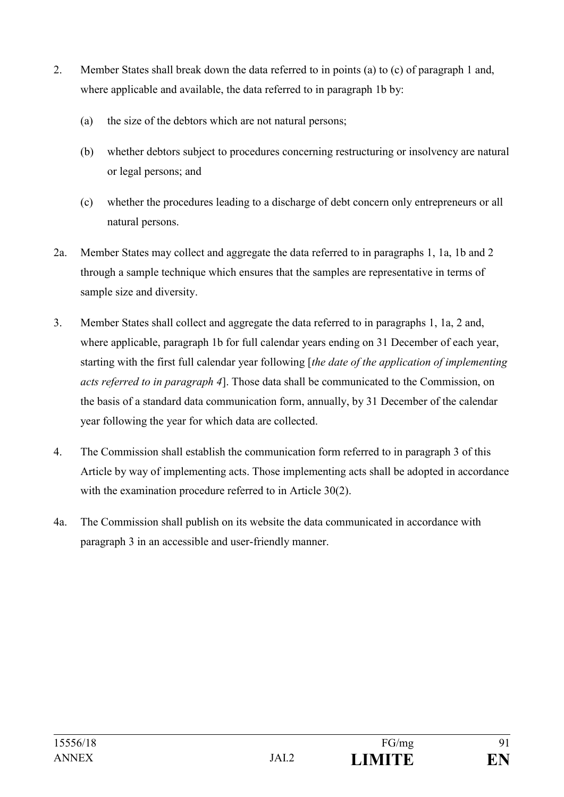- 2. Member States shall break down the data referred to in points (a) to (c) of paragraph 1 and, where applicable and available, the data referred to in paragraph 1b by:
	- (a) the size of the debtors which are not natural persons;
	- (b) whether debtors subject to procedures concerning restructuring or insolvency are natural or legal persons; and
	- (c) whether the procedures leading to a discharge of debt concern only entrepreneurs or all natural persons.
- 2a. Member States may collect and aggregate the data referred to in paragraphs 1, 1a, 1b and 2 through a sample technique which ensures that the samples are representative in terms of sample size and diversity.
- 3. Member States shall collect and aggregate the data referred to in paragraphs 1, 1a, 2 and, where applicable, paragraph 1b for full calendar years ending on 31 December of each year, starting with the first full calendar year following [*the date of the application of implementing acts referred to in paragraph 4*]. Those data shall be communicated to the Commission, on the basis of a standard data communication form, annually, by 31 December of the calendar year following the year for which data are collected.
- 4. The Commission shall establish the communication form referred to in paragraph 3 of this Article by way of implementing acts. Those implementing acts shall be adopted in accordance with the examination procedure referred to in Article 30(2).
- 4a. The Commission shall publish on its website the data communicated in accordance with paragraph 3 in an accessible and user-friendly manner.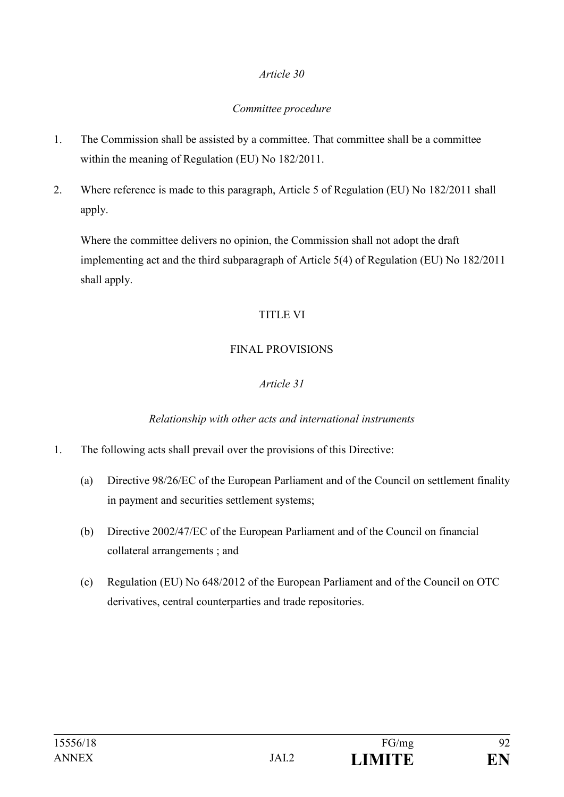### *Committee procedure*

- 1. The Commission shall be assisted by a committee. That committee shall be a committee within the meaning of Regulation (EU) No 182/2011.
- 2. Where reference is made to this paragraph, Article 5 of Regulation (EU) No 182/2011 shall apply.

Where the committee delivers no opinion, the Commission shall not adopt the draft implementing act and the third subparagraph of Article 5(4) of Regulation (EU) No 182/2011 shall apply.

## TITLE VI

## FINAL PROVISIONS

## *Article 31*

## *Relationship with other acts and international instruments*

- 1. The following acts shall prevail over the provisions of this Directive:
	- (a) Directive 98/26/EC of the European Parliament and of the Council on settlement finality in payment and securities settlement systems;
	- (b) Directive 2002/47/EC of the European Parliament and of the Council on financial collateral arrangements ; and
	- (c) Regulation (EU) No 648/2012 of the European Parliament and of the Council on OTC derivatives, central counterparties and trade repositories.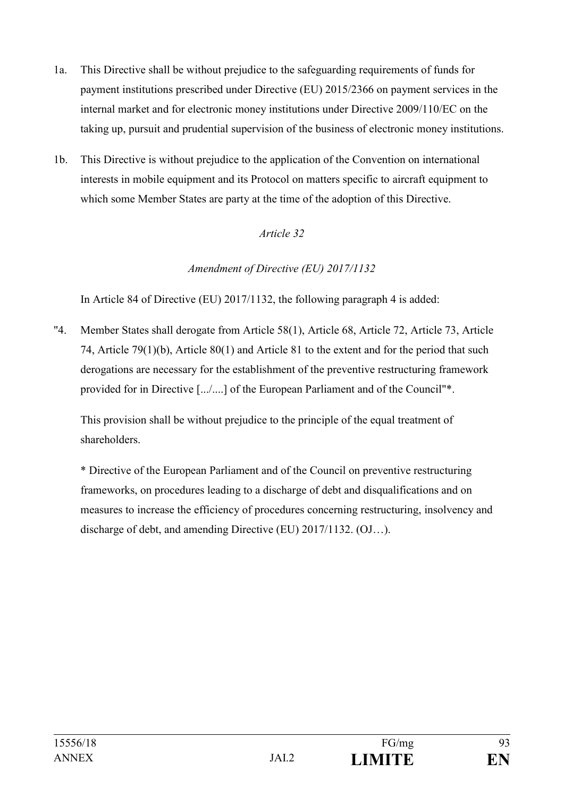- 1a. This Directive shall be without prejudice to the safeguarding requirements of funds for payment institutions prescribed under Directive (EU) 2015/2366 on payment services in the internal market and for electronic money institutions under Directive 2009/110/EC on the taking up, pursuit and prudential supervision of the business of electronic money institutions.
- 1b. This Directive is without prejudice to the application of the Convention on international interests in mobile equipment and its Protocol on matters specific to aircraft equipment to which some Member States are party at the time of the adoption of this Directive.

## *Amendment of Directive (EU) 2017/1132*

In Article 84 of Directive (EU) 2017/1132, the following paragraph 4 is added:

"4. Member States shall derogate from Article 58(1), Article 68, Article 72, Article 73, Article 74, Article 79(1)(b), Article 80(1) and Article 81 to the extent and for the period that such derogations are necessary for the establishment of the preventive restructuring framework provided for in Directive [.../....] of the European Parliament and of the Council"\*.

This provision shall be without prejudice to the principle of the equal treatment of shareholders.

\* Directive of the European Parliament and of the Council on preventive restructuring frameworks, on procedures leading to a discharge of debt and disqualifications and on measures to increase the efficiency of procedures concerning restructuring, insolvency and discharge of debt, and amending Directive (EU) 2017/1132. (OJ…).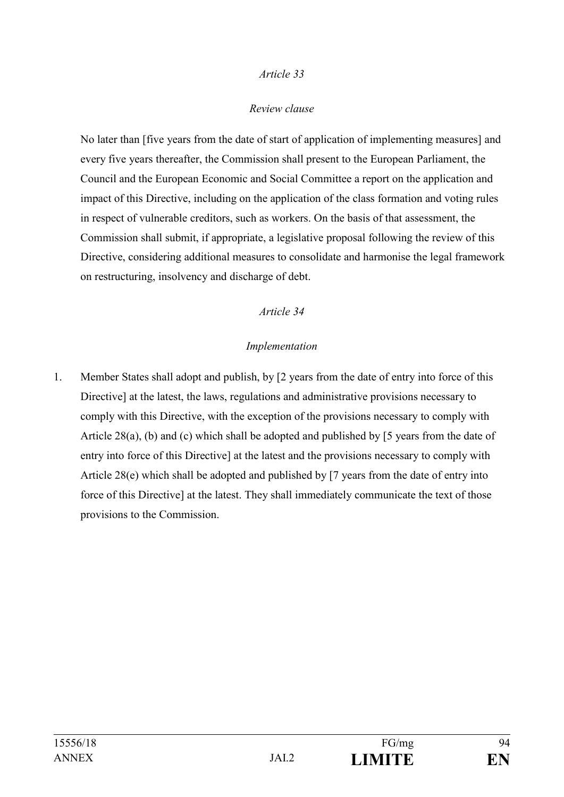### *Review clause*

No later than [five years from the date of start of application of implementing measures] and every five years thereafter, the Commission shall present to the European Parliament, the Council and the European Economic and Social Committee a report on the application and impact of this Directive, including on the application of the class formation and voting rules in respect of vulnerable creditors, such as workers. On the basis of that assessment, the Commission shall submit, if appropriate, a legislative proposal following the review of this Directive, considering additional measures to consolidate and harmonise the legal framework on restructuring, insolvency and discharge of debt.

### *Article 34*

### *Implementation*

1. Member States shall adopt and publish, by [2 years from the date of entry into force of this Directive] at the latest, the laws, regulations and administrative provisions necessary to comply with this Directive, with the exception of the provisions necessary to comply with Article 28(a), (b) and (c) which shall be adopted and published by [5 years from the date of entry into force of this Directive] at the latest and the provisions necessary to comply with Article 28(e) which shall be adopted and published by [7 years from the date of entry into force of this Directive] at the latest. They shall immediately communicate the text of those provisions to the Commission.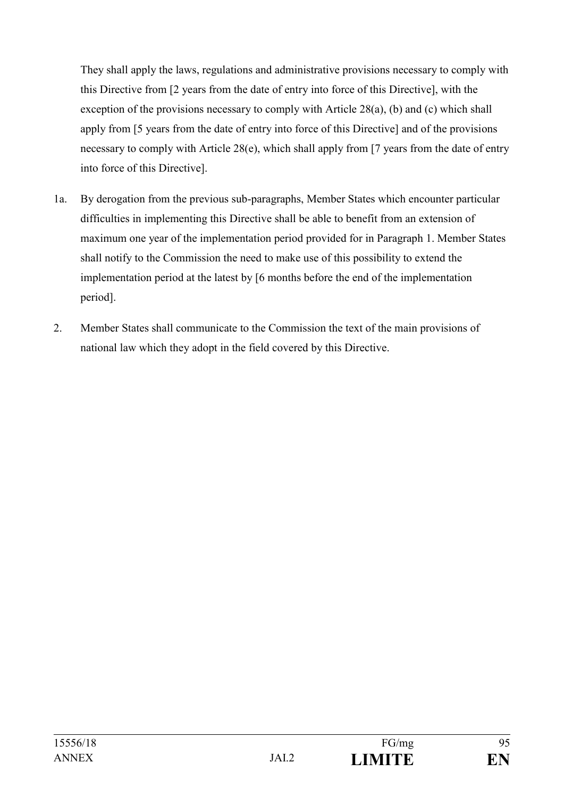They shall apply the laws, regulations and administrative provisions necessary to comply with this Directive from [2 years from the date of entry into force of this Directive], with the exception of the provisions necessary to comply with Article 28(a), (b) and (c) which shall apply from [5 years from the date of entry into force of this Directive] and of the provisions necessary to comply with Article 28(e), which shall apply from [7 years from the date of entry into force of this Directive].

- 1a. By derogation from the previous sub-paragraphs, Member States which encounter particular difficulties in implementing this Directive shall be able to benefit from an extension of maximum one year of the implementation period provided for in Paragraph 1. Member States shall notify to the Commission the need to make use of this possibility to extend the implementation period at the latest by [6 months before the end of the implementation period].
- 2. Member States shall communicate to the Commission the text of the main provisions of national law which they adopt in the field covered by this Directive.